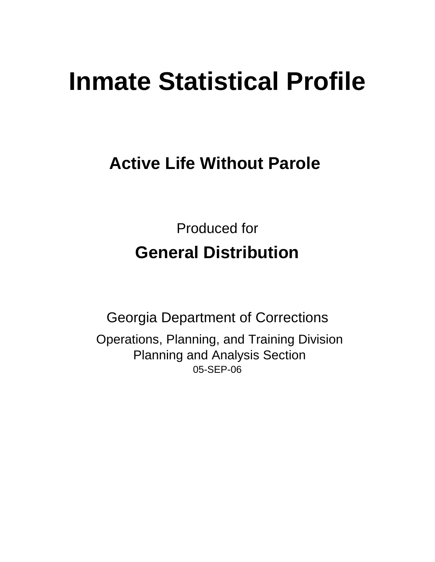# **Inmate Statistical Profile**

# **Active Life Without Parole**

Produced for **General Distribution**

05-SEP-06 Georgia Department of Corrections Operations, Planning, and Training Division Planning and Analysis Section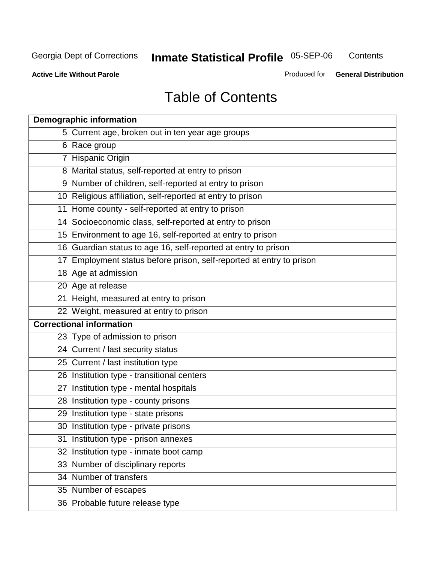**Contents** 

**Active Life Without Parole** 

Produced for **General Distribution**

# Table of Contents

| <b>Demographic information</b>                                       |
|----------------------------------------------------------------------|
| 5 Current age, broken out in ten year age groups                     |
| 6 Race group                                                         |
| 7 Hispanic Origin                                                    |
| 8 Marital status, self-reported at entry to prison                   |
| 9 Number of children, self-reported at entry to prison               |
| 10 Religious affiliation, self-reported at entry to prison           |
| 11 Home county - self-reported at entry to prison                    |
| 14 Socioeconomic class, self-reported at entry to prison             |
| 15 Environment to age 16, self-reported at entry to prison           |
| 16 Guardian status to age 16, self-reported at entry to prison       |
| 17 Employment status before prison, self-reported at entry to prison |
| 18 Age at admission                                                  |
| 20 Age at release                                                    |
| 21 Height, measured at entry to prison                               |
| 22 Weight, measured at entry to prison                               |
| <b>Correctional information</b>                                      |
| 23 Type of admission to prison                                       |
| 24 Current / last security status                                    |
| 25 Current / last institution type                                   |
| 26 Institution type - transitional centers                           |
| 27 Institution type - mental hospitals                               |
| 28 Institution type - county prisons                                 |
| 29 Institution type - state prisons                                  |
| 30 Institution type - private prisons                                |
| 31 Institution type - prison annexes                                 |
| 32 Institution type - inmate boot camp                               |
| 33 Number of disciplinary reports                                    |
| 34 Number of transfers                                               |
| 35 Number of escapes                                                 |
| 36 Probable future release type                                      |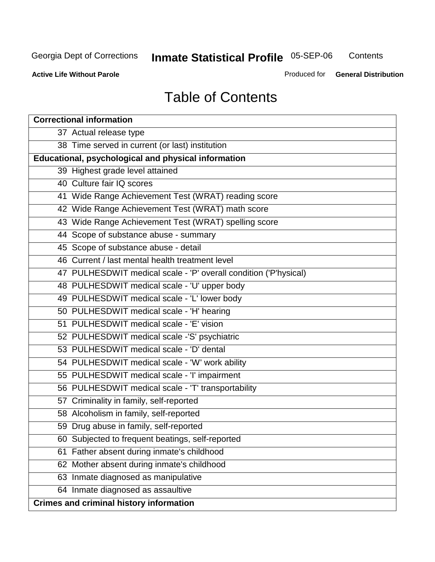**Contents** 

**Active Life Without Parole** 

Produced for **General Distribution**

# Table of Contents

| <b>Correctional information</b>                                  |
|------------------------------------------------------------------|
| 37 Actual release type                                           |
| 38 Time served in current (or last) institution                  |
| <b>Educational, psychological and physical information</b>       |
| 39 Highest grade level attained                                  |
| 40 Culture fair IQ scores                                        |
| 41 Wide Range Achievement Test (WRAT) reading score              |
| 42 Wide Range Achievement Test (WRAT) math score                 |
| 43 Wide Range Achievement Test (WRAT) spelling score             |
| 44 Scope of substance abuse - summary                            |
| 45 Scope of substance abuse - detail                             |
| 46 Current / last mental health treatment level                  |
| 47 PULHESDWIT medical scale - 'P' overall condition ('P'hysical) |
| 48 PULHESDWIT medical scale - 'U' upper body                     |
| 49 PULHESDWIT medical scale - 'L' lower body                     |
| 50 PULHESDWIT medical scale - 'H' hearing                        |
| 51 PULHESDWIT medical scale - 'E' vision                         |
| 52 PULHESDWIT medical scale -'S' psychiatric                     |
| 53 PULHESDWIT medical scale - 'D' dental                         |
| 54 PULHESDWIT medical scale - 'W' work ability                   |
| 55 PULHESDWIT medical scale - 'I' impairment                     |
| 56 PULHESDWIT medical scale - 'T' transportability               |
| 57 Criminality in family, self-reported                          |
| 58 Alcoholism in family, self-reported                           |
| 59 Drug abuse in family, self-reported                           |
| 60 Subjected to frequent beatings, self-reported                 |
| Father absent during inmate's childhood<br>61                    |
| 62 Mother absent during inmate's childhood                       |
| 63 Inmate diagnosed as manipulative                              |
| 64 Inmate diagnosed as assaultive                                |
| <b>Crimes and criminal history information</b>                   |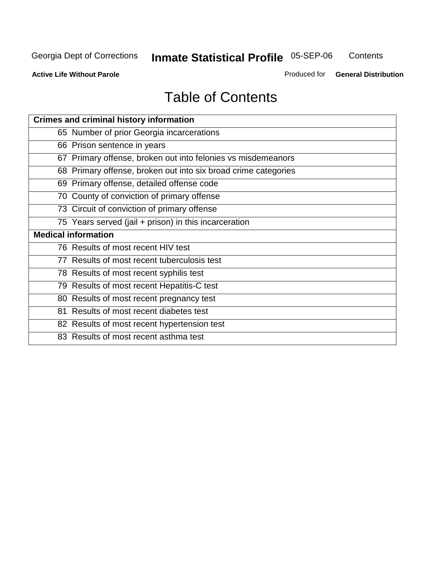**Contents** 

**Active Life Without Parole** 

Produced for **General Distribution**

# Table of Contents

| <b>Crimes and criminal history information</b>                 |
|----------------------------------------------------------------|
| 65 Number of prior Georgia incarcerations                      |
| 66 Prison sentence in years                                    |
| 67 Primary offense, broken out into felonies vs misdemeanors   |
| 68 Primary offense, broken out into six broad crime categories |
| 69 Primary offense, detailed offense code                      |
| 70 County of conviction of primary offense                     |
| 73 Circuit of conviction of primary offense                    |
| 75 Years served (jail + prison) in this incarceration          |
|                                                                |
| <b>Medical information</b>                                     |
| 76 Results of most recent HIV test                             |
| 77 Results of most recent tuberculosis test                    |
| 78 Results of most recent syphilis test                        |
| 79 Results of most recent Hepatitis-C test                     |
| 80 Results of most recent pregnancy test                       |
| 81 Results of most recent diabetes test                        |
| 82 Results of most recent hypertension test                    |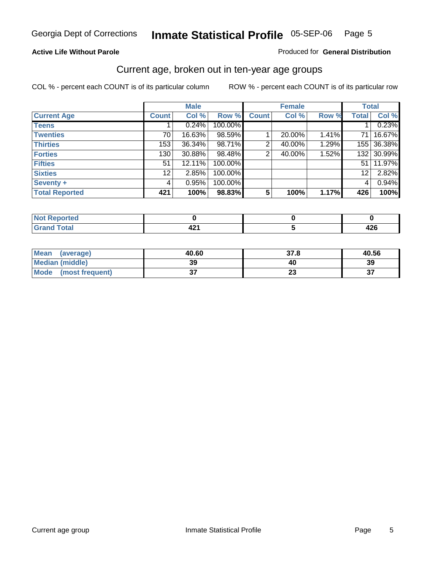#### **Active Life Without Parole**

#### Produced for **General Distribution**

### Current age, broken out in ten-year age groups

|                       |              | <b>Male</b> |         |                 | <b>Female</b> |       |                  | <b>Total</b> |
|-----------------------|--------------|-------------|---------|-----------------|---------------|-------|------------------|--------------|
| <b>Current Age</b>    | <b>Count</b> | Col %       | Row %   | <b>Count</b>    | Col %         | Row % | <b>Total</b>     | Col %        |
| <b>Teens</b>          |              | 0.24%       | 100.00% |                 |               |       |                  | 0.23%        |
| <b>Twenties</b>       | 70           | 16.63%      | 98.59%  |                 | 20.00%        | 1.41% | 71               | 16.67%       |
| <b>Thirties</b>       | 153          | $36.34\%$   | 98.71%  | 2               | 40.00%        | 1.29% | 155              | 36.38%       |
| <b>Forties</b>        | 130          | $30.88\%$   | 98.48%  | 2               | 40.00%        | 1.52% | 132 <sub>1</sub> | 30.99%       |
| <b>Fifties</b>        | 51           | 12.11%      | 100.00% |                 |               |       | 51               | 11.97%       |
| <b>Sixties</b>        | 12           | 2.85%       | 100.00% |                 |               |       | 12               | 2.82%        |
| Seventy +             | 4            | 0.95%       | 100.00% |                 |               |       | 4                | 0.94%        |
| <b>Total Reported</b> | 421          | 100%        | 98.83%  | $5\phantom{.0}$ | 100%          | 1.17% | 426              | 100%         |

| rtea<br><b>Repo</b><br>. <b>.</b> .              |     |      |
|--------------------------------------------------|-----|------|
| <b>Total</b><br>Crow<br>$\sim$ . $\sim$ . $\sim$ | 44. | 44 V |

| <b>Mean</b><br>(average) | 40.60   | 37.8                 | 40.56 |
|--------------------------|---------|----------------------|-------|
| <b>Median (middle)</b>   | 39      | 40                   | 39    |
| Mode<br>(most frequent)  | ^<br>וש | $\ddot{\phantom{0}}$ | ^     |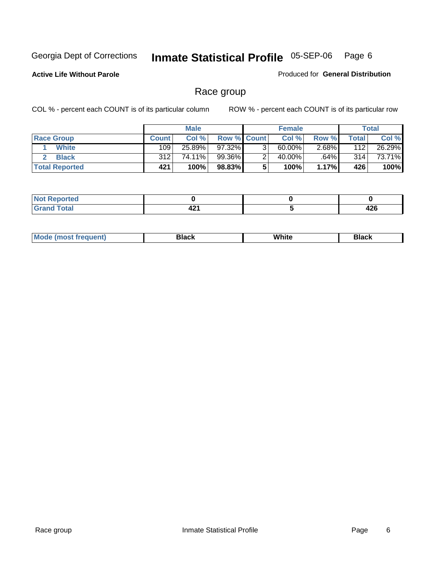**Active Life Without Parole** 

Produced for **General Distribution**

### Race group

|                       |              | <b>Male</b> |                    | <b>Female</b> |          |                  | <b>Total</b> |
|-----------------------|--------------|-------------|--------------------|---------------|----------|------------------|--------------|
| <b>Race Group</b>     | <b>Count</b> | Col %       | <b>Row % Count</b> | Col %         | Row %    | Total            | Col %        |
| <b>White</b>          | 109          | 25.89%      | 97.32%             | $60.00\%$     | $2.68\%$ | 112              | 26.29%       |
| <b>Black</b>          | 312          | 74.11%      | 99.36%             | 40.00%        | .64%     | 314 <sub>1</sub> | 73.71%       |
| <b>Total Reported</b> | 421          | 100%        | 98.83%             | 100%          | 1.17%    | 426              | 100%         |

| <b>rted</b><br>N |             |                |
|------------------|-------------|----------------|
| $\sim$           | 10.<br>44 I | $\sim$<br>44 Y |

| $^1$ Mo. | Rlack | White | 3lack |
|----------|-------|-------|-------|
| .        |       |       |       |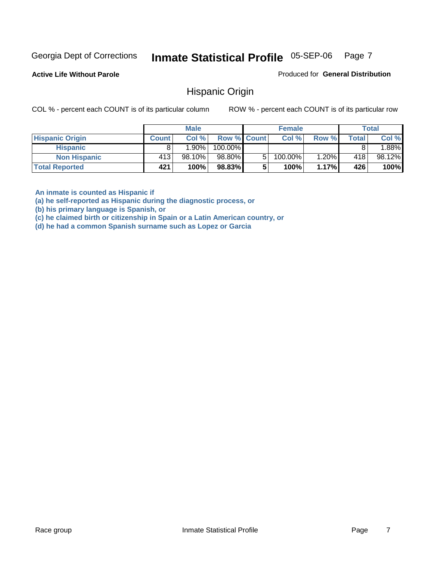**Active Life Without Parole** 

Produced for **General Distribution**

### Hispanic Origin

COL % - percent each COUNT is of its particular column ROW % - percent each COUNT is of its particular row

|                        |              | <b>Male</b> |                    | <b>Female</b> |       |       | <b>Total</b> |
|------------------------|--------------|-------------|--------------------|---------------|-------|-------|--------------|
| <b>Hispanic Origin</b> | <b>Count</b> | Col%        | <b>Row % Count</b> | Col %         | Row % | Total | Col %        |
| <b>Hispanic</b>        |              | $1.90\%$    | 100.00%            |               |       |       | $.88\%$      |
| <b>Non Hispanic</b>    | 413'         | $98.10\%$   | 98.80%             | 100.00%       | 1.20% | 418   | 98.12%       |
| <b>Total Reported</b>  | 421          | 100%        | 98.83%             | 100%          | 1.17% | 426   | 100%         |

**An inmate is counted as Hispanic if** 

**(a) he self-reported as Hispanic during the diagnostic process, or** 

**(b) his primary language is Spanish, or** 

**(c) he claimed birth or citizenship in Spain or a Latin American country, or** 

**(d) he had a common Spanish surname such as Lopez or Garcia**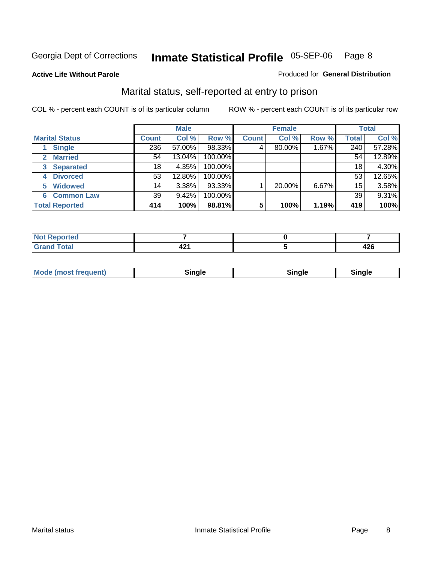#### **Active Life Without Parole**

#### Produced for **General Distribution**

### Marital status, self-reported at entry to prison

|                        | <b>Male</b>  |        |         | <b>Female</b> |        |       | <b>Total</b> |        |
|------------------------|--------------|--------|---------|---------------|--------|-------|--------------|--------|
| <b>Marital Status</b>  | <b>Count</b> | Col %  | Row %   | <b>Count</b>  | Col %  | Row % | <b>Total</b> | Col %  |
| <b>Single</b>          | 236          | 57.00% | 98.33%  | 4'            | 80.00% | 1.67% | 240          | 57.28% |
| <b>Married</b><br>2.   | 54           | 13.04% | 100.00% |               |        |       | 54           | 12.89% |
| <b>Separated</b><br>3  | 18           | 4.35%  | 100.00% |               |        |       | 18           | 4.30%  |
| <b>Divorced</b><br>4   | 53           | 12.80% | 100.00% |               |        |       | 53           | 12.65% |
| <b>Widowed</b><br>5    | 14           | 3.38%  | 93.33%  |               | 20.00% | 6.67% | 15           | 3.58%  |
| <b>Common Law</b><br>6 | 39           | 9.42%  | 100.00% |               |        |       | 39           | 9.31%  |
| <b>Total Reported</b>  | 414          | 100%   | 98.81%  | 5             | 100%   | 1.19% | 419          | 100%   |

| $-4-$<br>$- - - - -$ | . .<br>- 4 | .<br>44Y |
|----------------------|------------|----------|

| <b>Mode (most frequent)</b><br>Sinale<br>≒ınale |
|-------------------------------------------------|
|-------------------------------------------------|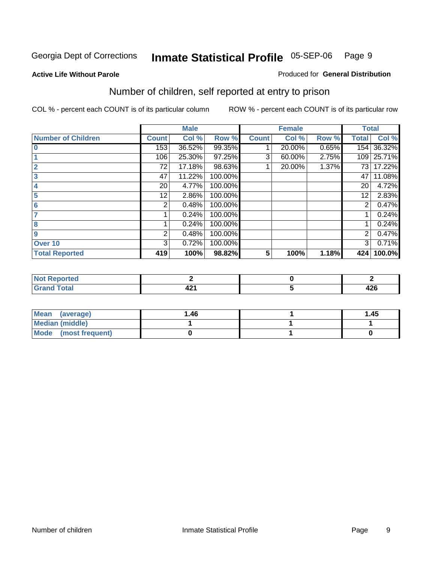#### **Active Life Without Parole**

#### Produced for **General Distribution**

### Number of children, self reported at entry to prison

|                           |              | <b>Male</b> |         |              | <b>Female</b> |       | <b>Total</b> |        |
|---------------------------|--------------|-------------|---------|--------------|---------------|-------|--------------|--------|
| <b>Number of Children</b> | <b>Count</b> | Col %       | Row %   | <b>Count</b> | Col %         | Row % | <b>Total</b> | Col %  |
| $\bf{0}$                  | 153          | 36.52%      | 99.35%  |              | 20.00%        | 0.65% | 154          | 36.32% |
|                           | 106          | 25.30%      | 97.25%  | 3            | 60.00%        | 2.75% | 109          | 25.71% |
| $\overline{2}$            | 72           | 17.18%      | 98.63%  |              | 20.00%        | 1.37% | 73           | 17.22% |
| 3                         | 47           | 11.22%      | 100.00% |              |               |       | 47           | 11.08% |
|                           | 20           | 4.77%       | 100.00% |              |               |       | 20           | 4.72%  |
| 5                         | 12.          | 2.86%       | 100.00% |              |               |       | 12           | 2.83%  |
| 6                         | 2            | 0.48%       | 100.00% |              |               |       | 2            | 0.47%  |
|                           |              | 0.24%       | 100.00% |              |               |       |              | 0.24%  |
| 8                         |              | 0.24%       | 100.00% |              |               |       |              | 0.24%  |
| 9                         | 2            | 0.48%       | 100.00% |              |               |       | 2            | 0.47%  |
| Over 10                   | 3            | 0.72%       | 100.00% |              |               |       | 3            | 0.71%  |
| <b>Total Reported</b>     | 419          | 100%        | 98.82%  | 5            | 100%          | 1.18% | 424          | 100.0% |

| للمستقصاء<br>N<br>теа<br>. |            |            |
|----------------------------|------------|------------|
| $T = 4$<br>---<br>-        | . .<br>- 7 | ,,,<br>44O |

| <b>Mean</b><br>(average) | ،46. | 1.45 |
|--------------------------|------|------|
| <b>Median (middle)</b>   |      |      |
| Mode (most frequent)     |      |      |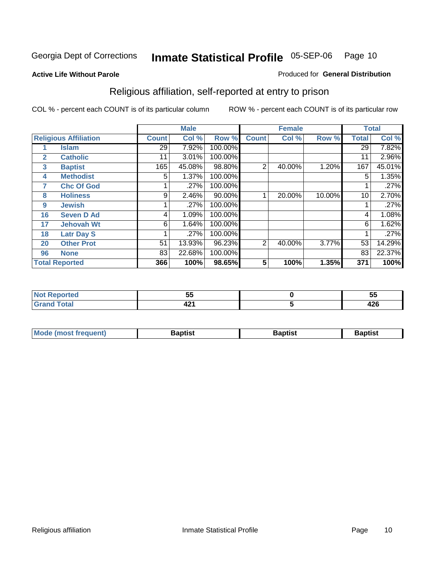#### **Active Life Without Parole**

#### Produced for **General Distribution**

### Religious affiliation, self-reported at entry to prison

|              |                              |              | <b>Male</b> |         |                | <b>Female</b> |        |              | <b>Total</b> |
|--------------|------------------------------|--------------|-------------|---------|----------------|---------------|--------|--------------|--------------|
|              | <b>Religious Affiliation</b> | <b>Count</b> | Col %       | Row %   | <b>Count</b>   | Col %         | Row %  | <b>Total</b> | Col %        |
|              | <b>Islam</b>                 | 29           | 7.92%       | 100.00% |                |               |        | 29           | 7.82%        |
| $\mathbf{2}$ | <b>Catholic</b>              | 11           | 3.01%       | 100.00% |                |               |        | 11           | 2.96%        |
| 3            | <b>Baptist</b>               | 165          | 45.08%      | 98.80%  | $\overline{2}$ | 40.00%        | 1.20%  | 167          | 45.01%       |
| 4            | <b>Methodist</b>             | 5            | 1.37%       | 100.00% |                |               |        | 5            | 1.35%        |
| 7            | <b>Chc Of God</b>            |              | .27%        | 100.00% |                |               |        |              | .27%         |
| 8            | <b>Holiness</b>              | 9            | 2.46%       | 90.00%  |                | 20.00%        | 10.00% | 10           | 2.70%        |
| 9            | <b>Jewish</b>                |              | .27%        | 100.00% |                |               |        |              | .27%         |
| 16           | <b>Seven D Ad</b>            | 4            | 1.09%       | 100.00% |                |               |        | 4            | 1.08%        |
| 17           | <b>Jehovah Wt</b>            | 6            | 1.64%       | 100.00% |                |               |        | 6            | 1.62%        |
| 18           | <b>Latr Day S</b>            |              | .27%        | 100.00% |                |               |        |              | .27%         |
| 20           | <b>Other Prot</b>            | 51           | 13.93%      | 96.23%  | 2              | 40.00%        | 3.77%  | 53           | 14.29%       |
| 96           | <b>None</b>                  | 83           | 22.68%      | 100.00% |                |               |        | 83           | 22.37%       |
|              | <b>Total Reported</b>        | 366          | 100%        | 98.65%  | 5              | 100%          | 1.35%  | 371          | 100%         |

| тео  | --<br><u>JJ</u> | --<br>◡     |
|------|-----------------|-------------|
| otal | . .<br>TA 1     | "^^<br>44 U |

| ' Mo<br>went | <b>}aptist</b> | Baptist<br>$ -$ | <b>Baptist</b> |
|--------------|----------------|-----------------|----------------|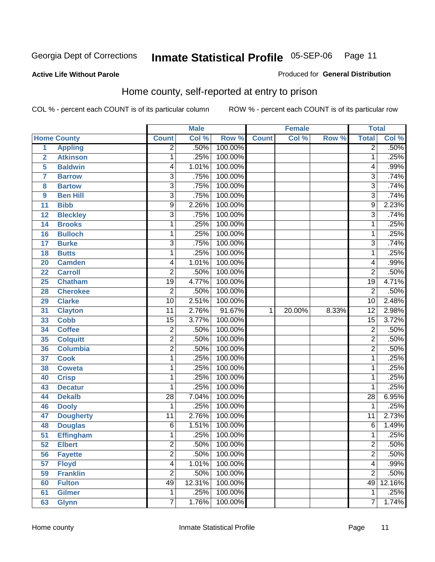#### **Active Life Without Parole**

#### Produced for **General Distribution**

### Home county, self-reported at entry to prison

|                 |                    |                 | <b>Male</b> |         |              | <b>Female</b> |       | <b>Total</b>    |        |
|-----------------|--------------------|-----------------|-------------|---------|--------------|---------------|-------|-----------------|--------|
|                 | <b>Home County</b> | <b>Count</b>    | Col %       | Row %   | <b>Count</b> | Col %         | Row % | <b>Total</b>    | Col %  |
| $\overline{1}$  | <b>Appling</b>     | $\overline{2}$  | .50%        | 100.00% |              |               |       | $\overline{2}$  | .50%   |
| $\overline{2}$  | <b>Atkinson</b>    | 1               | .25%        | 100.00% |              |               |       | $\mathbf 1$     | .25%   |
| 5               | <b>Baldwin</b>     | 4               | 1.01%       | 100.00% |              |               |       | 4               | .99%   |
| 7               | <b>Barrow</b>      | $\overline{3}$  | .75%        | 100.00% |              |               |       | $\overline{3}$  | .74%   |
| 8               | <b>Bartow</b>      | $\overline{3}$  | .75%        | 100.00% |              |               |       | $\overline{3}$  | .74%   |
| 9               | <b>Ben Hill</b>    | $\overline{3}$  | .75%        | 100.00% |              |               |       | $\overline{3}$  | .74%   |
| 11              | <b>Bibb</b>        | $\overline{9}$  | 2.26%       | 100.00% |              |               |       | 9               | 2.23%  |
| 12              | <b>Bleckley</b>    | $\overline{3}$  | .75%        | 100.00% |              |               |       | $\overline{3}$  | .74%   |
| 14              | <b>Brooks</b>      | 1               | .25%        | 100.00% |              |               |       | $\mathbf{1}$    | .25%   |
| 16              | <b>Bulloch</b>     | 1               | .25%        | 100.00% |              |               |       | $\mathbf 1$     | .25%   |
| 17              | <b>Burke</b>       | 3               | .75%        | 100.00% |              |               |       | 3               | .74%   |
| 18              | <b>Butts</b>       | 1               | .25%        | 100.00% |              |               |       | 1               | .25%   |
| 20              | <b>Camden</b>      | 4               | 1.01%       | 100.00% |              |               |       | 4               | .99%   |
| 22              | <b>Carroll</b>     | $\overline{2}$  | .50%        | 100.00% |              |               |       | $\overline{2}$  | .50%   |
| 25              | <b>Chatham</b>     | $\overline{19}$ | 4.77%       | 100.00% |              |               |       | $\overline{19}$ | 4.71%  |
| 28              | <b>Cherokee</b>    | $\overline{2}$  | .50%        | 100.00% |              |               |       | $\overline{2}$  | .50%   |
| 29              | <b>Clarke</b>      | $\overline{10}$ | 2.51%       | 100.00% |              |               |       | $\overline{10}$ | 2.48%  |
| 31              | <b>Clayton</b>     | $\overline{11}$ | 2.76%       | 91.67%  | 1            | 20.00%        | 8.33% | $\overline{12}$ | 2.98%  |
| 33              | <b>Cobb</b>        | $\overline{15}$ | 3.77%       | 100.00% |              |               |       | $\overline{15}$ | 3.72%  |
| 34              | <b>Coffee</b>      | $\overline{2}$  | .50%        | 100.00% |              |               |       | $\overline{c}$  | .50%   |
| 35              | <b>Colquitt</b>    | $\overline{2}$  | .50%        | 100.00% |              |               |       | $\overline{2}$  | .50%   |
| 36              | <b>Columbia</b>    | $\overline{2}$  | .50%        | 100.00% |              |               |       | $\overline{2}$  | .50%   |
| 37              | <b>Cook</b>        | 1               | .25%        | 100.00% |              |               |       | 1               | .25%   |
| 38              | <b>Coweta</b>      | 1               | .25%        | 100.00% |              |               |       | 1               | .25%   |
| 40              | <b>Crisp</b>       | 1               | .25%        | 100.00% |              |               |       | 1               | .25%   |
| 43              | <b>Decatur</b>     | 1               | .25%        | 100.00% |              |               |       | 1               | .25%   |
| 44              | <b>Dekalb</b>      | $\overline{28}$ | 7.04%       | 100.00% |              |               |       | $\overline{28}$ | 6.95%  |
| 46              | <b>Dooly</b>       | 1               | .25%        | 100.00% |              |               |       | 1               | .25%   |
| 47              | <b>Dougherty</b>   | $\overline{11}$ | 2.76%       | 100.00% |              |               |       | $\overline{11}$ | 2.73%  |
| 48              | <b>Douglas</b>     | $\overline{6}$  | 1.51%       | 100.00% |              |               |       | 6               | 1.49%  |
| $\overline{51}$ | <b>Effingham</b>   | 1               | .25%        | 100.00% |              |               |       | 1               | .25%   |
| 52              | <b>Elbert</b>      | 2               | .50%        | 100.00% |              |               |       | 2               | .50%   |
| 56              | <b>Fayette</b>     | $\overline{2}$  | .50%        | 100.00% |              |               |       | $\overline{2}$  | .50%   |
| 57              | <b>Floyd</b>       | $\overline{4}$  | 1.01%       | 100.00% |              |               |       | 4               | .99%   |
| 59              | <b>Franklin</b>    | $\overline{2}$  | .50%        | 100.00% |              |               |       | $\overline{2}$  | .50%   |
| 60              | <b>Fulton</b>      | 49              | 12.31%      | 100.00% |              |               |       | 49              | 12.16% |
| 61              | <b>Gilmer</b>      | 1               | .25%        | 100.00% |              |               |       | 1               | .25%   |
| 63              | <b>Glynn</b>       | $\overline{7}$  | 1.76%       | 100.00% |              |               |       | 7               | 1.74%  |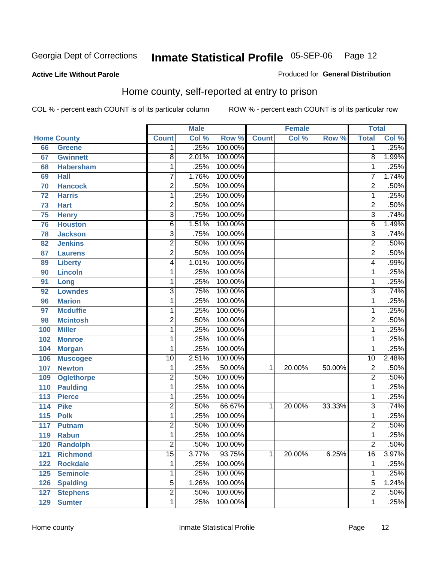#### **Active Life Without Parole**

#### Produced for **General Distribution**

### Home county, self-reported at entry to prison

|                  |                    |                           | <b>Male</b> |         |              | <b>Female</b> |        | <b>Total</b>    |       |
|------------------|--------------------|---------------------------|-------------|---------|--------------|---------------|--------|-----------------|-------|
|                  | <b>Home County</b> | <b>Count</b>              | Col %       | Row %   | <b>Count</b> | Col %         | Row %  | <b>Total</b>    | Col % |
| 66               | <b>Greene</b>      | 1 <sup>1</sup>            | .25%        | 100.00% |              |               |        | $\overline{1}$  | .25%  |
| 67               | <b>Gwinnett</b>    | $\overline{8}$            | 2.01%       | 100.00% |              |               |        | $\overline{8}$  | 1.99% |
| 68               | <b>Habersham</b>   | 1                         | .25%        | 100.00% |              |               |        | $\mathbf 1$     | .25%  |
| 69               | <b>Hall</b>        | $\overline{7}$            | 1.76%       | 100.00% |              |               |        | $\overline{7}$  | 1.74% |
| 70               | <b>Hancock</b>     | $\overline{2}$            | .50%        | 100.00% |              |               |        | $\overline{2}$  | .50%  |
| 72               | <b>Harris</b>      | $\overline{1}$            | .25%        | 100.00% |              |               |        | $\overline{1}$  | .25%  |
| 73               | <b>Hart</b>        | $\overline{2}$            | .50%        | 100.00% |              |               |        | $\overline{2}$  | .50%  |
| 75               | <b>Henry</b>       | $\overline{\overline{3}}$ | .75%        | 100.00% |              |               |        | $\overline{3}$  | .74%  |
| 76               | <b>Houston</b>     | $\overline{6}$            | 1.51%       | 100.00% |              |               |        | $\overline{6}$  | 1.49% |
| 78               | <b>Jackson</b>     | $\overline{3}$            | .75%        | 100.00% |              |               |        | $\overline{3}$  | .74%  |
| 82               | <b>Jenkins</b>     | $\overline{2}$            | .50%        | 100.00% |              |               |        | $\overline{2}$  | .50%  |
| 87               | <b>Laurens</b>     | $\overline{2}$            | .50%        | 100.00% |              |               |        | $\overline{2}$  | .50%  |
| 89               | <b>Liberty</b>     | $\overline{4}$            | 1.01%       | 100.00% |              |               |        | $\overline{4}$  | .99%  |
| 90               | <b>Lincoln</b>     | 1                         | .25%        | 100.00% |              |               |        | $\overline{1}$  | .25%  |
| 91               | Long               | $\mathbf{1}$              | .25%        | 100.00% |              |               |        | $\overline{1}$  | .25%  |
| 92               | <b>Lowndes</b>     | $\overline{3}$            | .75%        | 100.00% |              |               |        | $\overline{3}$  | .74%  |
| 96               | <b>Marion</b>      | 1                         | .25%        | 100.00% |              |               |        | $\overline{1}$  | .25%  |
| 97               | <b>Mcduffie</b>    | 1                         | .25%        | 100.00% |              |               |        | $\overline{1}$  | .25%  |
| 98               | <b>Mcintosh</b>    | $\overline{2}$            | .50%        | 100.00% |              |               |        | $\overline{2}$  | .50%  |
| 100              | <b>Miller</b>      | 1                         | .25%        | 100.00% |              |               |        | $\overline{1}$  | .25%  |
| 102              | <b>Monroe</b>      | 1                         | .25%        | 100.00% |              |               |        | $\overline{1}$  | .25%  |
| 104              | <b>Morgan</b>      | 1                         | .25%        | 100.00% |              |               |        | $\overline{1}$  | .25%  |
| 106              | <b>Muscogee</b>    | $\overline{10}$           | 2.51%       | 100.00% |              |               |        | 10              | 2.48% |
| 107              | <b>Newton</b>      | 1                         | .25%        | 50.00%  | 1            | 20.00%        | 50.00% | $\overline{2}$  | .50%  |
| 109              | <b>Oglethorpe</b>  | $\overline{2}$            | .50%        | 100.00% |              |               |        | $\overline{2}$  | .50%  |
| 110              | <b>Paulding</b>    | 1                         | .25%        | 100.00% |              |               |        | $\overline{1}$  | .25%  |
| 113              | <b>Pierce</b>      | 1                         | .25%        | 100.00% |              |               |        | $\overline{1}$  | .25%  |
| 114              | <b>Pike</b>        | $\overline{2}$            | .50%        | 66.67%  | 1            | 20.00%        | 33.33% | $\overline{3}$  | .74%  |
| $\overline{115}$ | <b>Polk</b>        | $\overline{1}$            | .25%        | 100.00% |              |               |        | $\overline{1}$  | .25%  |
| 117              | <b>Putnam</b>      | $\overline{2}$            | .50%        | 100.00% |              |               |        | $\overline{2}$  | .50%  |
| 119              | <b>Rabun</b>       | $\overline{1}$            | .25%        | 100.00% |              |               |        | $\overline{1}$  | .25%  |
| 120              | <b>Randolph</b>    | 2                         | .50%        | 100.00% |              |               |        | $\overline{2}$  | .50%  |
| 121              | <b>Richmond</b>    | $\overline{15}$           | 3.77%       | 93.75%  | 1            | 20.00%        | 6.25%  | $\overline{16}$ | 3.97% |
| 122              | <b>Rockdale</b>    | 1                         | .25%        | 100.00% |              |               |        | $\mathbf 1$     | .25%  |
| 125              | <b>Seminole</b>    | 1                         | .25%        | 100.00% |              |               |        | 1               | .25%  |
| 126              | <b>Spalding</b>    | $\overline{5}$            | 1.26%       | 100.00% |              |               |        | 5               | 1.24% |
| 127              | <b>Stephens</b>    | $\overline{2}$            | .50%        | 100.00% |              |               |        | $\overline{2}$  | .50%  |
| 129              | <b>Sumter</b>      | $\overline{1}$            | .25%        | 100.00% |              |               |        | $\overline{1}$  | .25%  |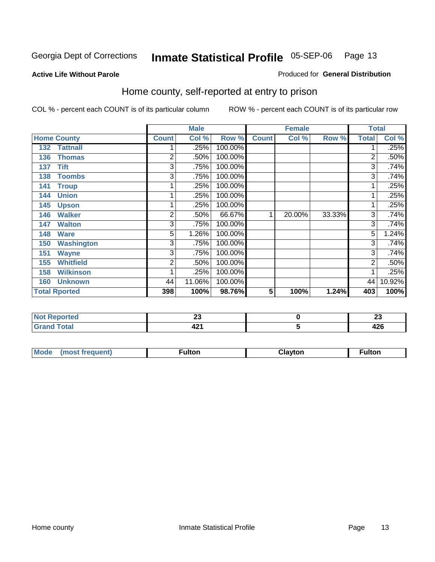Produced for **General Distribution**

#### **Active Life Without Parole**

### Home county, self-reported at entry to prison

|     |                      |                | <b>Male</b> |         |              | <b>Female</b> |        | <b>Total</b> |        |
|-----|----------------------|----------------|-------------|---------|--------------|---------------|--------|--------------|--------|
|     | <b>Home County</b>   | <b>Count</b>   | Col %       | Row %   | <b>Count</b> | Col %         | Row %  | <b>Total</b> | Col %  |
| 132 | <b>Tattnall</b>      |                | .25%        | 100.00% |              |               |        | 1            | .25%   |
| 136 | <b>Thomas</b>        | $\overline{2}$ | .50%        | 100.00% |              |               |        | 2            | .50%   |
| 137 | Tift                 | 3              | .75%        | 100.00% |              |               |        | 3            | .74%   |
| 138 | <b>Toombs</b>        | 3              | .75%        | 100.00% |              |               |        | 3            | .74%   |
| 141 | <b>Troup</b>         | 1              | .25%        | 100.00% |              |               |        | 1            | .25%   |
| 144 | <b>Union</b>         | 1              | .25%        | 100.00% |              |               |        | 1            | .25%   |
| 145 | <b>Upson</b>         | 1              | .25%        | 100.00% |              |               |        | 1            | .25%   |
| 146 | <b>Walker</b>        | $\overline{2}$ | .50%        | 66.67%  | 1            | 20.00%        | 33.33% | 3            | .74%   |
| 147 | <b>Walton</b>        | 3              | .75%        | 100.00% |              |               |        | 3            | .74%   |
| 148 | <b>Ware</b>          | 5              | 1.26%       | 100.00% |              |               |        | 5            | 1.24%  |
| 150 | <b>Washington</b>    | 3              | .75%        | 100.00% |              |               |        | 3            | .74%   |
| 151 | <b>Wayne</b>         | 3              | .75%        | 100.00% |              |               |        | 3            | .74%   |
| 155 | <b>Whitfield</b>     | 2              | .50%        | 100.00% |              |               |        | 2            | .50%   |
| 158 | <b>Wilkinson</b>     | 1              | .25%        | 100.00% |              |               |        | 1            | .25%   |
| 160 | <b>Unknown</b>       | 44             | 11.06%      | 100.00% |              |               |        | 44           | 10.92% |
|     | <b>Total Rported</b> | 398            | 100%        | 98.76%  | 5            | 100%          | 1.24%  | 403          | 100%   |

|                                | --<br>$\sim$ | . .<br>~ |
|--------------------------------|--------------|----------|
| Code"<br><b>COLAI</b><br>_____ | - 74         | <br>44 U |

| Mode | (most frequent) | ulton <sup>-</sup> | Clavton | <sup>∓</sup> ulton |
|------|-----------------|--------------------|---------|--------------------|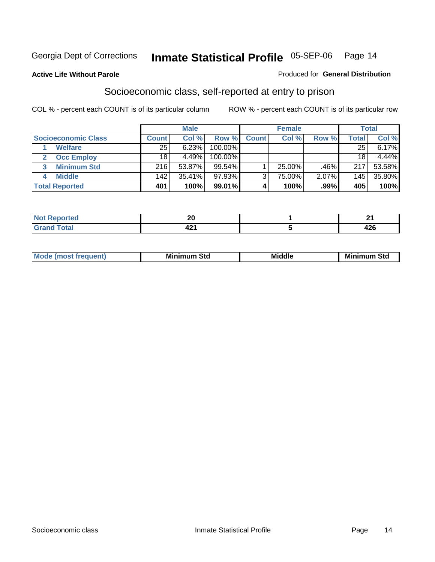#### **Active Life Without Parole**

#### Produced for **General Distribution**

### Socioeconomic class, self-reported at entry to prison

|                                   | <b>Male</b>  |           |            | <b>Female</b> |        |         | <b>Total</b> |        |
|-----------------------------------|--------------|-----------|------------|---------------|--------|---------|--------------|--------|
| <b>Socioeconomic Class</b>        | <b>Count</b> | Col %     | Row %      | <b>Count</b>  | Col %  | Row %   | Total        | Col %  |
| <b>Welfare</b>                    | 25           | 6.23%     | 100.00%    |               |        |         | 25           | 6.17%  |
| <b>Occ Employ</b><br>$\mathbf{2}$ | 18           | 4.49%     | $100.00\%$ |               |        |         | 18           | 4.44%  |
| <b>Minimum Std</b><br>3           | 216          | 53.87%    | $99.54\%$  |               | 25.00% | .46%    | 217          | 53.58% |
| <b>Middle</b>                     | 142          | $35.41\%$ | $97.93\%$  |               | 75.00% | 2.07%   | 145          | 35.80% |
| <b>Total Reported</b>             | 401          | 100%      | 99.01%     |               | 100%   | $.99\%$ | 405          | 100%   |

| للأراد المتعاد<br>τeα<br>.                   | or.<br>" |                   |
|----------------------------------------------|----------|-------------------|
| $T \sim 4 \times 1$<br><b>Utal</b><br>------ | - - -    | $\sqrt{2}$<br>ᅲᆇᅜ |

| .<br>___ |
|----------|
|----------|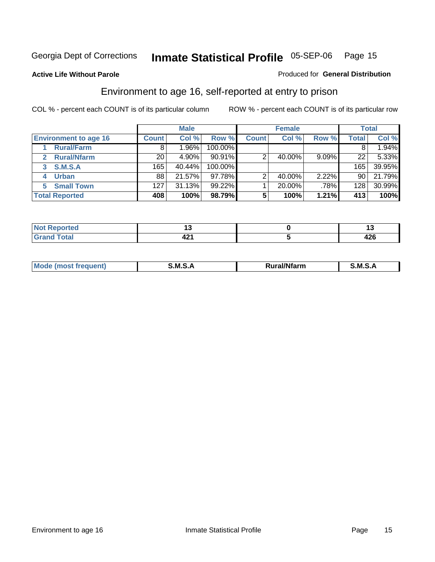Produced for **General Distribution**

#### **Active Life Without Parole**

### Environment to age 16, self-reported at entry to prison

|                              | <b>Male</b>      |         |         | <b>Female</b> |        |       | <b>Total</b> |        |
|------------------------------|------------------|---------|---------|---------------|--------|-------|--------------|--------|
| <b>Environment to age 16</b> | <b>Count</b>     | Col %   | Row %   | <b>Count</b>  | Col %  | Row % | <b>Total</b> | Col %  |
| <b>Rural/Farm</b>            | 8                | $.96\%$ | 100.00% |               |        |       |              | 1.94%  |
| <b>Rural/Nfarm</b><br>2      | 20               | 4.90%   | 90.91%  |               | 40.00% | 9.09% | 22           | 5.33%  |
| S.M.S.A<br>3                 | 165              | 40.44%  | 100.00% |               |        |       | 165          | 39.95% |
| <b>Urban</b>                 | 88               | 21.57%  | 97.78%  |               | 40.00% | 2.22% | 90           | 21.79% |
| <b>Small Town</b><br>5.      | 127 <sub>1</sub> | 31.13%  | 99.22%  |               | 20.00% | .78%  | 128          | 30.99% |
| <b>Total Reported</b>        | 408              | 100%    | 98.79%  | 5             | 100%   | 1.21% | 413          | 100%   |

| Reported<br>. Not<br>$\sim$ |            | 1 v         |
|-----------------------------|------------|-------------|
| <b>Grand Total</b>          | . .<br>- - | "^^<br>44 Y |

| Mo<br><b>CONTRACTOR</b><br>. M S<br>M<br>---<br>Nfarn<br>.<br>______<br>______ |  |  |
|--------------------------------------------------------------------------------|--|--|
|                                                                                |  |  |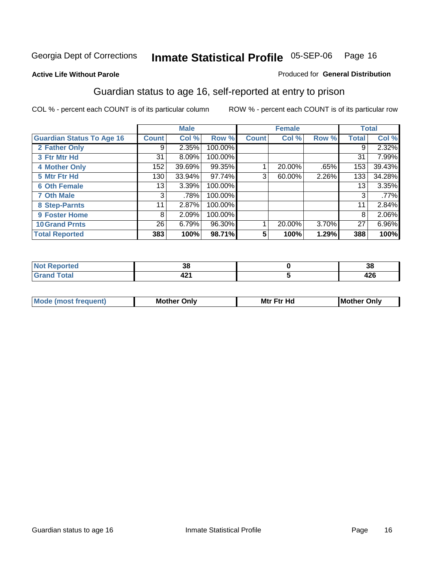Produced for **General Distribution**

#### **Active Life Without Parole**

### Guardian status to age 16, self-reported at entry to prison

|                                  |              | <b>Male</b> |         |              | <b>Female</b> |       |       | <b>Total</b> |
|----------------------------------|--------------|-------------|---------|--------------|---------------|-------|-------|--------------|
| <b>Guardian Status To Age 16</b> | <b>Count</b> | Col %       | Row %   | <b>Count</b> | Col %         | Row % | Total | Col %        |
| 2 Father Only                    | 9            | 2.35%       | 100.00% |              |               |       | 9     | 2.32%        |
| 3 Ftr Mtr Hd                     | 31           | 8.09%       | 100.00% |              |               |       | 31    | 7.99%        |
| <b>4 Mother Only</b>             | 152          | 39.69%      | 99.35%  |              | 20.00%        | .65%  | 153   | 39.43%       |
| 5 Mtr Ftr Hd                     | 130          | 33.94%      | 97.74%  | 3            | 60.00%        | 2.26% | 133   | 34.28%       |
| <b>6 Oth Female</b>              | 13           | 3.39%       | 100.00% |              |               |       | 13    | 3.35%        |
| <b>7 Oth Male</b>                | 3            | .78%        | 100.00% |              |               |       | 3     | .77%         |
| 8 Step-Parnts                    | 11           | 2.87%       | 100.00% |              |               |       | 11    | 2.84%        |
| 9 Foster Home                    | 8            | 2.09%       | 100.00% |              |               |       | 8     | 2.06%        |
| <b>10 Grand Prnts</b>            | 26           | 6.79%       | 96.30%  |              | 20.00%        | 3.70% | 27    | 6.96%        |
| <b>Total Reported</b>            | 383          | 100%        | 98.71%  | 5            | 100%          | 1.29% | 388   | 100%         |

| - -<br>,, | .JL                         |
|-----------|-----------------------------|
|           | $\sim$ $\sim$<br>- 14<br>__ |

| <b>Mou</b> | Mother<br>Onlv | Hd<br>Mtr<br>E4w | M<br>Only<br>. |
|------------|----------------|------------------|----------------|
|            |                |                  |                |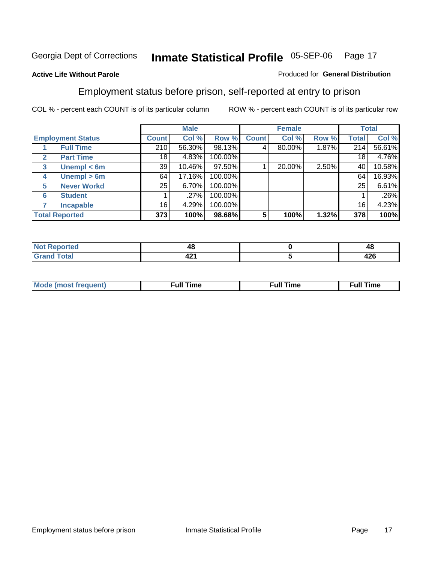#### **Active Life Without Parole**

#### Produced for **General Distribution**

### Employment status before prison, self-reported at entry to prison

|                          |                       |              | <b>Male</b> |         |              | <b>Female</b> |       |                 | <b>Total</b> |
|--------------------------|-----------------------|--------------|-------------|---------|--------------|---------------|-------|-----------------|--------------|
| <b>Employment Status</b> |                       | <b>Count</b> | Col %       | Row %   | <b>Count</b> | Col %         | Row % | Total           | Col %        |
|                          | <b>Full Time</b>      | 210          | 56.30%      | 98.13%  | 4            | 80.00%        | 1.87% | 214             | 56.61%       |
| $\mathbf{2}$             | <b>Part Time</b>      | 18           | 4.83%       | 100.00% |              |               |       | 18              | 4.76%        |
| 3                        | Unempl $<$ 6m         | 39           | 10.46%      | 97.50%  |              | 20.00%        | 2.50% | 40              | 10.58%       |
| 4                        | Unempl $> 6m$         | 64           | 17.16%      | 100.00% |              |               |       | 64              | 16.93%       |
| 5                        | <b>Never Workd</b>    | 25           | 6.70%       | 100.00% |              |               |       | 25              | 6.61%        |
| 6                        | <b>Student</b>        |              | .27%        | 100.00% |              |               |       |                 | .26%         |
|                          | <b>Incapable</b>      | 16           | 4.29%       | 100.00% |              |               |       | 16 <sub>1</sub> | 4.23%        |
|                          | <b>Total Reported</b> | 373          | 100%        | 98.68%  | 5            | 100%          | 1.32% | 378             | 100%         |

| тес.         | <br>4٥        | ᠇៶         |
|--------------|---------------|------------|
| <b>Total</b> | $\sim$<br>- 2 | ハウビ<br>440 |

| <b>M</b> ດ | the contract of the contract of the contract of the contract of the contract of the contract of the contract of | , ull i<br>ıme | ïme<br>uı<br>$\sim$ $\sim$ $\sim$ $\sim$ $\sim$ |
|------------|-----------------------------------------------------------------------------------------------------------------|----------------|-------------------------------------------------|
|            |                                                                                                                 |                |                                                 |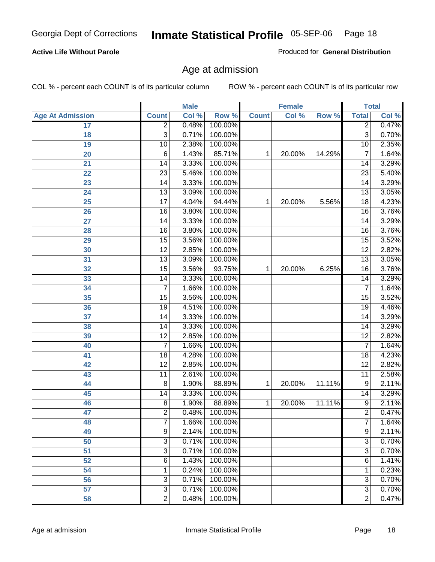#### **Active Life Without Parole**

Produced for **General Distribution**

### Age at admission

|                         |                 | <b>Male</b> |         | <b>Female</b> |        | <b>Total</b> |                 |       |
|-------------------------|-----------------|-------------|---------|---------------|--------|--------------|-----------------|-------|
| <b>Age At Admission</b> | <b>Count</b>    | Col %       | Row %   | <b>Count</b>  | Col %  | Row %        | <b>Total</b>    | Col % |
| 17                      | $\overline{2}$  | 0.48%       | 100.00% |               |        |              | 2               | 0.47% |
| 18                      | $\overline{3}$  | 0.71%       | 100.00% |               |        |              | $\overline{3}$  | 0.70% |
| 19                      | 10              | 2.38%       | 100.00% |               |        |              | $\overline{10}$ | 2.35% |
| 20                      | 6               | 1.43%       | 85.71%  | 1             | 20.00% | 14.29%       | 7               | 1.64% |
| 21                      | 14              | 3.33%       | 100.00% |               |        |              | 14              | 3.29% |
| 22                      | $\overline{23}$ | 5.46%       | 100.00% |               |        |              | $\overline{23}$ | 5.40% |
| 23                      | $\overline{14}$ | 3.33%       | 100.00% |               |        |              | $\overline{14}$ | 3.29% |
| 24                      | $\overline{13}$ | 3.09%       | 100.00% |               |        |              | 13              | 3.05% |
| 25                      | $\overline{17}$ | 4.04%       | 94.44%  | 1             | 20.00% | 5.56%        | 18              | 4.23% |
| 26                      | 16              | 3.80%       | 100.00% |               |        |              | 16              | 3.76% |
| 27                      | $\overline{14}$ | 3.33%       | 100.00% |               |        |              | $\overline{14}$ | 3.29% |
| 28                      | $\overline{16}$ | 3.80%       | 100.00% |               |        |              | 16              | 3.76% |
| 29                      | $\overline{15}$ | 3.56%       | 100.00% |               |        |              | $\overline{15}$ | 3.52% |
| 30                      | $\overline{12}$ | 2.85%       | 100.00% |               |        |              | $\overline{12}$ | 2.82% |
| 31                      | $\overline{13}$ | 3.09%       | 100.00% |               |        |              | $\overline{13}$ | 3.05% |
| 32                      | 15              | 3.56%       | 93.75%  | 1             | 20.00% | 6.25%        | 16              | 3.76% |
| 33                      | 14              | 3.33%       | 100.00% |               |        |              | 14              | 3.29% |
| 34                      | 7               | 1.66%       | 100.00% |               |        |              | 7               | 1.64% |
| 35                      | 15              | 3.56%       | 100.00% |               |        |              | 15              | 3.52% |
| 36                      | 19              | 4.51%       | 100.00% |               |        |              | 19              | 4.46% |
| 37                      | 14              | 3.33%       | 100.00% |               |        |              | 14              | 3.29% |
| 38                      | $\overline{14}$ | 3.33%       | 100.00% |               |        |              | 14              | 3.29% |
| 39                      | $\overline{12}$ | 2.85%       | 100.00% |               |        |              | $\overline{12}$ | 2.82% |
| 40                      | 7               | 1.66%       | 100.00% |               |        |              | 7               | 1.64% |
| 41                      | 18              | 4.28%       | 100.00% |               |        |              | 18              | 4.23% |
| 42                      | $\overline{12}$ | 2.85%       | 100.00% |               |        |              | $\overline{12}$ | 2.82% |
| 43                      | $\overline{11}$ | 2.61%       | 100.00% |               |        |              | $\overline{11}$ | 2.58% |
| 44                      | 8               | 1.90%       | 88.89%  | 1             | 20.00% | 11.11%       | 9               | 2.11% |
| 45                      | 14              | 3.33%       | 100.00% |               |        |              | 14              | 3.29% |
| 46                      | 8               | 1.90%       | 88.89%  | 1             | 20.00% | 11.11%       | $\overline{9}$  | 2.11% |
| 47                      | $\overline{2}$  | 0.48%       | 100.00% |               |        |              | $\overline{2}$  | 0.47% |
| 48                      | T               | 1.66%       | 100.00% |               |        |              | <sup>'</sup>    | 1.64% |
| 49                      | 9               | 2.14%       | 100.00% |               |        |              | 9               | 2.11% |
| 50                      | $\overline{3}$  | 0.71%       | 100.00% |               |        |              | $\overline{3}$  | 0.70% |
| 51                      | 3               | 0.71%       | 100.00% |               |        |              | $\overline{3}$  | 0.70% |
| 52                      | 6               | 1.43%       | 100.00% |               |        |              | 6               | 1.41% |
| 54                      | 1               | 0.24%       | 100.00% |               |        |              | 1               | 0.23% |
| 56                      | 3               | 0.71%       | 100.00% |               |        |              | $\overline{3}$  | 0.70% |
| $\overline{57}$         | $\overline{3}$  | 0.71%       | 100.00% |               |        |              | $\overline{3}$  | 0.70% |
| 58                      | $\overline{2}$  | 0.48%       | 100.00% |               |        |              | $\overline{2}$  | 0.47% |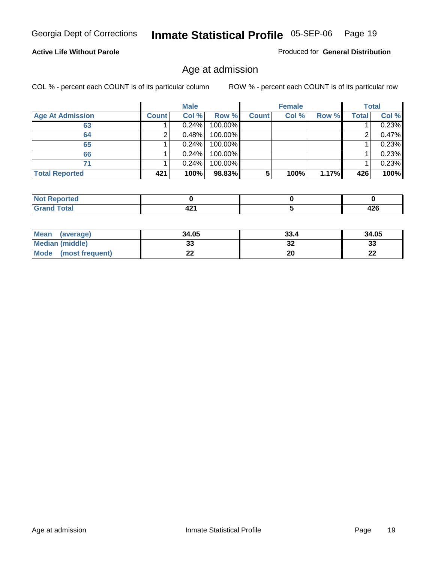#### **Active Life Without Parole**

Produced for **General Distribution**

### Age at admission

|                         |              | <b>Male</b> |         |              | <b>Female</b> |       |              | <b>Total</b> |
|-------------------------|--------------|-------------|---------|--------------|---------------|-------|--------------|--------------|
| <b>Age At Admission</b> | <b>Count</b> | Col %       | Row %   | <b>Count</b> | Col %         | Row % | <b>Total</b> | Col %        |
| 63                      |              | 0.24%       | 100.00% |              |               |       |              | 0.23%        |
| 64                      |              | 0.48%       | 100.00% |              |               |       |              | 0.47%        |
| 65                      |              | 0.24%       | 100.00% |              |               |       |              | 0.23%        |
| 66                      |              | 0.24%       | 100.00% |              |               |       |              | 0.23%        |
| 71                      |              | 0.24%       | 100.00% |              |               |       |              | 0.23%        |
| <b>Total Reported</b>   | 421          | 100%        | 98.83%  | 5            | 100%          | 1.17% | 426          | 100%         |

| orted<br>N         |      |      |
|--------------------|------|------|
| í ota <sup>r</sup> | In.  | ハつに  |
| .                  | 74 L | 44 U |

| <b>Mean</b><br>(average)       | 34.05 | 33.4 | 34.05     |
|--------------------------------|-------|------|-----------|
| <b>Median (middle)</b>         | JJ    | 32   | ົ<br>ند   |
| <b>Mode</b><br>(most frequent) | --    | 20   | ne.<br>LL |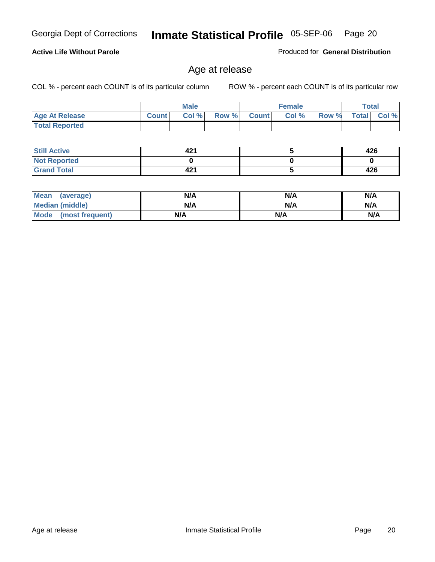COL % - percent each COUNT is of its particular column ROW % - percent each COUNT is of its particular row

|                       |         | <b>Male</b> |       |              | <b>Female</b> |       |              | Total |
|-----------------------|---------|-------------|-------|--------------|---------------|-------|--------------|-------|
| <b>Age At Release</b> | Count I | Col %       | Row % | <b>Count</b> | Col %         | Row % | <b>Total</b> | Col % |
| <b>Total Reported</b> |         |             |       |              |               |       |              |       |

Age at release

| <b>Still Active</b> | . .<br>42 | 426 |
|---------------------|-----------|-----|
| <b>Not Reported</b> |           |     |
| <b>Grand Total</b>  | 42        | 426 |

| Mean<br>(average)      | N/A | N/A | N/A |
|------------------------|-----|-----|-----|
| <b>Median (middle)</b> | N/A | N/A | N/A |
| Mode (most frequent)   | N/A | N/A | N/A |

#### **Active Life Without Parole**

Produced for **General Distribution**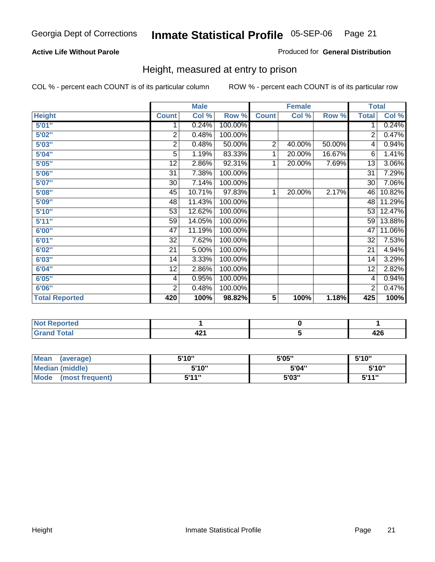#### **Active Life Without Parole**

#### Produced for **General Distribution**

### Height, measured at entry to prison

|                       |                 | <b>Male</b> |         |                | <b>Female</b> |        |                 | <b>Total</b> |
|-----------------------|-----------------|-------------|---------|----------------|---------------|--------|-----------------|--------------|
| <b>Height</b>         | <b>Count</b>    | Col %       | Row %   | <b>Count</b>   | Col %         | Row %  | <b>Total</b>    | Col %        |
| 5'01''                | 1               | 0.24%       | 100.00% |                |               |        | 1               | 0.24%        |
| 5'02"                 | $\overline{2}$  | 0.48%       | 100.00% |                |               |        | $\overline{2}$  | 0.47%        |
| 5'03"                 | 2               | 0.48%       | 50.00%  | $\overline{2}$ | 40.00%        | 50.00% | 4               | 0.94%        |
| 5'04"                 | 5               | 1.19%       | 83.33%  | 1              | 20.00%        | 16.67% | 6               | 1.41%        |
| 5'05"                 | 12              | 2.86%       | 92.31%  | 1              | 20.00%        | 7.69%  | 13              | 3.06%        |
| 5'06"                 | $\overline{31}$ | 7.38%       | 100.00% |                |               |        | $\overline{31}$ | 7.29%        |
| 5'07''                | 30              | 7.14%       | 100.00% |                |               |        | 30              | 7.06%        |
| 5'08"                 | 45              | 10.71%      | 97.83%  | 1              | 20.00%        | 2.17%  | 46              | 10.82%       |
| 5'09"                 | 48              | 11.43%      | 100.00% |                |               |        | 48              | 11.29%       |
| 5'10''                | 53              | 12.62%      | 100.00% |                |               |        | 53              | 12.47%       |
| 5'11''                | 59              | 14.05%      | 100.00% |                |               |        | 59              | 13.88%       |
| 6'00''                | 47              | 11.19%      | 100.00% |                |               |        | 47              | 11.06%       |
| 6'01''                | 32              | 7.62%       | 100.00% |                |               |        | 32              | 7.53%        |
| 6'02"                 | 21              | 5.00%       | 100.00% |                |               |        | 21              | 4.94%        |
| 6'03"                 | 14              | 3.33%       | 100.00% |                |               |        | 14              | 3.29%        |
| 6'04"                 | 12              | 2.86%       | 100.00% |                |               |        | 12              | 2.82%        |
| 6'05"                 | 4               | 0.95%       | 100.00% |                |               |        | 4               | 0.94%        |
| 6'06"                 | $\overline{2}$  | 0.48%       | 100.00% |                |               |        | $\overline{2}$  | 0.47%        |
| <b>Total Reported</b> | 420             | 100%        | 98.82%  | 5              | 100%          | 1.18%  | 425             | 100%         |

| τeα<br>.  |     |        |
|-----------|-----|--------|
| $-$ 4 $-$ | າດ. | .      |
| -         | 74  | - -    |
| _____     |     | $\sim$ |

| Mean<br>(average)       | 5'10" | 5'05" | 5'10"             |
|-------------------------|-------|-------|-------------------|
| Median (middle)         | 5'10" | 5'04" | 5'10"             |
| Mode<br>(most frequent) | 5'11" | 5'03" | <b>5'44"</b><br>◡ |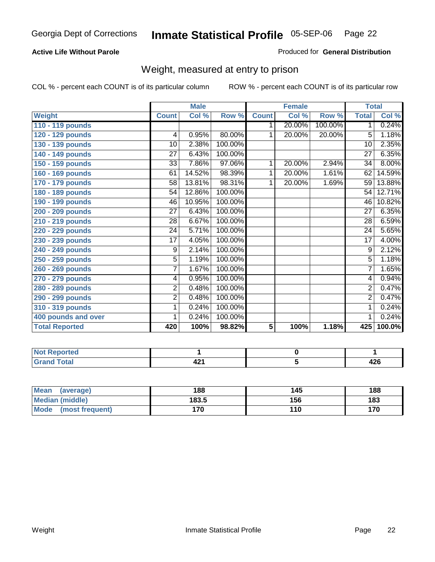#### **Active Life Without Parole**

#### Produced for **General Distribution**

### Weight, measured at entry to prison

|                       |                 | <b>Male</b> |         |              | <b>Female</b> |         |                 | <b>Total</b> |
|-----------------------|-----------------|-------------|---------|--------------|---------------|---------|-----------------|--------------|
| Weight                | <b>Count</b>    | Col %       | Row %   | <b>Count</b> | Col %         | Row %   | <b>Total</b>    | Col %        |
| 110 - 119 pounds      |                 |             |         | 1.           | 20.00%        | 100.00% | 1 <sup>1</sup>  | 0.24%        |
| 120 - 129 pounds      | $\overline{4}$  | 0.95%       | 80.00%  | 1            | 20.00%        | 20.00%  | $\overline{5}$  | 1.18%        |
| 130 - 139 pounds      | 10              | 2.38%       | 100.00% |              |               |         | $\overline{10}$ | 2.35%        |
| 140 - 149 pounds      | $\overline{27}$ | 6.43%       | 100.00% |              |               |         | $\overline{27}$ | 6.35%        |
| 150 - 159 pounds      | 33              | 7.86%       | 97.06%  | 1            | 20.00%        | 2.94%   | 34              | 8.00%        |
| 160 - 169 pounds      | 61              | 14.52%      | 98.39%  | 1            | 20.00%        | 1.61%   | 62              | 14.59%       |
| 170 - 179 pounds      | 58              | 13.81%      | 98.31%  | 1            | 20.00%        | 1.69%   | 59              | 13.88%       |
| 180 - 189 pounds      | 54              | 12.86%      | 100.00% |              |               |         | 54              | 12.71%       |
| 190 - 199 pounds      | 46              | 10.95%      | 100.00% |              |               |         | 46              | 10.82%       |
| 200 - 209 pounds      | 27              | 6.43%       | 100.00% |              |               |         | $\overline{27}$ | 6.35%        |
| 210 - 219 pounds      | 28              | 6.67%       | 100.00% |              |               |         | 28              | 6.59%        |
| 220 - 229 pounds      | $\overline{24}$ | 5.71%       | 100.00% |              |               |         | $\overline{24}$ | 5.65%        |
| 230 - 239 pounds      | $\overline{17}$ | 4.05%       | 100.00% |              |               |         | $\overline{17}$ | 4.00%        |
| 240 - 249 pounds      | 9               | 2.14%       | 100.00% |              |               |         | $\overline{9}$  | 2.12%        |
| 250 - 259 pounds      | 5               | 1.19%       | 100.00% |              |               |         | $\overline{5}$  | 1.18%        |
| 260 - 269 pounds      | 7               | 1.67%       | 100.00% |              |               |         | $\overline{7}$  | 1.65%        |
| 270 - 279 pounds      | 4               | 0.95%       | 100.00% |              |               |         | 4               | 0.94%        |
| 280 - 289 pounds      | 2               | 0.48%       | 100.00% |              |               |         | $\overline{2}$  | 0.47%        |
| 290 - 299 pounds      | 2               | 0.48%       | 100.00% |              |               |         | $\overline{2}$  | 0.47%        |
| 310 - 319 pounds      | 1               | 0.24%       | 100.00% |              |               |         | 1               | 0.24%        |
| 400 pounds and over   | 1               | 0.24%       | 100.00% |              |               |         | 1               | 0.24%        |
| <b>Total Reported</b> | 420             | 100%        | 98.82%  | 5            | 100%          | 1.18%   | 425             | 100.0%       |

| <b>NO</b><br>ттео |            |     |
|-------------------|------------|-----|
| <b>Total</b><br>- | 40.<br>- - | −∠∪ |

| Mean<br>(average)       | 188   | 145 | 188 |
|-------------------------|-------|-----|-----|
| Median (middle)         | 183.5 | 156 | 183 |
| Mode<br>(most frequent) | '70   | 110 | 170 |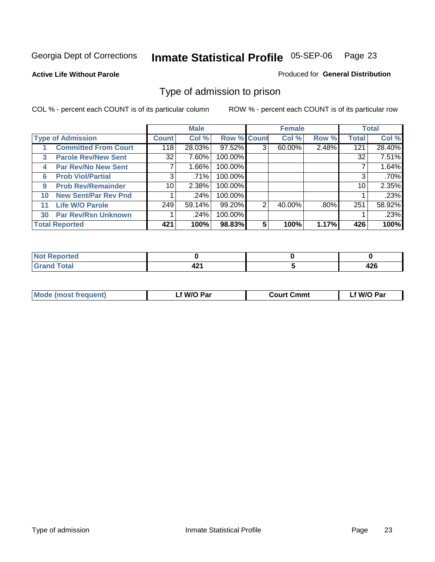#### **Active Life Without Parole**

#### Produced for **General Distribution**

### Type of admission to prison

|    |                             |                 | <b>Male</b> |                    |   | <b>Female</b> |         |              | <b>Total</b> |
|----|-----------------------------|-----------------|-------------|--------------------|---|---------------|---------|--------------|--------------|
|    | <b>Type of Admission</b>    | <b>Count</b>    | Col %       | <b>Row % Count</b> |   | Col %         | Row %   | <b>Total</b> | Col %        |
|    | <b>Committed From Court</b> | 118             | 28.03%      | 97.52%             | 3 | 60.00%        | 2.48%   | 121          | 28.40%       |
| 3  | <b>Parole Rev/New Sent</b>  | 32              | 7.60%       | 100.00%            |   |               |         | 32           | 7.51%        |
| 4  | <b>Par Rev/No New Sent</b>  |                 | 1.66%       | 100.00%            |   |               |         |              | 1.64%        |
| 6  | <b>Prob Viol/Partial</b>    | 3               | .71%        | 100.00%            |   |               |         |              | .70%         |
| 9  | <b>Prob Rev/Remainder</b>   | 10 <sup>1</sup> | 2.38%       | 100.00%            |   |               |         | 10           | 2.35%        |
| 10 | <b>New Sent/Par Rev Pnd</b> |                 | .24%        | 100.00%            |   |               |         |              | .23%         |
| 11 | <b>Life W/O Parole</b>      | 249             | 59.14%      | 99.20%             | 2 | 40.00%        | $.80\%$ | 251          | 58.92%       |
| 30 | <b>Par Rev/Rsn Unknown</b>  |                 | .24%        | 100.00%            |   |               |         |              | .23%         |
|    | <b>Total Reported</b>       | 421             | 100%        | 98.83%             | 5 | 100%          | 1.17%   | 426          | 100%         |

| <b>Reported</b>                                 |           |             |
|-------------------------------------------------|-----------|-------------|
| <b>Total</b><br><b>C.A.A</b><br><b>UI di Iu</b> | . .<br>74 | ハウビ<br>44 U |

| <b>Mode (most frequent)</b> | <b>W/O Par</b> | <b>Court Cmmt</b> | M/O Par |
|-----------------------------|----------------|-------------------|---------|
|                             |                |                   |         |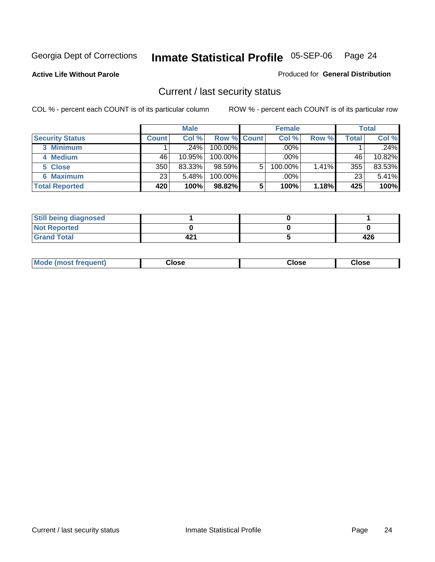**Active Life Without Parole** 

Produced for **General Distribution**

### Current / last security status

|                        |              | <b>Male</b> |                    |   | <b>Female</b> |       |       | <b>Total</b> |
|------------------------|--------------|-------------|--------------------|---|---------------|-------|-------|--------------|
| <b>Security Status</b> | <b>Count</b> | Col %       | <b>Row % Count</b> |   | Col %         | Row % | Total | Col %        |
| 3 Minimum              |              | $.24\%$     | $100.00\%$         |   | .00%          |       |       | .24%         |
| 4 Medium               | 46           | 10.95%      | $100.00\%$         |   | $.00\%$       |       | 46    | 10.82%       |
| 5 Close                | 350          | 83.33%      | $98.59\%$          | 5 | 100.00%       | 1.41% | 355   | 83.53%       |
| 6 Maximum              | 23           | 5.48%       | 100.00%            |   | .00%          |       | 23    | 5.41%        |
| <b>Total Reported</b>  | 420          | 100%        | 98.82%             | 5 | 100%          | 1.18% | 425   | 100%         |

| <b>Still being diagnosed</b> |     |     |
|------------------------------|-----|-----|
| <b>Not Reported</b>          |     |     |
| <b>Grand Total</b>           | 421 | 426 |

| <b>Mode</b><br><b>OSE</b><br>∵lose<br>(most frequent)<br>oseث<br>- - - -<br>- - - -<br>- - - - |  |
|------------------------------------------------------------------------------------------------|--|
|------------------------------------------------------------------------------------------------|--|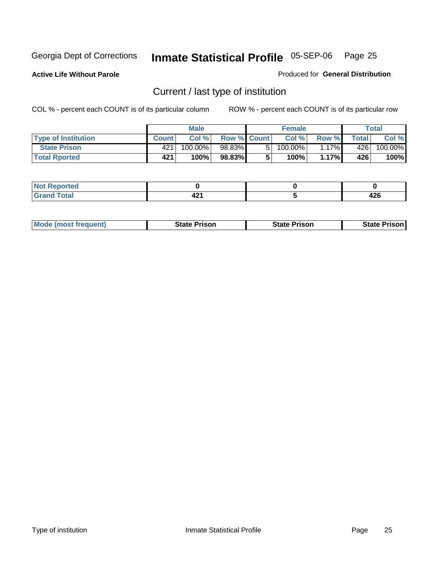**Active Life Without Parole** 

Produced for **General Distribution**

### Current / last type of institution

|                            |              | <b>Male</b> |                    |    | <b>Female</b> |          |         | <b>Total</b> |
|----------------------------|--------------|-------------|--------------------|----|---------------|----------|---------|--------------|
| <b>Type of Institution</b> | <b>Count</b> | Col%        | <b>Row % Count</b> |    | Col%          | Row %    | Total i | Col %        |
| <b>State Prison</b>        | 421          | 100.00%」    | 98.83%             | 51 | 100.00%       | $1.17\%$ | 426     | 100.00%      |
| <b>Total Rported</b>       | 421          | 100%        | 98.83%             |    | 100%          | 1.17%    | 426     | 100%         |

| <b>rted</b><br>. |                   |             |
|------------------|-------------------|-------------|
| $ -$             | . .<br>. .<br>-74 | 100<br>44 U |

|  | <b>Mode (most frequent)</b> | State Prison | <b>State Prison</b> | <b>State Prison</b> |
|--|-----------------------------|--------------|---------------------|---------------------|
|--|-----------------------------|--------------|---------------------|---------------------|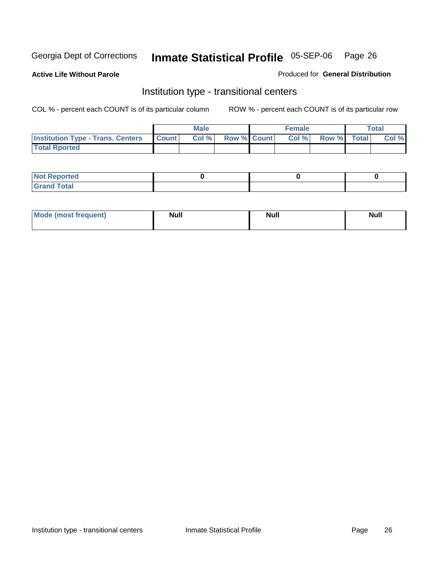**Active Life Without Parole** 

Produced for **General Distribution**

### Institution type - transitional centers

|                                                | <b>Male</b> |                    | <b>Female</b> |             | Total |
|------------------------------------------------|-------------|--------------------|---------------|-------------|-------|
| <b>Institution Type - Trans. Centers Count</b> | Col %       | <b>Row % Count</b> | Col %         | Row % Total | Col % |
| <b>Total Rported</b>                           |             |                    |               |             |       |

| <b>Not Reported</b>  |  |  |
|----------------------|--|--|
| <b>Total</b><br>Cror |  |  |

| Mode (most frequent) | <b>Null</b> | <b>Null</b> | <b>Null</b> |
|----------------------|-------------|-------------|-------------|
|                      |             |             |             |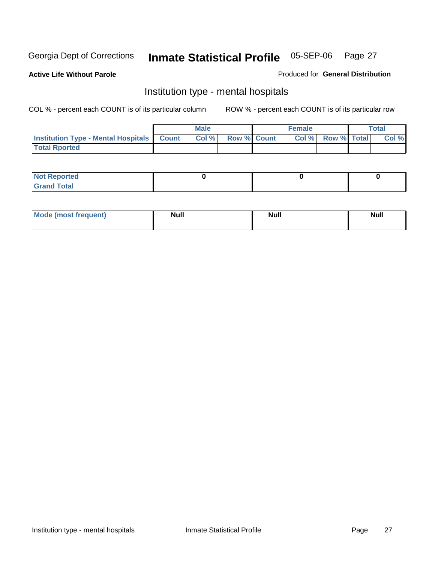**Active Life Without Parole** 

Produced for **General Distribution**

### Institution type - mental hospitals

|                                                  | Male |                    | <b>Female</b> |                    | <b>Total</b> |
|--------------------------------------------------|------|--------------------|---------------|--------------------|--------------|
| <b>Institution Type - Mental Hospitals Count</b> | Col% | <b>Row % Count</b> | Col%          | <b>Row % Total</b> | Col %        |
| <b>Total Rported</b>                             |      |                    |               |                    |              |

| <b>Not Reported</b>            |  |  |
|--------------------------------|--|--|
| <b>Total</b><br>$^\circ$ Grand |  |  |

| Mode (most frequent) | <b>Null</b> | <b>Null</b> | <b>Null</b> |
|----------------------|-------------|-------------|-------------|
|                      |             |             |             |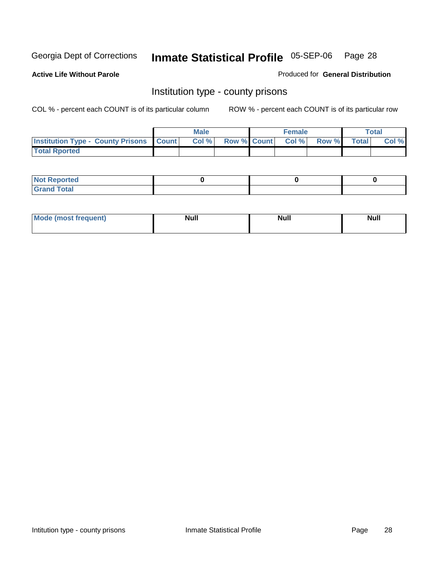**Active Life Without Parole** 

Produced for **General Distribution**

### Institution type - county prisons

|                                                    | <b>Male</b> |  | <b>Female</b>     |       |              | Total |
|----------------------------------------------------|-------------|--|-------------------|-------|--------------|-------|
| <b>Institution Type - County Prisons   Count  </b> | Col%        |  | Row % Count Col % | Row % | <b>Total</b> | Col % |
| <b>Total Rported</b>                               |             |  |                   |       |              |       |

| <b>Not Reported</b>        |  |  |
|----------------------------|--|--|
| <b>Total</b><br>.Grar<br>_ |  |  |

| <b>Mo</b><br>frequent) | NI. . II<br>1u 11 | <b>Moll</b> | <b>Null</b> |
|------------------------|-------------------|-------------|-------------|
|                        |                   |             |             |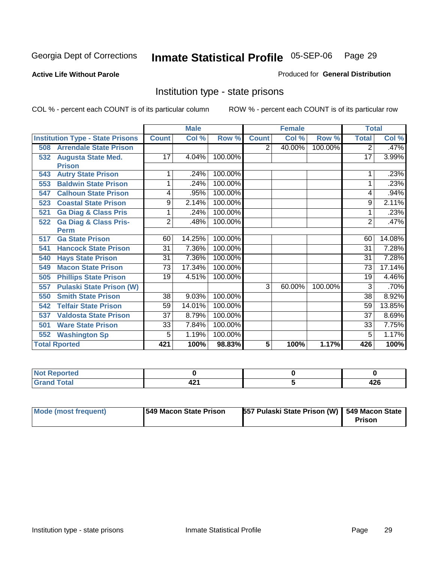**Active Life Without Parole** 

Produced for **General Distribution**

### Institution type - state prisons

|                                         |                                  |                 | <b>Male</b> |         |              | <b>Female</b> |         | <b>Total</b>    |        |
|-----------------------------------------|----------------------------------|-----------------|-------------|---------|--------------|---------------|---------|-----------------|--------|
| <b>Institution Type - State Prisons</b> |                                  | <b>Count</b>    | Col %       | Row %   | <b>Count</b> | Col %         | Row %   | <b>Total</b>    | Col %  |
| 508                                     | <b>Arrendale State Prison</b>    |                 |             |         | 2            | 40.00%        | 100.00% | 2               | .47%   |
| <b>Augusta State Med.</b><br>532        |                                  | 17              | 4.04%       | 100.00% |              |               |         | 17              | 3.99%  |
| <b>Prison</b>                           |                                  |                 |             |         |              |               |         |                 |        |
| <b>Autry State Prison</b><br>543        |                                  |                 | .24%        | 100.00% |              |               |         |                 | .23%   |
| 553                                     | <b>Baldwin State Prison</b>      |                 | .24%        | 100.00% |              |               |         |                 | .23%   |
| 547                                     | <b>Calhoun State Prison</b>      | 4               | .95%        | 100.00% |              |               |         | 4               | .94%   |
| 523                                     | <b>Coastal State Prison</b>      | 9               | 2.14%       | 100.00% |              |               |         | 9               | 2.11%  |
| 521                                     | <b>Ga Diag &amp; Class Pris</b>  | 1               | .24%        | 100.00% |              |               |         |                 | .23%   |
| 522                                     | <b>Ga Diag &amp; Class Pris-</b> | $\overline{2}$  | .48%        | 100.00% |              |               |         | 2               | .47%   |
| <b>Perm</b>                             |                                  |                 |             |         |              |               |         |                 |        |
| <b>Ga State Prison</b><br>517           |                                  | 60              | 14.25%      | 100.00% |              |               |         | 60              | 14.08% |
| 541                                     | <b>Hancock State Prison</b>      | $\overline{31}$ | 7.36%       | 100.00% |              |               |         | 31              | 7.28%  |
| <b>Hays State Prison</b><br>540         |                                  | $\overline{31}$ | 7.36%       | 100.00% |              |               |         | 31              | 7.28%  |
| <b>Macon State Prison</b><br>549        |                                  | $\overline{73}$ | 17.34%      | 100.00% |              |               |         | 73              | 17.14% |
| 505                                     | <b>Phillips State Prison</b>     | 19              | 4.51%       | 100.00% |              |               |         | 19              | 4.46%  |
| 557                                     | <b>Pulaski State Prison (W)</b>  |                 |             |         | 3            | 60.00%        | 100.00% | 3               | .70%   |
| <b>Smith State Prison</b><br>550        |                                  | $\overline{38}$ | 9.03%       | 100.00% |              |               |         | $\overline{38}$ | 8.92%  |
| <b>Telfair State Prison</b><br>542      |                                  | 59              | 14.01%      | 100.00% |              |               |         | 59              | 13.85% |
| 537                                     | <b>Valdosta State Prison</b>     | $\overline{37}$ | 8.79%       | 100.00% |              |               |         | 37              | 8.69%  |
| <b>Ware State Prison</b><br>501         |                                  | 33              | 7.84%       | 100.00% |              |               |         | 33              | 7.75%  |
| <b>Washington Sp</b><br>552             |                                  | 5               | 1.19%       | 100.00% |              |               |         | 5               | 1.17%  |
| <b>Total Rported</b>                    |                                  | 421             | 100%        | 98.83%  | 5            | 100%          | 1.17%   | 426             | 100%   |

| τeα                                                 |             |             |
|-----------------------------------------------------|-------------|-------------|
| $T \cap A$<br>$\sim$ $\sim$ $\sim$ $\sim$<br>------ | 404<br>44 L | 10C<br>44 U |

| Mode (most frequent) | 1549 Macon State Prison | <b>557 Pulaski State Prison (W)   549 Macon State</b> | Prison |
|----------------------|-------------------------|-------------------------------------------------------|--------|
|----------------------|-------------------------|-------------------------------------------------------|--------|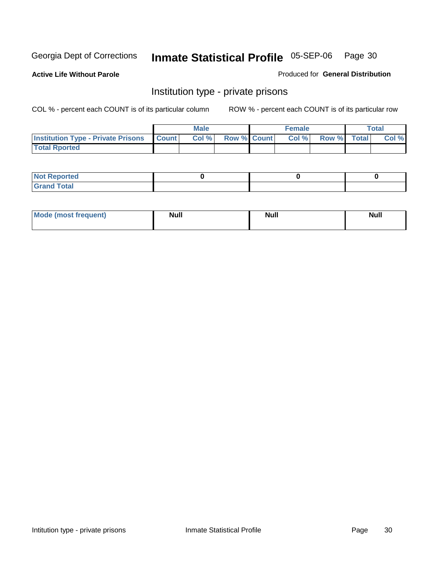**Active Life Without Parole** 

Produced for **General Distribution**

### Institution type - private prisons

|                                                 | <b>Male</b> |                    | <b>Female</b> |             | Total |
|-------------------------------------------------|-------------|--------------------|---------------|-------------|-------|
| <b>Institution Type - Private Prisons Count</b> | Col %       | <b>Row % Count</b> | Col %         | Row % Total | Col % |
| <b>Total Rported</b>                            |             |                    |               |             |       |

| <b>Not Reported</b>        |  |  |
|----------------------------|--|--|
| <b>otal</b><br>. Gror<br>. |  |  |

| Mode (most frequent) | <b>Null</b> | <b>Null</b> | <b>Null</b> |
|----------------------|-------------|-------------|-------------|
|                      |             |             |             |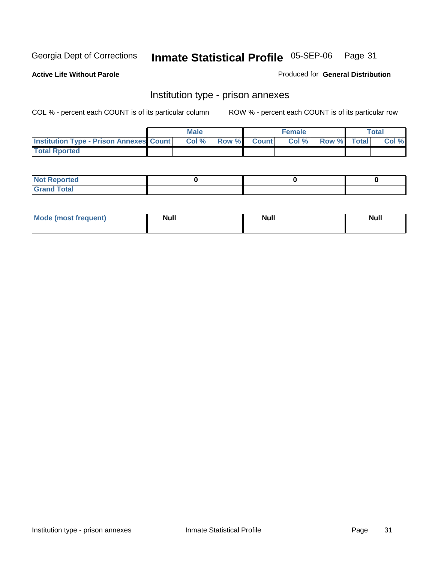**Active Life Without Parole** 

Produced for **General Distribution**

### Institution type - prison annexes

|                                                | <b>Male</b> |       |              | <b>Female</b> |             | <b>Total</b> |
|------------------------------------------------|-------------|-------|--------------|---------------|-------------|--------------|
| <b>Institution Type - Prison Annexes Count</b> | Col %       | Row % | <b>Count</b> | Col %         | Row % Total | Col %        |
| <b>Total Rported</b>                           |             |       |              |               |             |              |

| <b>Not Reported</b>            |  |  |
|--------------------------------|--|--|
| <b>Total</b><br>Croi<br>$\sim$ |  |  |

| Mode (most frequent) | <b>Null</b> | <b>Null</b> | <b>Null</b> |
|----------------------|-------------|-------------|-------------|
|                      |             |             |             |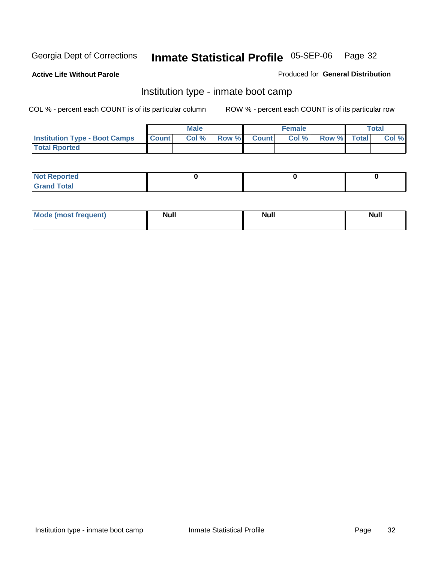**Active Life Without Parole** 

Produced for **General Distribution**

### Institution type - inmate boot camp

|                                      |              | Male  |             | <b>Female</b> |             | <b>Total</b> |
|--------------------------------------|--------------|-------|-------------|---------------|-------------|--------------|
| <b>Institution Type - Boot Camps</b> | <b>Count</b> | Col % | Row % Count | Col%          | Row % Total | Col %        |
| <b>Total Rported</b>                 |              |       |             |               |             |              |

| <b>Not Reported</b>  |  |  |
|----------------------|--|--|
| <b>Total</b><br>Croy |  |  |

| Mode (most frequent) | <b>Null</b> | <b>Null</b> | <b>Null</b> |
|----------------------|-------------|-------------|-------------|
|                      |             |             |             |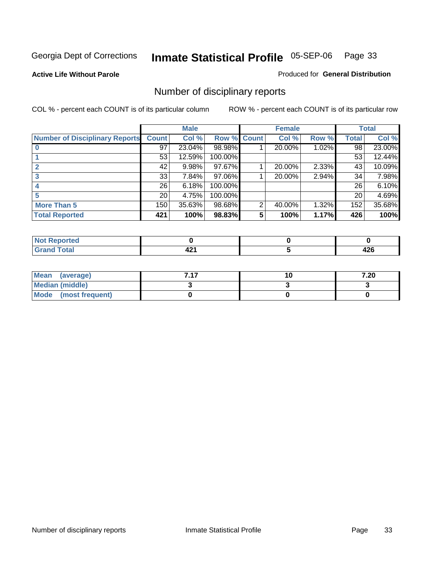**Active Life Without Parole** 

Produced for **General Distribution**

### Number of disciplinary reports

|                                       |                 | <b>Male</b> |             |   | <b>Female</b> |       |                 | <b>Total</b> |
|---------------------------------------|-----------------|-------------|-------------|---|---------------|-------|-----------------|--------------|
| <b>Number of Disciplinary Reports</b> | <b>Count</b>    | Col %       | Row % Count |   | Col %         | Row % | <b>Total</b>    | Col %        |
|                                       | 97              | 23.04%      | 98.98%      |   | 20.00%        | 1.02% | $\overline{98}$ | 23.00%       |
|                                       | 53              | 12.59%      | 100.00%     |   |               |       | 53              | 12.44%       |
|                                       | 42              | 9.98%       | 97.67%      |   | 20.00%        | 2.33% | 43              | 10.09%       |
|                                       | 33              | 7.84%       | 97.06%      |   | 20.00%        | 2.94% | 34              | 7.98%        |
|                                       | 26              | 6.18%       | 100.00%     |   |               |       | 26              | 6.10%        |
|                                       | 20 <sub>1</sub> | 4.75%       | 100.00%     |   |               |       | 20              | 4.69%        |
| <b>More Than 5</b>                    | 150             | 35.63%      | 98.68%      | 2 | 40.00%        | 1.32% | 152             | 35.68%       |
| <b>Total Reported</b>                 | 421             | 100%        | 98.83%      | 5 | 100%          | 1.17% | 426             | 100%         |

| .<br>w<br>ver. |                                |               |
|----------------|--------------------------------|---------------|
| $\sim$         | $\overline{\phantom{0}}$<br>т. | .<br>---<br>╍ |

| Mean (average)       | 747 | 10 | 7.20 |
|----------------------|-----|----|------|
| Median (middle)      |     |    |      |
| Mode (most frequent) |     |    |      |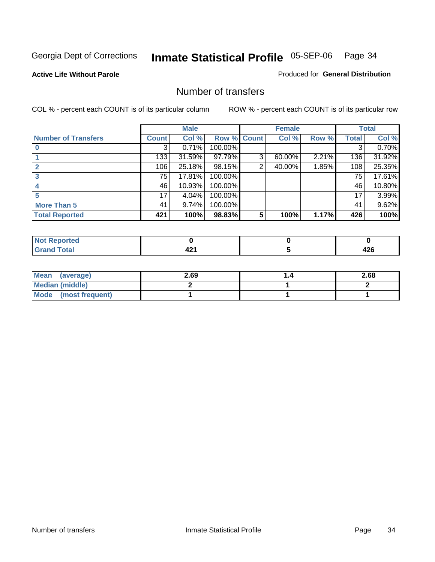#### **Active Life Without Parole**

#### Produced for **General Distribution**

### Number of transfers

|                            |              | <b>Male</b> |             |   | <b>Female</b> |       |              | <b>Total</b> |
|----------------------------|--------------|-------------|-------------|---|---------------|-------|--------------|--------------|
| <b>Number of Transfers</b> | <b>Count</b> | Col %       | Row % Count |   | Col %         | Row % | <b>Total</b> | Col %        |
|                            | 3            | 0.71%       | 100.00%     |   |               |       | 3            | 0.70%        |
|                            | 133          | 31.59%      | 97.79%      | 3 | 60.00%        | 2.21% | 136          | 31.92%       |
|                            | 106          | 25.18%      | 98.15%      | 2 | 40.00%        | 1.85% | 108          | 25.35%       |
| 3                          | 75           | 17.81%      | 100.00%     |   |               |       | 75           | 17.61%       |
|                            | 46           | 10.93%      | 100.00%     |   |               |       | 46           | 10.80%       |
|                            | 17           | 4.04%       | 100.00%     |   |               |       | 17           | 3.99%        |
| <b>More Than 5</b>         | 41           | 9.74%       | 100.00%     |   |               |       | 41           | 9.62%        |
| <b>Total Reported</b>      | 421          | 100%        | 98.83%      | 5 | 100%          | 1.17% | 426          | 100%         |

| .<br>N<br>тес  |               |          |
|----------------|---------------|----------|
| $T_{\text{N}}$ | -<br>-<br>. . | . .<br>╍ |

| Mean (average)       | 2.69 | 2.68 |
|----------------------|------|------|
| Median (middle)      |      |      |
| Mode (most frequent) |      |      |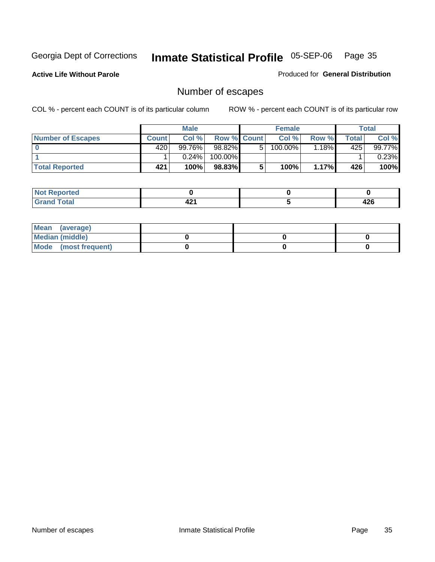**Active Life Without Parole** 

Produced for **General Distribution**

### Number of escapes

|                       |              | <b>Male</b> |                    |    | <b>Female</b> |          |       | <b>Total</b> |
|-----------------------|--------------|-------------|--------------------|----|---------------|----------|-------|--------------|
| Number of Escapes     | <b>Count</b> | Col%        | <b>Row % Count</b> |    | Col %         | Row %    | Total | Col %        |
|                       | 420          | 99.76%      | 98.82%             | 5. | 100.00%       | $1.18\%$ | 425   | 99.77%       |
|                       |              | 0.24%       | 100.00%            |    |               |          |       | 0.23%        |
| <b>Total Reported</b> | 421          | 100%        | 98.83%             |    | 100%          | 1.17%    | 426   | 100%         |

| rteo                            |         |                   |
|---------------------------------|---------|-------------------|
| <b>otal</b><br>$\mathbf{v}$ and | -<br>-- | <b>100</b><br>44O |

| Mean (average)       |  |  |
|----------------------|--|--|
| Median (middle)      |  |  |
| Mode (most frequent) |  |  |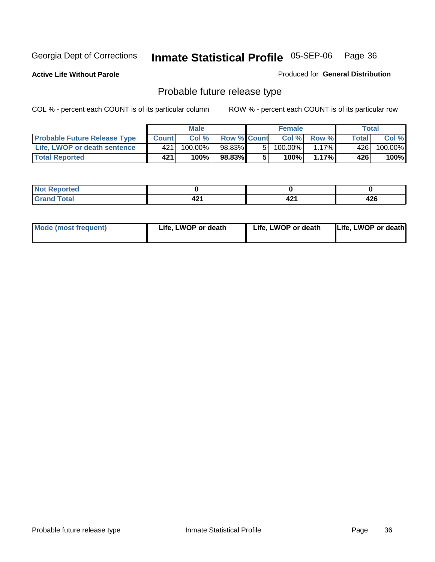**Active Life Without Parole** 

Produced for **General Distribution**

### Probable future release type

|                                     |              | <b>Male</b> |                    |   | <b>Female</b> |              |       | Total   |
|-------------------------------------|--------------|-------------|--------------------|---|---------------|--------------|-------|---------|
| <b>Probable Future Release Type</b> | <b>Count</b> | Col%        | <b>Row % Count</b> |   | Col %         | <b>Row %</b> | Total | Col %   |
| Life, LWOP or death sentence        | 421          | 100.00%     | 98.83%             | 5 | 100.00%       | $1.17\%$     | 426   | 100.00% |
| <b>Total Reported</b>               | 421          | 100%        | 98.83%             | 5 | 100%          | $1.17\%$     | 426   | 100%    |

| Reported<br>NOI |      |                          |     |
|-----------------|------|--------------------------|-----|
| <b>Total</b>    | .    | $\overline{\phantom{a}}$ | 426 |
| $\sim$          | 74 L | т д                      |     |

| <b>Mode (most frequent)</b> | Life, LWOP or death | Life, LWOP or death | Life, LWOP or death |
|-----------------------------|---------------------|---------------------|---------------------|
|-----------------------------|---------------------|---------------------|---------------------|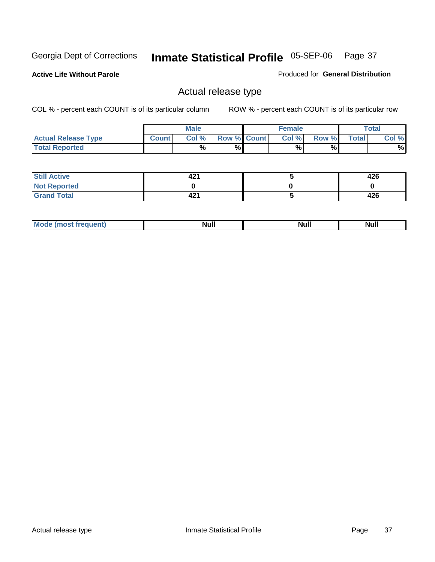**Active Life Without Parole** 

Produced for **General Distribution**

### Actual release type

|                            |              | <b>Male</b> |                    | <b>Female</b> |       |              | Total |
|----------------------------|--------------|-------------|--------------------|---------------|-------|--------------|-------|
| <b>Actual Release Type</b> | <b>Count</b> | Col %       | <b>Row % Count</b> | Col %         | Row % | <b>Total</b> | Col % |
| <b>Total Reported</b>      |              | $\%$        | %                  | %             | %     |              | %     |

| <b>Still Active</b> | 421 | 426 |
|---------------------|-----|-----|
| <b>Not Reported</b> |     |     |
| <b>Grand Total</b>  | 421 | 426 |

| M<br>_____<br>_____ | NI | Null | $\cdots$ |
|---------------------|----|------|----------|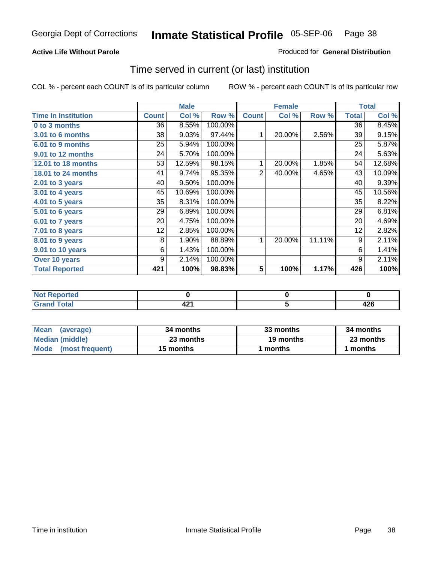#### **Active Life Without Parole**

#### Produced for **General Distribution**

### Time served in current (or last) institution

|                            |              | <b>Male</b> |         |                | <b>Female</b> |        |              | <b>Total</b> |
|----------------------------|--------------|-------------|---------|----------------|---------------|--------|--------------|--------------|
| <b>Time In Institution</b> | <b>Count</b> | Col %       | Row %   | <b>Count</b>   | Col %         | Row %  | <b>Total</b> | Col %        |
| 0 to 3 months              | 36           | 8.55%       | 100.00% |                |               |        | 36           | 8.45%        |
| 3.01 to 6 months           | 38           | 9.03%       | 97.44%  | 1              | 20.00%        | 2.56%  | 39           | 9.15%        |
| 6.01 to 9 months           | 25           | 5.94%       | 100.00% |                |               |        | 25           | 5.87%        |
| 9.01 to 12 months          | 24           | 5.70%       | 100.00% |                |               |        | 24           | 5.63%        |
| 12.01 to 18 months         | 53           | 12.59%      | 98.15%  | 1              | 20.00%        | 1.85%  | 54           | 12.68%       |
| 18.01 to 24 months         | 41           | 9.74%       | 95.35%  | $\overline{2}$ | 40.00%        | 4.65%  | 43           | 10.09%       |
| $2.01$ to 3 years          | 40           | 9.50%       | 100.00% |                |               |        | 40           | 9.39%        |
| 3.01 to 4 years            | 45           | 10.69%      | 100.00% |                |               |        | 45           | 10.56%       |
| 4.01 to 5 years            | 35           | 8.31%       | 100.00% |                |               |        | 35           | 8.22%        |
| 5.01 to 6 years            | 29           | 6.89%       | 100.00% |                |               |        | 29           | 6.81%        |
| 6.01 to 7 years            | 20           | 4.75%       | 100.00% |                |               |        | 20           | 4.69%        |
| 7.01 to 8 years            | 12           | 2.85%       | 100.00% |                |               |        | 12           | 2.82%        |
| 8.01 to 9 years            | 8            | 1.90%       | 88.89%  | 1              | 20.00%        | 11.11% | 9            | 2.11%        |
| 9.01 to 10 years           | 6            | 1.43%       | 100.00% |                |               |        | 6            | 1.41%        |
| Over 10 years              | 9            | 2.14%       | 100.00% |                |               |        | 9            | 2.11%        |
| <b>Total Reported</b>      | 421          | 100%        | 98.83%  | 5              | 100%          | 1.17%  | 426          | 100%         |

| <b>Not Reported</b> |     |            |
|---------------------|-----|------------|
| <b>Total</b>        | - - | מחו<br>TAV |

| <b>Mean</b><br>(average) | 34 months | 33 months | 34 months |
|--------------------------|-----------|-----------|-----------|
| Median (middle)          | 23 months | 19 months | 23 months |
| Mode (most frequent)     | 15 months | ∣ months  | months    |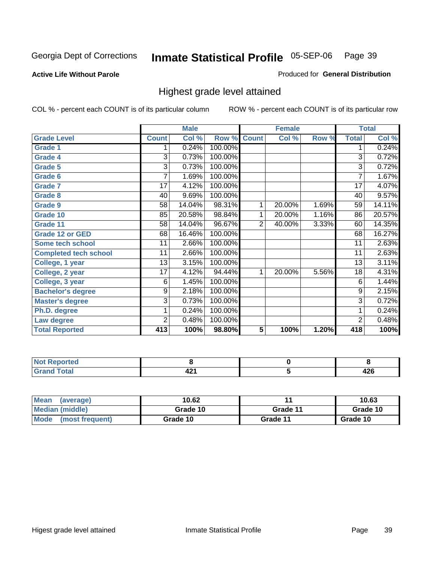#### **Active Life Without Parole**

#### Produced for **General Distribution**

### Highest grade level attained

|                              |                 | <b>Male</b> |         |                 | <b>Female</b> |       |                 | <b>Total</b> |
|------------------------------|-----------------|-------------|---------|-----------------|---------------|-------|-----------------|--------------|
| <b>Grade Level</b>           | <b>Count</b>    | Col %       | Row %   | <b>Count</b>    | Col %         | Row % | <b>Total</b>    | Col %        |
| <b>Grade 1</b>               | 1               | 0.24%       | 100.00% |                 |               |       | 1               | 0.24%        |
| <b>Grade 4</b>               | 3               | 0.73%       | 100.00% |                 |               |       | 3               | 0.72%        |
| <b>Grade 5</b>               | 3               | 0.73%       | 100.00% |                 |               |       | 3               | 0.72%        |
| Grade 6                      | 7               | 1.69%       | 100.00% |                 |               |       | $\overline{7}$  | 1.67%        |
| <b>Grade 7</b>               | 17              | 4.12%       | 100.00% |                 |               |       | $\overline{17}$ | 4.07%        |
| <b>Grade 8</b>               | 40              | 9.69%       | 100.00% |                 |               |       | 40              | 9.57%        |
| <b>Grade 9</b>               | 58              | 14.04%      | 98.31%  | 1               | 20.00%        | 1.69% | 59              | 14.11%       |
| Grade 10                     | 85              | 20.58%      | 98.84%  | 1               | 20.00%        | 1.16% | 86              | 20.57%       |
| Grade 11                     | 58              | 14.04%      | 96.67%  | $\overline{c}$  | 40.00%        | 3.33% | 60              | 14.35%       |
| <b>Grade 12 or GED</b>       | 68              | 16.46%      | 100.00% |                 |               |       | 68              | 16.27%       |
| <b>Some tech school</b>      | 11              | 2.66%       | 100.00% |                 |               |       | 11              | 2.63%        |
| <b>Completed tech school</b> | 11              | 2.66%       | 100.00% |                 |               |       | 11              | 2.63%        |
| College, 1 year              | 13              | 3.15%       | 100.00% |                 |               |       | 13              | 3.11%        |
| College, 2 year              | $\overline{17}$ | 4.12%       | 94.44%  | 1               | 20.00%        | 5.56% | 18              | 4.31%        |
| College, 3 year              | 6               | 1.45%       | 100.00% |                 |               |       | 6               | 1.44%        |
| <b>Bachelor's degree</b>     | 9               | 2.18%       | 100.00% |                 |               |       | $\overline{9}$  | 2.15%        |
| <b>Master's degree</b>       | 3               | 0.73%       | 100.00% |                 |               |       | 3               | 0.72%        |
| Ph.D. degree                 | 1               | 0.24%       | 100.00% |                 |               |       | 1               | 0.24%        |
| Law degree                   | $\overline{2}$  | 0.48%       | 100.00% |                 |               |       | $\overline{2}$  | 0.48%        |
| <b>Total Reported</b>        | 413             | 100%        | 98.80%  | $5\phantom{.0}$ | 100%          | 1.20% | 418             | 100%         |

| i Alba<br><b>Constitution and</b><br>rtea<br>NI.<br>. |               |          |
|-------------------------------------------------------|---------------|----------|
| Total<br><b></b><br>-                                 | $\sim$<br>- - | <br>44 U |

| <b>Mean</b><br>(average)       | 10.62    |          | 10.63    |
|--------------------------------|----------|----------|----------|
| Median (middle)                | Grade 10 | Grade 11 | Grade 10 |
| <b>Mode</b><br>(most frequent) | Grade 10 | Grade 11 | Grade 10 |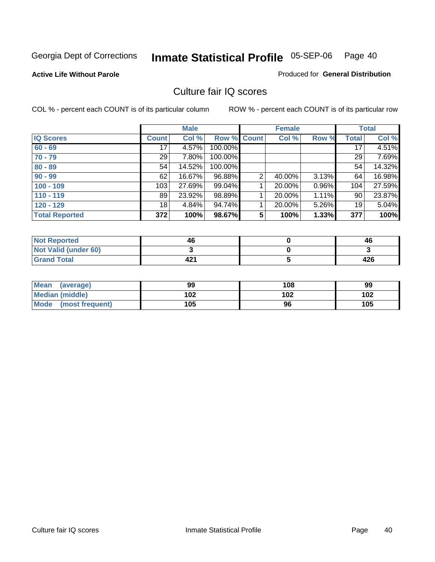**Active Life Without Parole** 

Produced for **General Distribution**

### Culture fair IQ scores

|                       |              | <b>Male</b> |         |                | <b>Female</b> |       |              | <b>Total</b> |
|-----------------------|--------------|-------------|---------|----------------|---------------|-------|--------------|--------------|
| <b>IQ Scores</b>      | <b>Count</b> | Col %       | Row %   | <b>Count</b>   | Col %         | Row % | <b>Total</b> | Col %        |
| $60 - 69$             | 17           | 4.57%       | 100.00% |                |               |       | 17           | 4.51%        |
| $70 - 79$             | 29           | 7.80%       | 100.00% |                |               |       | 29           | 7.69%        |
| $80 - 89$             | 54           | 14.52%      | 100.00% |                |               |       | 54           | 14.32%       |
| $90 - 99$             | 62           | 16.67%      | 96.88%  | $\overline{2}$ | 40.00%        | 3.13% | 64           | 16.98%       |
| $100 - 109$           | 103          | 27.69%      | 99.04%  |                | 20.00%        | 0.96% | 104          | 27.59%       |
| $110 - 119$           | 89           | 23.92%      | 98.89%  |                | 20.00%        | 1.11% | 90           | 23.87%       |
| $120 - 129$           | 18           | 4.84%       | 94.74%  |                | 20.00%        | 5.26% | 19           | 5.04%        |
| <b>Total Reported</b> | 372          | 100%        | 98.67%  | 5              | 100%          | 1.33% | 377          | 100%         |

| <b>Not Reported</b>         | 46  | 46  |
|-----------------------------|-----|-----|
| <b>Not Valid (under 60)</b> |     |     |
| <b>Grand Total</b>          | 421 | 426 |

| <b>Mean</b><br>(average)       | 99  | 108 | 99  |
|--------------------------------|-----|-----|-----|
| Median (middle)                | 102 | 102 | 102 |
| <b>Mode</b><br>(most frequent) | 105 | 96  | 105 |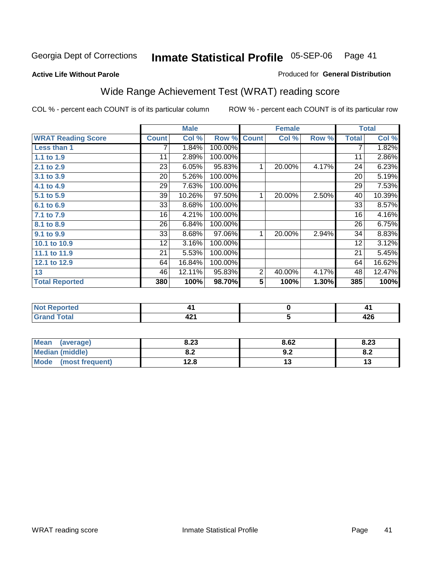#### **Active Life Without Parole**

# Produced for **General Distribution**

# Wide Range Achievement Test (WRAT) reading score

|                           |              | <b>Male</b> |         |                 | <b>Female</b>       |       |              | <b>Total</b> |
|---------------------------|--------------|-------------|---------|-----------------|---------------------|-------|--------------|--------------|
| <b>WRAT Reading Score</b> | <b>Count</b> | Col %       | Row %   | <b>Count</b>    | Col %               | Row % | <b>Total</b> | Col %        |
| Less than 1               | 7            | 1.84%       | 100.00% |                 |                     |       | 7            | 1.82%        |
| 1.1 to 1.9                | 11           | 2.89%       | 100.00% |                 |                     |       | 11           | 2.86%        |
| 2.1 to 2.9                | 23           | 6.05%       | 95.83%  | 1               | 20.00%              | 4.17% | 24           | 6.23%        |
| 3.1 to 3.9                | 20           | 5.26%       | 100.00% |                 |                     |       | 20           | 5.19%        |
| 4.1 to 4.9                | 29           | 7.63%       | 100.00% |                 |                     |       | 29           | 7.53%        |
| 5.1 to 5.9                | 39           | 10.26%      | 97.50%  | 1               | 20.00%              | 2.50% | 40           | 10.39%       |
| 6.1 to 6.9                | 33           | 8.68%       | 100.00% |                 |                     |       | 33           | 8.57%        |
| 7.1 to 7.9                | 16           | 4.21%       | 100.00% |                 |                     |       | 16           | 4.16%        |
| 8.1 to 8.9                | 26           | 6.84%       | 100.00% |                 |                     |       | 26           | 6.75%        |
| 9.1 to 9.9                | 33           | 8.68%       | 97.06%  | 1               | 20.00%              | 2.94% | 34           | 8.83%        |
| 10.1 to 10.9              | 12           | 3.16%       | 100.00% |                 |                     |       | 12           | 3.12%        |
| 11.1 to 11.9              | 21           | 5.53%       | 100.00% |                 |                     |       | 21           | 5.45%        |
| 12.1 to 12.9              | 64           | 16.84%      | 100.00% |                 |                     |       | 64           | 16.62%       |
| 13                        | 46           | 12.11%      | 95.83%  | $\overline{2}$  | 40.00%              | 4.17% | 48           | 12.47%       |
| <b>Total Reported</b>     | 380          | 100%        | 98.70%  | $5\phantom{.0}$ | 100%                | 1.30% | 385          | 100%         |
|                           |              |             |         |                 |                     |       |              |              |
| <b>Not Reported</b>       |              | 41          |         |                 | $\pmb{0}$           |       |              | 41           |
| <b>Grand Total</b>        |              | 421         |         |                 | $\overline{\bf{5}}$ |       |              | 426          |
|                           |              |             |         |                 |                     |       |              |              |
| <b>Mean</b><br>(average)  |              | 8.23        |         |                 | 8.62                |       |              | 8.23         |

| <b>Mean</b><br>(average) | 8.23       | 8.62      | 8.23       |
|--------------------------|------------|-----------|------------|
| <b>Median (middle)</b>   | י ה<br>0.Z | Λ,<br>J.L | o o<br>o.z |
| Mode (most frequent)     | 12.8       |           |            |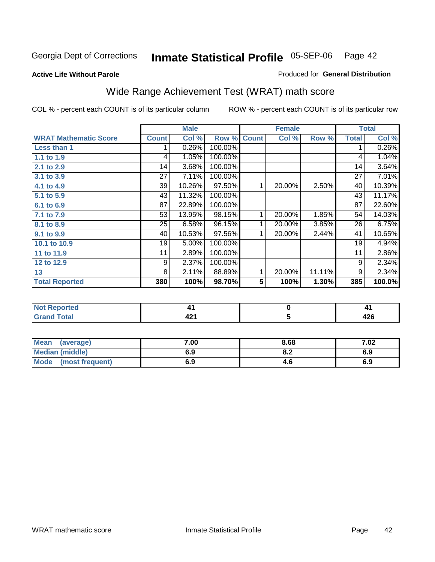**Active Life Without Parole** 

Produced for **General Distribution**

# Wide Range Achievement Test (WRAT) math score

COL % - percent each COUNT is of its particular column ROW % - percent each COUNT is of its particular row

 **5**

|                              |              | <b>Male</b> |         |                         | <b>Female</b> |        |              | <b>Total</b> |
|------------------------------|--------------|-------------|---------|-------------------------|---------------|--------|--------------|--------------|
| <b>WRAT Mathematic Score</b> | <b>Count</b> | Col %       | Row %   | <b>Count</b>            | Col %         | Row %  | <b>Total</b> | Col %        |
| <b>Less than 1</b>           |              | 0.26%       | 100.00% |                         |               |        |              | 0.26%        |
| 1.1 to 1.9                   | 4            | 1.05%       | 100.00% |                         |               |        | 4            | 1.04%        |
| 2.1 to 2.9                   | 14           | 3.68%       | 100.00% |                         |               |        | 14           | 3.64%        |
| 3.1 to 3.9                   | 27           | 7.11%       | 100.00% |                         |               |        | 27           | 7.01%        |
| 4.1 to 4.9                   | 39           | 10.26%      | 97.50%  | 1                       | 20.00%        | 2.50%  | 40           | 10.39%       |
| 5.1 to 5.9                   | 43           | 11.32%      | 100.00% |                         |               |        | 43           | 11.17%       |
| 6.1 to 6.9                   | 87           | 22.89%      | 100.00% |                         |               |        | 87           | 22.60%       |
| 7.1 to 7.9                   | 53           | 13.95%      | 98.15%  | 1                       | 20.00%        | 1.85%  | 54           | 14.03%       |
| 8.1 to 8.9                   | 25           | 6.58%       | 96.15%  | 1                       | 20.00%        | 3.85%  | 26           | 6.75%        |
| 9.1 to 9.9                   | 40           | 10.53%      | 97.56%  | 1                       | 20.00%        | 2.44%  | 41           | 10.65%       |
| 10.1 to 10.9                 | 19           | 5.00%       | 100.00% |                         |               |        | 19           | 4.94%        |
| 11 to 11.9                   | 11           | 2.89%       | 100.00% |                         |               |        | 11           | 2.86%        |
| 12 to 12.9                   | 9            | 2.37%       | 100.00% |                         |               |        | 9            | 2.34%        |
| 13                           | 8            | 2.11%       | 88.89%  | 1                       | 20.00%        | 11.11% | 9            | 2.34%        |
| <b>Total Reported</b>        | 380          | 100%        | 98.70%  | $\overline{\mathbf{5}}$ | 100%          | 1.30%  | 385          | 100.0%       |
|                              |              |             |         |                         |               |        |              |              |
| <b>Not Reported</b>          |              | 41          |         |                         | 0             |        |              | 41           |

| <b>Mean</b><br>(average)       | 7.00 | 8.68 | 7.02 |
|--------------------------------|------|------|------|
| Median (middle)                | 6.9  | o.z  | 6.9  |
| <b>Mode</b><br>(most frequent) | 6.9  | 4.O  | 6.9  |

 **421**

 **Grand Total**

 **426**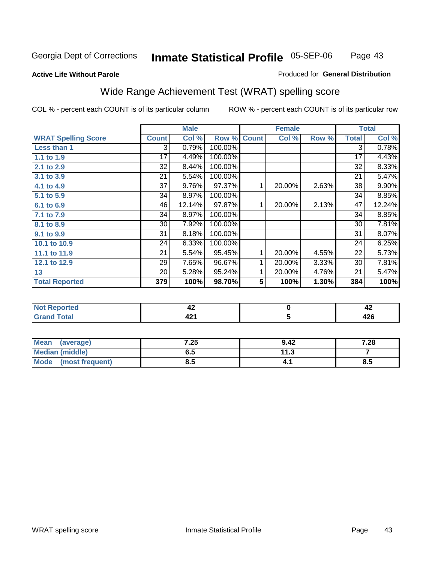### **Active Life Without Parole**

#### Produced for **General Distribution**

# Wide Range Achievement Test (WRAT) spelling score

|                            |              | <b>Male</b> |         |                 | <b>Female</b>  |       |              | <b>Total</b> |
|----------------------------|--------------|-------------|---------|-----------------|----------------|-------|--------------|--------------|
| <b>WRAT Spelling Score</b> | <b>Count</b> | Col %       | Row %   | <b>Count</b>    | Col %          | Row % | <b>Total</b> | Col %        |
| Less than 1                | 3            | 0.79%       | 100.00% |                 |                |       | 3            | 0.78%        |
| 1.1 to 1.9                 | 17           | 4.49%       | 100.00% |                 |                |       | 17           | 4.43%        |
| 2.1 to 2.9                 | 32           | 8.44%       | 100.00% |                 |                |       | 32           | 8.33%        |
| 3.1 to 3.9                 | 21           | 5.54%       | 100.00% |                 |                |       | 21           | 5.47%        |
| 4.1 to 4.9                 | 37           | 9.76%       | 97.37%  | 1               | 20.00%         | 2.63% | 38           | 9.90%        |
| 5.1 to 5.9                 | 34           | 8.97%       | 100.00% |                 |                |       | 34           | 8.85%        |
| 6.1 to 6.9                 | 46           | 12.14%      | 97.87%  | 1               | 20.00%         | 2.13% | 47           | 12.24%       |
| 7.1 to 7.9                 | 34           | 8.97%       | 100.00% |                 |                |       | 34           | 8.85%        |
| 8.1 to 8.9                 | 30           | 7.92%       | 100.00% |                 |                |       | 30           | 7.81%        |
| 9.1 to 9.9                 | 31           | 8.18%       | 100.00% |                 |                |       | 31           | 8.07%        |
| 10.1 to 10.9               | 24           | 6.33%       | 100.00% |                 |                |       | 24           | 6.25%        |
| 11.1 to 11.9               | 21           | 5.54%       | 95.45%  | 1               | 20.00%         | 4.55% | 22           | 5.73%        |
| 12.1 to 12.9               | 29           | 7.65%       | 96.67%  | 1               | 20.00%         | 3.33% | 30           | 7.81%        |
| 13                         | 20           | 5.28%       | 95.24%  | 1               | 20.00%         | 4.76% | 21           | 5.47%        |
| <b>Total Reported</b>      | 379          | 100%        | 98.70%  | $5\phantom{.0}$ | 100%           | 1.30% | 384          | 100%         |
|                            |              |             |         |                 |                |       |              |              |
| <b>Not Reported</b>        |              | 42          |         |                 | $\pmb{0}$      |       |              | 42           |
| <b>Grand Total</b>         |              | 421         |         |                 | $\overline{5}$ |       |              | 426          |

| <b>Mean</b><br>(average)       | 7.25 | 9.42      | 7.28     |
|--------------------------------|------|-----------|----------|
| <b>Median (middle)</b>         | ხ.მ  | 4 1 2<br> |          |
| <b>Mode</b><br>(most frequent) | გ.ა  | – ⊥       | o<br>ၓ.ͻ |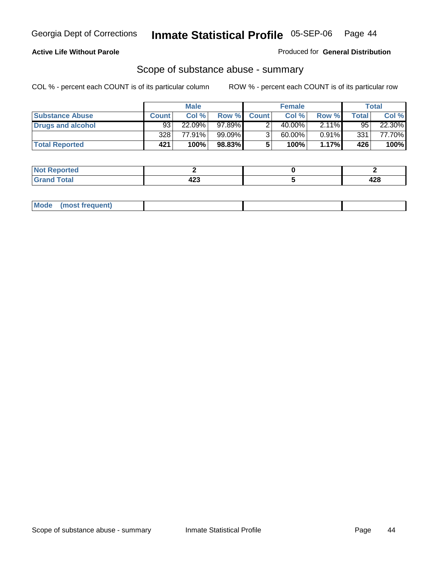#### **Active Life Without Parole**

Produced for **General Distribution**

### Scope of substance abuse - summary

|                        |              | <b>Male</b> |           |             | <b>Female</b> |                     |       | Total  |
|------------------------|--------------|-------------|-----------|-------------|---------------|---------------------|-------|--------|
| <b>Substance Abuse</b> | <b>Count</b> | Col %       |           | Row % Count | Col %         | Row %               | Total | Col %  |
| Drugs and alcohol      | 93           | 22.09%      | 97.89%I   |             | 40.00%        | $2.1\overline{1\%}$ | 95    | 22.30% |
|                        | 328          | 77.91%      | $99.09\%$ |             | 60.00%        | $0.91\%$            | 331   | 77.70% |
| <b>Total Reported</b>  | 421          | 100%        | 98.83%    |             | 100%          | $1.17\%$            | 426   | 100%   |

| <b>Not</b><br><b>Reported</b> |     |     |
|-------------------------------|-----|-----|
| <b>Total</b>                  | י ה | 00  |
| ' Grand                       | 443 | 440 |

| Mode | (most frequent) |  |  |
|------|-----------------|--|--|
|      |                 |  |  |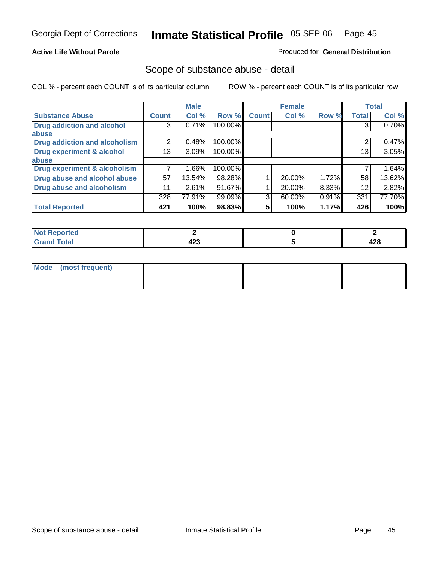#### **Active Life Without Parole**

#### Produced for **General Distribution**

### Scope of substance abuse - detail

|                                         |              | <b>Male</b> |         |              | <b>Female</b> |       |              | <b>Total</b> |
|-----------------------------------------|--------------|-------------|---------|--------------|---------------|-------|--------------|--------------|
| <b>Substance Abuse</b>                  | <b>Count</b> | Col %       | Row %   | <b>Count</b> | Col %         | Row % | <b>Total</b> | Col %        |
| <b>Drug addiction and alcohol</b>       | 3            | 0.71%       | 100.00% |              |               |       | 3            | 0.70%        |
| abuse                                   |              |             |         |              |               |       |              |              |
| <b>Drug addiction and alcoholism</b>    | 2            | 0.48%       | 100.00% |              |               |       | 2            | 0.47%        |
| <b>Drug experiment &amp; alcohol</b>    | 13           | 3.09%       | 100.00% |              |               |       | 13           | 3.05%        |
| abuse                                   |              |             |         |              |               |       |              |              |
| <b>Drug experiment &amp; alcoholism</b> |              | 1.66%       | 100.00% |              |               |       |              | 1.64%        |
| Drug abuse and alcohol abuse            | 57           | 13.54%      | 98.28%  |              | 20.00%        | 1.72% | 58           | 13.62%       |
| <b>Drug abuse and alcoholism</b>        | 11           | 2.61%       | 91.67%  |              | 20.00%        | 8.33% | 12           | 2.82%        |
|                                         | 328          | 77.91%      | 99.09%  | 3            | 60.00%        | 0.91% | 331          | 77.70%       |
| <b>Total Reported</b>                   | 421          | 100%        | 98.83%  | 5.           | 100%          | 1.17% | 426          | 100%         |

| Reported<br>$\sim$ |     |        |
|--------------------|-----|--------|
| <b>cotal</b>       | .   | $\sim$ |
| _____              | 423 | 440    |

| Mode (most frequent) |  |  |
|----------------------|--|--|
|                      |  |  |
|                      |  |  |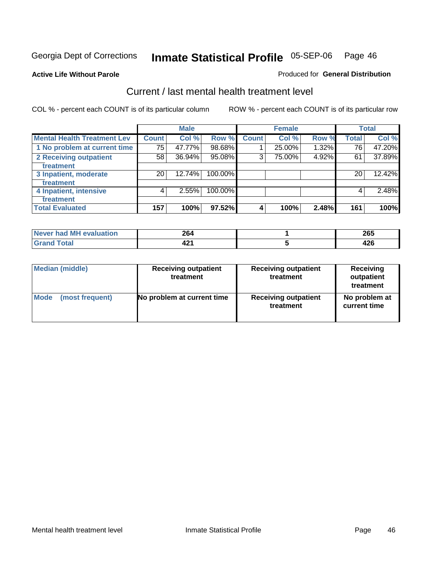**Active Life Without Parole** 

#### Produced for **General Distribution**

### Current / last mental health treatment level

|                                    |                 | <b>Male</b> |         |              | <b>Female</b> |       |              | <b>Total</b> |
|------------------------------------|-----------------|-------------|---------|--------------|---------------|-------|--------------|--------------|
| <b>Mental Health Treatment Lev</b> | Count           | Col %       | Row %   | <b>Count</b> | Col %         | Row % | <b>Total</b> | Col %        |
| 1 No problem at current time       | 75              | 47.77%      | 98.68%  |              | 25.00%        | 1.32% | 76           | 47.20%       |
| 2 Receiving outpatient             | 58              | 36.94%      | 95.08%  | 3            | 75.00%        | 4.92% | 61           | 37.89%       |
| treatment                          |                 |             |         |              |               |       |              |              |
| 3 Inpatient, moderate              | 20 <sub>1</sub> | 12.74%      | 100.00% |              |               |       | 20           | 12.42%       |
| treatment                          |                 |             |         |              |               |       |              |              |
| 4 Inpatient, intensive             | 4               | 2.55%       | 100.00% |              |               |       | 4            | 2.48%        |
| treatment                          |                 |             |         |              |               |       |              |              |
| <b>Total Evaluated</b>             | 157             | 100%        | 97.52%  | 4            | 100%          | 2.48% | 161          | 100%         |

| Never had MH evaluation | 264  | $\Omega$<br>∠ບບ                  |
|-------------------------|------|----------------------------------|
| $T0$ tol                | TÆ 1 | $\overline{\phantom{a}}$<br>44 U |

| <b>Median (middle)</b> | <b>Receiving outpatient</b><br>treatment | <b>Receiving outpatient</b><br>treatment | <b>Receiving</b><br>outpatient<br>treatment |
|------------------------|------------------------------------------|------------------------------------------|---------------------------------------------|
| <b>Mode</b>            | No problem at current time               | <b>Receiving outpatient</b>              | No problem at                               |
| (most frequent)        |                                          | treatment                                | current time                                |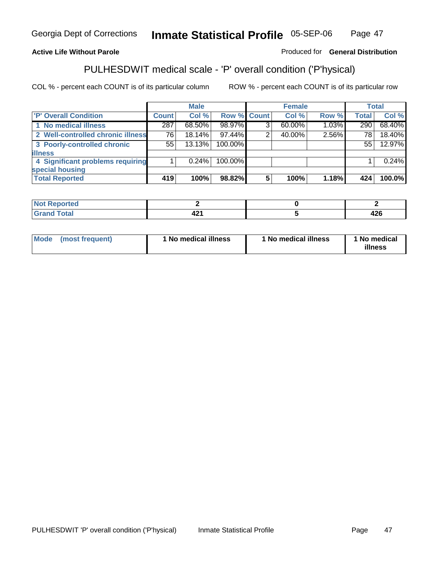### **Active Life Without Parole**

#### Produced for **General Distribution**

### PULHESDWIT medical scale - 'P' overall condition ('P'hysical)

|                                   |              | <b>Male</b> |             |   | <b>Female</b> |       |              | <b>Total</b> |
|-----------------------------------|--------------|-------------|-------------|---|---------------|-------|--------------|--------------|
| 'P' Overall Condition             | <b>Count</b> | Col %       | Row % Count |   | Col %         | Row % | <b>Total</b> | Col %        |
| 1 No medical illness              | 287          | 68.50%      | 98.97%      | 3 | $60.00\%$     | 1.03% | 290          | 68.40%       |
| 2 Well-controlled chronic illness | 76           | $18.14\%$   | 97.44%      |   | 40.00%        | 2.56% | 78           | 18.40%       |
| 3 Poorly-controlled chronic       | 55           | 13.13%      | 100.00%     |   |               |       | 55           | 12.97%       |
| <b>illness</b>                    |              |             |             |   |               |       |              |              |
| 4 Significant problems requiring  |              | $0.24\%$    | 100.00%     |   |               |       |              | 0.24%        |
| special housing                   |              |             |             |   |               |       |              |              |
| <b>Total Reported</b>             | 419          | 100%        | 98.82%      | 5 | 100%          | 1.18% | 424          | 100.0%       |

| <b>Not</b><br><b>Reported</b> |          |            |
|-------------------------------|----------|------------|
| <b>Total</b><br><b>Grand</b>  | "<br>44. | ハつに<br>420 |

| Mode | (most frequent) | <sup>1</sup> No medical illness | 1 No medical illness | 1 No medical<br>illness |
|------|-----------------|---------------------------------|----------------------|-------------------------|
|------|-----------------|---------------------------------|----------------------|-------------------------|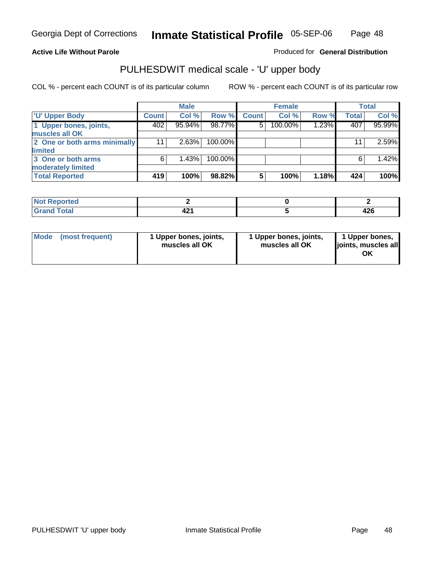### **Active Life Without Parole**

Produced for **General Distribution**

# PULHESDWIT medical scale - 'U' upper body

|                              |              | <b>Male</b> |         |              | <b>Female</b> |       |              | <b>Total</b> |
|------------------------------|--------------|-------------|---------|--------------|---------------|-------|--------------|--------------|
| <b>TU' Upper Body</b>        | <b>Count</b> | Col %       | Row %   | <b>Count</b> | Col %         | Row % | <b>Total</b> | Col %        |
| 1 Upper bones, joints,       | 402          | 95.94%      | 98.77%  | 5            | 100.00%       | 1.23% | 407          | 95.99%       |
| muscles all OK               |              |             |         |              |               |       |              |              |
| 2 One or both arms minimally | 11           | 2.63%       | 100.00% |              |               |       | 11           | 2.59%        |
| limited                      |              |             |         |              |               |       |              |              |
| 3 One or both arms           | 6            | 1.43%       | 100.00% |              |               |       | 6            | 1.42%        |
| moderately limited           |              |             |         |              |               |       |              |              |
| <b>Total Reported</b>        | 419          | 100%        | 98.82%  | 5            | 100%          | 1.18% | 424          | 100%         |

| Reported<br>$\sim$ |            |             |
|--------------------|------------|-------------|
| ______             | 404<br>- - | . מ<br>44 U |

| Mode | (most frequent) | 1 Upper bones, joints,<br>muscles all OK | 1 Upper bones, joints,<br>muscles all OK | 1 Upper bones,<br>joints, muscles all<br>ΟK |
|------|-----------------|------------------------------------------|------------------------------------------|---------------------------------------------|
|------|-----------------|------------------------------------------|------------------------------------------|---------------------------------------------|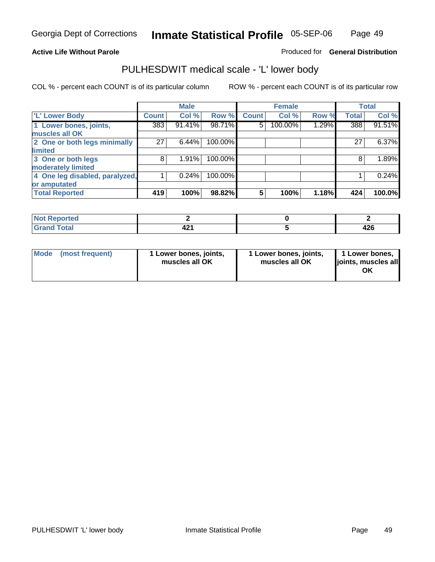#### **Active Life Without Parole**

Produced for **General Distribution**

### PULHESDWIT medical scale - 'L' lower body

|                                |              | <b>Male</b> |         |              | <b>Female</b> |       |              | <b>Total</b> |
|--------------------------------|--------------|-------------|---------|--------------|---------------|-------|--------------|--------------|
| 'L' Lower Body                 | <b>Count</b> | Col %       | Row %   | <b>Count</b> | Col %         | Row % | <b>Total</b> | Col %        |
| 1 Lower bones, joints,         | 383          | 91.41%      | 98.71%  | 5            | 100.00%       | 1.29% | 388          | 91.51%       |
| muscles all OK                 |              |             |         |              |               |       |              |              |
| 2 One or both legs minimally   | 27           | 6.44%       | 100.00% |              |               |       | 27           | $6.37\%$     |
| limited                        |              |             |         |              |               |       |              |              |
| 3 One or both legs             | 8            | 1.91%       | 100.00% |              |               |       | 8            | 1.89%        |
| moderately limited             |              |             |         |              |               |       |              |              |
| 4 One leg disabled, paralyzed, |              | 0.24%       | 100.00% |              |               |       |              | 0.24%        |
| or amputated                   |              |             |         |              |               |       |              |              |
| <b>Total Reported</b>          | 419          | 100%        | 98.82%  | 5            | 100%          | 1.18% | 424          | 100.0%       |

| <b>rted</b><br>N                    |                |                |
|-------------------------------------|----------------|----------------|
| $f \wedge f \wedge f$<br>TOldi<br>. | .<br>ъ.<br>--- | $\sim$<br>44 U |

|  | Mode (most frequent) | 1 Lower bones, joints,<br>muscles all OK | 1 Lower bones, joints,<br>muscles all OK | 1 Lower bones,<br>joints, muscles all<br>ОK |
|--|----------------------|------------------------------------------|------------------------------------------|---------------------------------------------|
|--|----------------------|------------------------------------------|------------------------------------------|---------------------------------------------|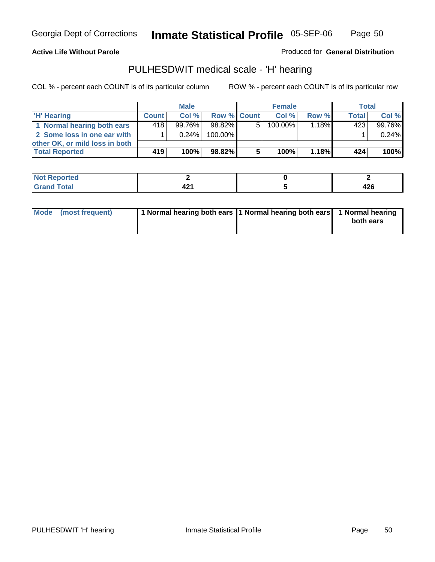Page 50

#### **Active Life Without Parole**

Produced for **General Distribution**

### PULHESDWIT medical scale - 'H' hearing

|                                |              | <b>Male</b> |             |    | <b>Female</b> |       | <b>Total</b> |         |
|--------------------------------|--------------|-------------|-------------|----|---------------|-------|--------------|---------|
| 'H' Hearing                    | <b>Count</b> | Col%        | Row % Count |    | Col%          | Row % | <b>Total</b> | Col %   |
| 1 Normal hearing both ears     | 418          | 99.76%      | 98.82%      | 5. | 100.00%       | 1.18% | 423          | 99.76%  |
| 2 Some loss in one ear with    |              | $0.24\%$    | 100.00%     |    |               |       |              | 0.24%   |
| other OK, or mild loss in both |              |             |             |    |               |       |              |         |
| <b>Total Reported</b>          | 419          | 100%        | 98.82%      | 5  | 100%          | 1.18% | 424          | $100\%$ |

| .                     |  |             |
|-----------------------|--|-------------|
| ------<br>----- ----- |  | 196<br>44 U |

| Mode (most frequent) | 1 Normal hearing both ears 1 Normal hearing both ears 1 Normal hearing | both ears |
|----------------------|------------------------------------------------------------------------|-----------|
|                      |                                                                        |           |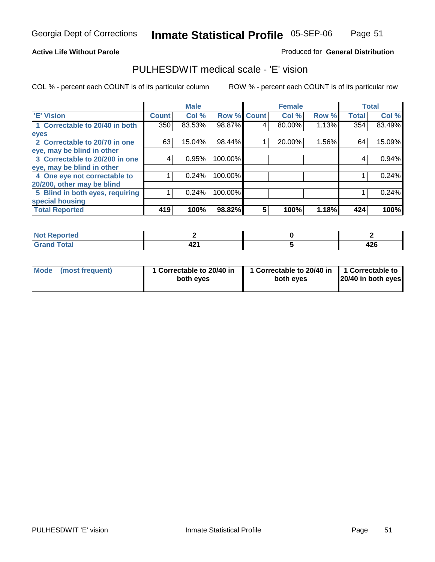#### **Active Life Without Parole**

#### Produced for **General Distribution**

### PULHESDWIT medical scale - 'E' vision

|                                 |                  | <b>Male</b> |                    |   | <b>Female</b> |       |              | <b>Total</b> |
|---------------------------------|------------------|-------------|--------------------|---|---------------|-------|--------------|--------------|
| 'E' Vision                      | <b>Count</b>     | Col %       | <b>Row % Count</b> |   | Col %         | Row % | <b>Total</b> | Col %        |
| 1 Correctable to 20/40 in both  | 350 <sup>1</sup> | 83.53%      | 98.87%             | 4 | 80.00%        | 1.13% | 354          | 83.49%       |
| eyes                            |                  |             |                    |   |               |       |              |              |
| 2 Correctable to 20/70 in one   | 63               | 15.04%      | 98.44%             |   | 20.00%        | 1.56% | 64           | 15.09%       |
| eye, may be blind in other      |                  |             |                    |   |               |       |              |              |
| 3 Correctable to 20/200 in one  | 4                | 0.95%       | 100.00%            |   |               |       | 4            | 0.94%        |
| eye, may be blind in other      |                  |             |                    |   |               |       |              |              |
| 4 One eye not correctable to    |                  | 0.24%       | 100.00%            |   |               |       |              | 0.24%        |
| 20/200, other may be blind      |                  |             |                    |   |               |       |              |              |
| 5 Blind in both eyes, requiring |                  | 0.24%       | 100.00%            |   |               |       |              | 0.24%        |
| special housing                 |                  |             |                    |   |               |       |              |              |
| <b>Total Reported</b>           | 419              | 100%        | 98.82%             | 5 | 100%          | 1.18% | 424          | 100%         |

| ™τeα⊦<br>. <b>.</b> |              |           |
|---------------------|--------------|-----------|
| $\sim$<br>------    | 10 A<br>44 . | .<br>44 U |

| Mode | (most frequent) | 1 Correctable to 20/40 in<br>both eves | 1 Correctable to 20/40 in   1 Correctable to<br>both eves | 20/40 in both eyes |
|------|-----------------|----------------------------------------|-----------------------------------------------------------|--------------------|
|------|-----------------|----------------------------------------|-----------------------------------------------------------|--------------------|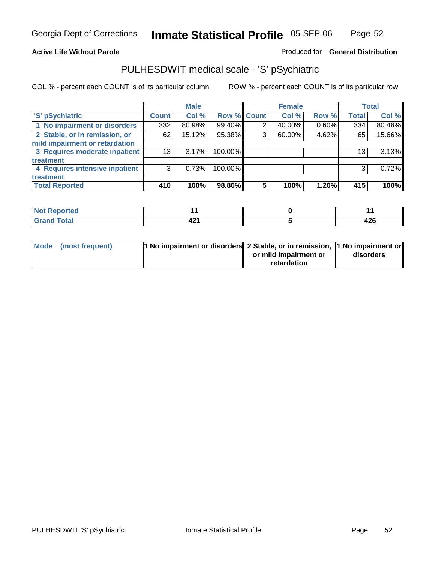### **Active Life Without Parole**

### Produced for **General Distribution**

### PULHESDWIT medical scale - 'S' pSychiatric

|                                |              | <b>Male</b> |             |   | <b>Female</b> |       |              | <b>Total</b> |
|--------------------------------|--------------|-------------|-------------|---|---------------|-------|--------------|--------------|
| 'S' pSychiatric                | <b>Count</b> | Col %       | Row % Count |   | Col %         | Row % | <b>Total</b> | Col %        |
| 1 No impairment or disorders   | 332          | 80.98%      | 99.40%      | 2 | 40.00%        | 0.60% | 334          | 80.48%       |
| 2 Stable, or in remission, or  | 62           | 15.12%      | 95.38%      | 3 | 60.00%        | 4.62% | 65           | 15.66%       |
| mild impairment or retardation |              |             |             |   |               |       |              |              |
| 3 Requires moderate inpatient  | 13           | $3.17\%$    | 100.00%     |   |               |       | 13           | 3.13%        |
| treatment                      |              |             |             |   |               |       |              |              |
| 4 Requires intensive inpatient | 3            | 0.73%       | 100.00%     |   |               |       | 3            | 0.72%        |
| treatment                      |              |             |             |   |               |       |              |              |
| <b>Total Reported</b>          | 410          | 100%        | 98.80%      | 5 | 100%          | 1.20% | 415          | 100%         |

| orted        |                     |            |
|--------------|---------------------|------------|
| <b>Total</b> | $\sim$<br>٠.,<br>74 | 10C<br>TEV |

| Mode (most frequent) | 1 No impairment or disorders 2 Stable, or in remission, 11 No impairment or |                       |           |
|----------------------|-----------------------------------------------------------------------------|-----------------------|-----------|
|                      |                                                                             | or mild impairment or | disorders |
|                      |                                                                             | retardation           |           |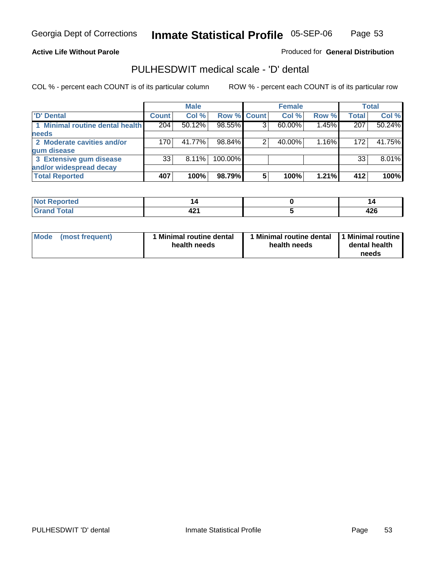#### **Active Life Without Parole**

Produced for **General Distribution**

### PULHESDWIT medical scale - 'D' dental

|                                 |                 | <b>Male</b> |             |   | <b>Female</b> |       |              | <b>Total</b> |
|---------------------------------|-----------------|-------------|-------------|---|---------------|-------|--------------|--------------|
| <b>D'</b> Dental                | Count           | Col %       | Row % Count |   | Col %         | Row % | <b>Total</b> | Col %        |
| 1 Minimal routine dental health | 204             | 50.12%      | 98.55%      | ົ | 60.00%        | 1.45% | 207          | 50.24%       |
| <b>needs</b>                    |                 |             |             |   |               |       |              |              |
| 2 Moderate cavities and/or      | 170             | 41.77%      | 98.84%      |   | 40.00%        | 1.16% | 172          | 41.75%       |
| gum disease                     |                 |             |             |   |               |       |              |              |
| 3 Extensive gum disease         | 33 <sup>1</sup> | $8.11\%$    | 100.00%     |   |               |       | 33           | 8.01%        |
| and/or widespread decay         |                 |             |             |   |               |       |              |              |
| <b>Total Reported</b>           | 407             | 100%        | 98.79%      | 5 | 100%          | 1.21% | 412          | 100%         |

| 'N<br>тео |            | P         |
|-----------|------------|-----------|
|           | 10.<br>421 | .<br>44 U |

| Mode | (most frequent) | <b>Minimal routine dental</b><br>health needs | 1 Minimal routine dental<br>health needs | 1 Minimal routine<br>dental health<br>needs |
|------|-----------------|-----------------------------------------------|------------------------------------------|---------------------------------------------|
|------|-----------------|-----------------------------------------------|------------------------------------------|---------------------------------------------|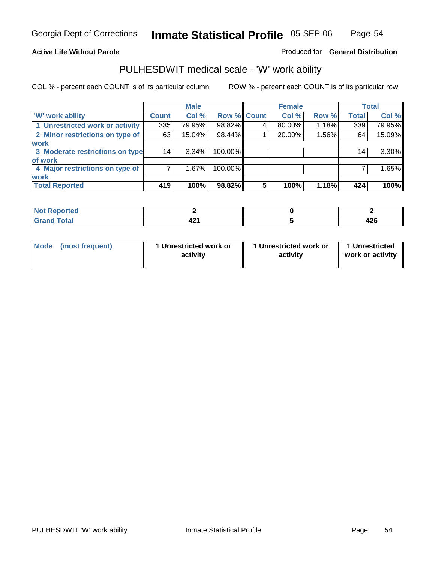### **Active Life Without Parole**

### Produced for **General Distribution**

### PULHESDWIT medical scale - 'W' work ability

|                                 |              | <b>Male</b> |                    |   | <b>Female</b> |       |              | <b>Total</b> |
|---------------------------------|--------------|-------------|--------------------|---|---------------|-------|--------------|--------------|
| <b>W' work ability</b>          | <b>Count</b> | Col %       | <b>Row % Count</b> |   | Col %         | Row % | <b>Total</b> | Col %        |
| 1 Unrestricted work or activity | 335          | 79.95%      | 98.82%             | 4 | 80.00%        | 1.18% | 339          | 79.95%       |
| 2 Minor restrictions on type of | 63           | 15.04%      | 98.44%             |   | 20.00%        | 1.56% | 64           | 15.09%       |
| <b>work</b>                     |              |             |                    |   |               |       |              |              |
| 3 Moderate restrictions on type | 14           | $3.34\%$    | 100.00%            |   |               |       | 14           | 3.30%        |
| of work                         |              |             |                    |   |               |       |              |              |
| 4 Major restrictions on type of |              | 1.67%       | 100.00%            |   |               |       |              | 1.65%        |
| <b>work</b>                     |              |             |                    |   |               |       |              |              |
| <b>Total Reported</b>           | 419          | 100%        | 98.82%             | 5 | 100%          | 1.18% | 424          | 100%         |

| eported      |          |           |
|--------------|----------|-----------|
| <b>fotal</b> | <br>44 I | .<br>44 V |

| Mode            | 1 Unrestricted work or | 1 Unrestricted work or | 1 Unrestricted   |
|-----------------|------------------------|------------------------|------------------|
| (most frequent) | activity               | activity               | work or activity |
|                 |                        |                        |                  |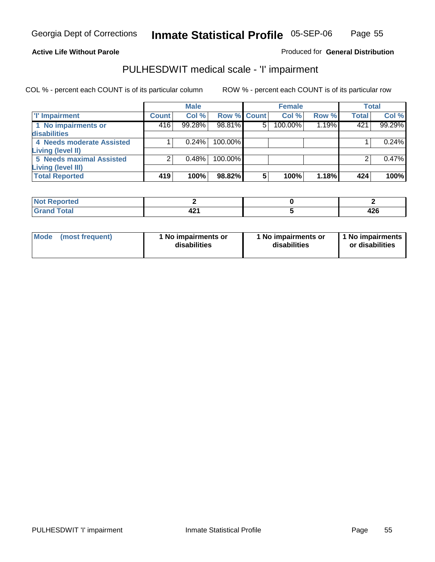Page 55

#### **Active Life Without Parole**

#### Produced for **General Distribution**

### PULHESDWIT medical scale - 'I' impairment

|                                 |              | <b>Male</b> |             |   | <b>Female</b> |       |              | <b>Total</b> |
|---------------------------------|--------------|-------------|-------------|---|---------------|-------|--------------|--------------|
| <b>T' Impairment</b>            | <b>Count</b> | Col %       | Row % Count |   | Col %         | Row % | <b>Total</b> | Col %        |
| 1 No impairments or             | 416          | 99.28%      | 98.81%      | 5 | 100.00%       | 1.19% | 421          | 99.29%       |
| disabilities                    |              |             |             |   |               |       |              |              |
| 4 Needs moderate Assisted       |              | 0.24%       | 100.00%     |   |               |       |              | 0.24%        |
| Living (level II)               |              |             |             |   |               |       |              |              |
| <b>5 Needs maximal Assisted</b> |              | 0.48%       | $100.00\%$  |   |               |       |              | 0.47%        |
| <b>Living (level III)</b>       |              |             |             |   |               |       |              |              |
| <b>Total Reported</b>           | 419          | 100%        | 98.82%      | 5 | 100%          | 1.18% | 424          | 100%         |

| لمنتشر بالتعبين<br>porteg<br>'N ( |            |            |
|-----------------------------------|------------|------------|
| otal                              | . .<br>− 4 | 10C<br>44C |

| <b>Mode</b>     | 1 No impairments or | 1 No impairments or | 1 No impairments |
|-----------------|---------------------|---------------------|------------------|
| (most frequent) | disabilities        | disabilities        | or disabilities  |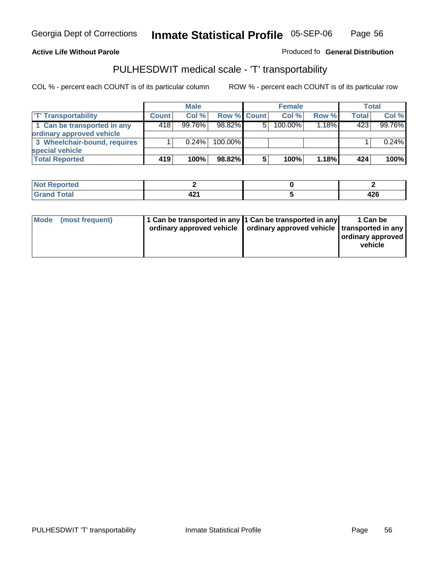#### **Inmate Statistical Profile** 05-SEP-06 Page Page 56

**Active Life Without Parole Produced fo Seneral Distribution** 

### PULHESDWIT medical scale - 'T' transportability

|                              |              | <b>Male</b> |                    |   | <b>Female</b> |          |              | <b>Total</b> |
|------------------------------|--------------|-------------|--------------------|---|---------------|----------|--------------|--------------|
| <b>T' Transportability</b>   | <b>Count</b> | Col%        | <b>Row % Count</b> |   | Col%          | Row %    | <b>Total</b> | Col %        |
| 1 Can be transported in any  | 418'         | $99.76\%$   | 98.82%             | 5 | 100.00%       | $1.18\%$ | 423          | 99.76%       |
| ordinary approved vehicle    |              |             |                    |   |               |          |              |              |
| 3 Wheelchair-bound, requires |              | 0.24%       | $100.00\%$         |   |               |          |              | 0.24%        |
| special vehicle              |              |             |                    |   |               |          |              |              |
| <b>Total Reported</b>        | 419          | 100%        | 98.82%             | 5 | 100%          | 1.18%    | 424          | 100%         |

| Reported<br><br>.    |            |             |
|----------------------|------------|-------------|
| <b>otal</b><br>_____ | <b>TAI</b> | . מ<br>44 U |

|  | Mode (most frequent) | 1 Can be transported in any 1 Can be transported in any | ordinary approved vehicle   ordinary approved vehicle   transported in any | 1 Can be<br>ordinary approved<br>vehicle |
|--|----------------------|---------------------------------------------------------|----------------------------------------------------------------------------|------------------------------------------|
|--|----------------------|---------------------------------------------------------|----------------------------------------------------------------------------|------------------------------------------|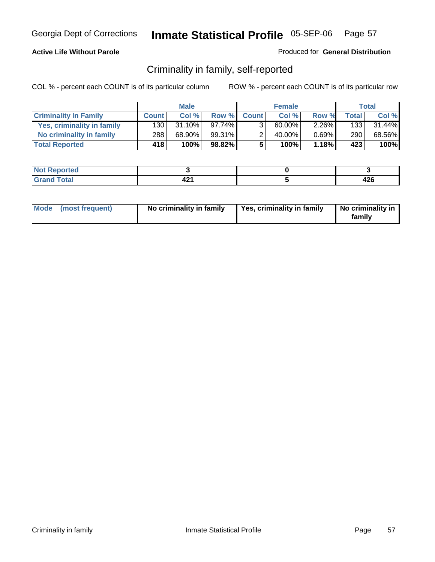### **Active Life Without Parole**

#### Produced for **General Distribution**

### Criminality in family, self-reported

|                              |                    | <b>Male</b> |           |              | <b>Female</b> |          |       | Total  |
|------------------------------|--------------------|-------------|-----------|--------------|---------------|----------|-------|--------|
| <b>Criminality In Family</b> | <b>Count</b>       | Col %       | Row %     | <b>Count</b> | Col %         | Row %    | Total | Col %  |
| Yes, criminality in family   | 1301               | $31.10\%$   | 97.74%I   | 3            | 60.00%        | $2.26\%$ | 1331  | 31.44% |
| No criminality in family     | 288                | 68.90%      | 99.31%    |              | 40.00%        | $0.69\%$ | 290   | 68.56% |
| <b>Total Reported</b>        | $418$ <sup>1</sup> | 100%        | $98.82\%$ |              | 100%          | 1.18%    | 423   | 100%   |

| rted<br><b>NO</b>            |                         |                    |
|------------------------------|-------------------------|--------------------|
| $\sim$ $\sim$<br>Grar<br>--- | 20 <sub>n</sub><br>TÆ 1 | <b>100</b><br>44 U |

| Mode (most frequent) | No criminality in family | Yes, criminality in family | No criminality in<br>family |
|----------------------|--------------------------|----------------------------|-----------------------------|
|----------------------|--------------------------|----------------------------|-----------------------------|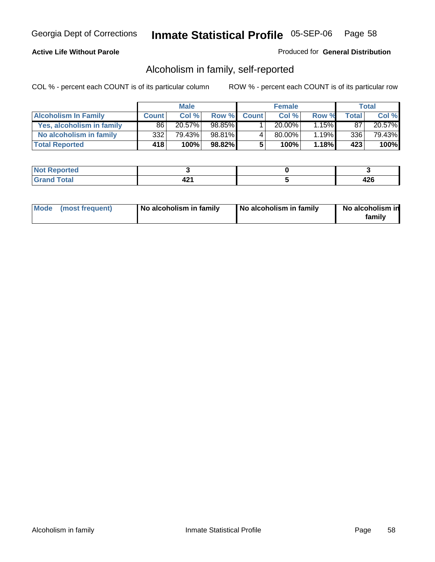### **Active Life Without Parole**

#### Produced for **General Distribution**

### Alcoholism in family, self-reported

|                             |                    | <b>Male</b> |        |              | <b>Female</b> |       |       | Total  |
|-----------------------------|--------------------|-------------|--------|--------------|---------------|-------|-------|--------|
| <b>Alcoholism In Family</b> | <b>Count</b>       | Col %       | Row %  | <b>Count</b> | Col %         | Row % | Total | Col %  |
| Yes, alcoholism in family   | 86                 | $20.57\%$   | 98.85% |              | $20.00\%$     | 1.15% | 87    | 20.57% |
| No alcoholism in family     | 332                | 79.43%      | 98.81% |              | 80.00%        | 1.19% | 336   | 79.43% |
| <b>Total Reported</b>       | $418$ <sup>1</sup> | 100%        | 98.82% |              | 100%          | 1.18% | 423   | 100%   |

| тео<br>NO<br>.      |     |        |
|---------------------|-----|--------|
| $\sim$ $\sim$<br>-- | - 2 | .<br>╍ |

|  | Mode (most frequent) | No alcoholism in family | No alcoholism in family | No alcoholism in<br>family |
|--|----------------------|-------------------------|-------------------------|----------------------------|
|--|----------------------|-------------------------|-------------------------|----------------------------|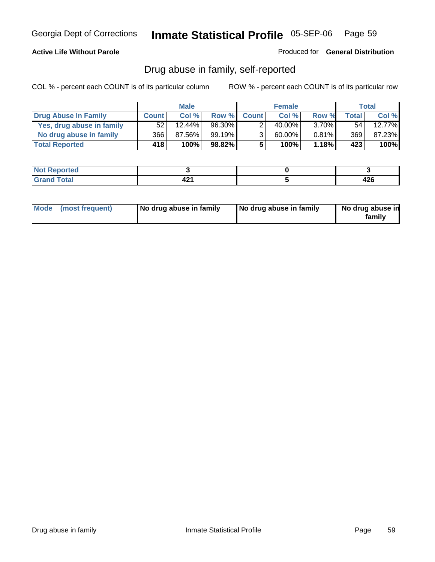#### **Active Life Without Parole**

Produced for **General Distribution**

### Drug abuse in family, self-reported

|                           |              | <b>Male</b> |        |                | <b>Female</b> |          |              | Total  |
|---------------------------|--------------|-------------|--------|----------------|---------------|----------|--------------|--------|
| Drug Abuse In Family      | <b>Count</b> | Col %       | Row %  | <b>Count</b>   | Col %         | Row %    | <b>Total</b> | Col %  |
| Yes, drug abuse in family | 52           | 12.44%      | 96.30% |                | 40.00%        | $3.70\%$ | 54           | 12.77% |
| No drug abuse in family   | 366 l        | 87.56%      | 99.19% | 3 <sub>1</sub> | 60.00%        | $0.81\%$ | 369          | 87.23% |
| <b>Total Reported</b>     | 418          | 100%        | 98.82% | 5              | 100%          | 1.18%    | 423          | 100%   |

| тео<br>IMO1   |     |     |
|---------------|-----|-----|
| $\sim$ $\sim$ | - - | .   |
| -             |     | −∠∪ |

|  | Mode (most frequent) | No drug abuse in family | No drug abuse in family | No drug abuse in<br>family |
|--|----------------------|-------------------------|-------------------------|----------------------------|
|--|----------------------|-------------------------|-------------------------|----------------------------|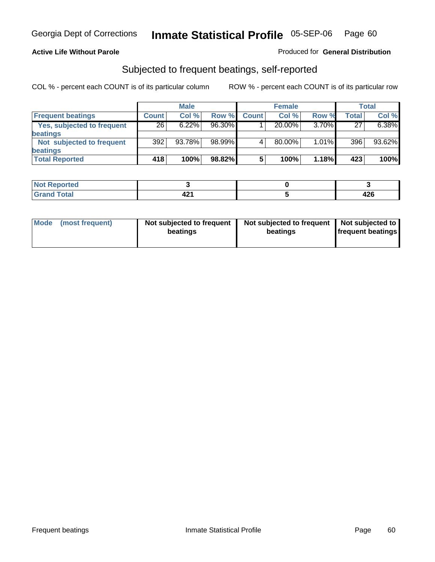#### **Active Life Without Parole**

#### Produced for **General Distribution**

### Subjected to frequent beatings, self-reported

|                            |              | <b>Male</b> |        |              | <b>Female</b> |          |       | <b>Total</b> |
|----------------------------|--------------|-------------|--------|--------------|---------------|----------|-------|--------------|
| <b>Frequent beatings</b>   | <b>Count</b> | Col%        | Row %  | <b>Count</b> | Col%          | Row %    | Total | Col %        |
| Yes, subjected to frequent | 26           | 6.22%       | 96.30% |              | $20.00\%$     | 3.70%    | 27    | 6.38%        |
| beatings                   |              |             |        |              |               |          |       |              |
| Not subjected to frequent  | 392          | 93.78%      | 98.99% |              | $80.00\%$     | $1.01\%$ | 396   | 93.62%       |
| beatings                   |              |             |        |              |               |          |       |              |
| <b>Total Reported</b>      | 418          | 100%        | 98.82% | 5            | 100%          | 1.18%    | 423   | 100%         |

| Not Reported   |              |           |
|----------------|--------------|-----------|
| Total<br>Crops | 80 A<br>74 I | .<br>44 U |

| Mode<br>(most frequent) | beatings | Not subjected to frequent | Not subjected to frequent<br>beatings | Not subjected to<br><b>frequent beatings</b> |
|-------------------------|----------|---------------------------|---------------------------------------|----------------------------------------------|
|                         |          |                           |                                       |                                              |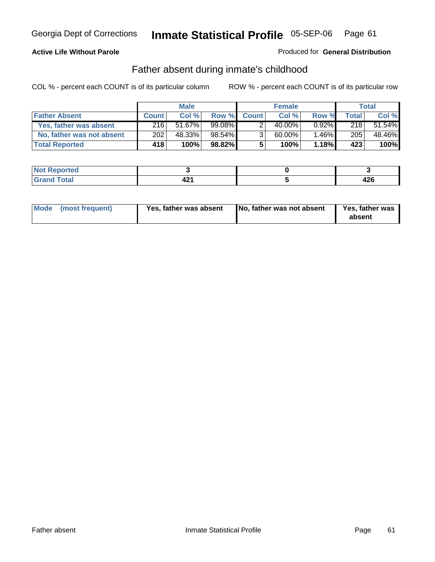### **Active Life Without Parole**

#### Produced for **General Distribution**

### Father absent during inmate's childhood

|                           |              | <b>Male</b> |           |                | <b>Female</b> |          |       | Total  |
|---------------------------|--------------|-------------|-----------|----------------|---------------|----------|-------|--------|
| <b>Father Absent</b>      | <b>Count</b> | Col %       | Row %     | <b>Count</b>   | Col %         | Row %    | Total | Col %  |
| Yes, father was absent    | 216          | 51.67%      | $99.08\%$ |                | 40.00%        | $0.92\%$ | 218   | 51.54% |
| No, father was not absent | 202          | 48.33%      | $98.54\%$ | 3 <sub>1</sub> | 60.00%        | $1.46\%$ | 205   | 48.46% |
| <b>Total Reported</b>     | 418          | 100%        | $98.82\%$ | 5              | 100%          | 1.18%    | 423   | 100%   |

| <b>Not Reported</b> |      |        |
|---------------------|------|--------|
| <b>Total</b>        | TA 1 | $\sim$ |
| l Grand             |      | 44 U   |

|  | Mode (most frequent) | Yes, father was absent | No, father was not absent | Yes, father was<br>absent |
|--|----------------------|------------------------|---------------------------|---------------------------|
|--|----------------------|------------------------|---------------------------|---------------------------|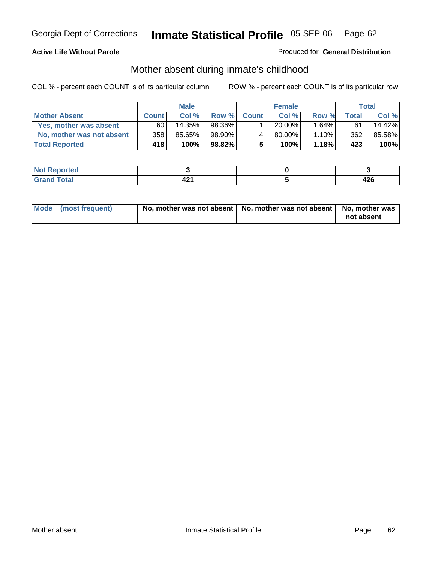#### **Active Life Without Parole**

#### Produced for **General Distribution**

# Mother absent during inmate's childhood

|                           | <b>Male</b>        |        |         | <b>Female</b> |             |          | Total |        |
|---------------------------|--------------------|--------|---------|---------------|-------------|----------|-------|--------|
| <b>Mother Absent</b>      | <b>Count</b>       | Col %  | Row %   | <b>Count</b>  | Col %       | Row %    | Total | Col %  |
| Yes, mother was absent    | 60                 | 14.35% | 98.36%  |               | 20.00%      | $.64\%$  | 61    | 14.42% |
| No, mother was not absent | 358                | 85.65% | 98.90%  | 4             | $80.00\%$ . | $1.10\%$ | 362   | 85.58% |
| <b>Total Reported</b>     | $418$ <sup>1</sup> | 100%   | 98.82%I | 5             | 100%        | 1.18%    | 423   | 100%   |

| <b>INTER</b><br><b>Not Reported</b> |           |          |
|-------------------------------------|-----------|----------|
| $\sim$<br>_____                     | ៱៱៱<br>-- | <br>44 U |

| Mode (most frequent) | No, mother was not absent $\vert$ No, mother was not absent $\vert$ No, mother was | not absent |
|----------------------|------------------------------------------------------------------------------------|------------|
|                      |                                                                                    |            |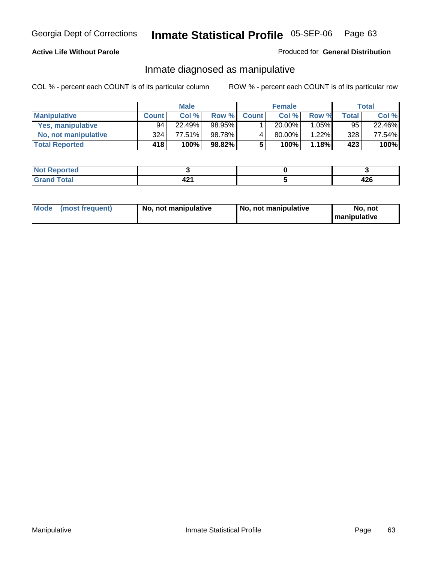#### **Active Life Without Parole**

#### Produced for **General Distribution**

### Inmate diagnosed as manipulative

|                       | <b>Male</b>  |        |         | <b>Female</b> |        |          | Total        |        |
|-----------------------|--------------|--------|---------|---------------|--------|----------|--------------|--------|
| <b>Manipulative</b>   | <b>Count</b> | Col %  | Row %   | <b>Count</b>  | Col %  | Row %    | <b>Total</b> | Col %  |
| Yes, manipulative     | 94           | 22.49% | 98.95%  |               | 20.00% | $1.05\%$ | 95           | 22.46% |
| No, not manipulative  | 324          | 77.51% | 98.78%  | 4             | 80.00% | $1.22\%$ | 328          | 77.54% |
| <b>Total Reported</b> | 418'         | 100%   | 98.82%I | 5             | 100%   | 1.18%    | 423          | 100%   |

| المصفعد<br><b>NO</b><br>rtea |    |              |
|------------------------------|----|--------------|
| $\sim$<br>Grar<br>---        | т. | ላ ኃር<br>44 U |

|  | Mode (most frequent) | No, not manipulative | No, not manipulative | No. not<br><b>I</b> manipulative |
|--|----------------------|----------------------|----------------------|----------------------------------|
|--|----------------------|----------------------|----------------------|----------------------------------|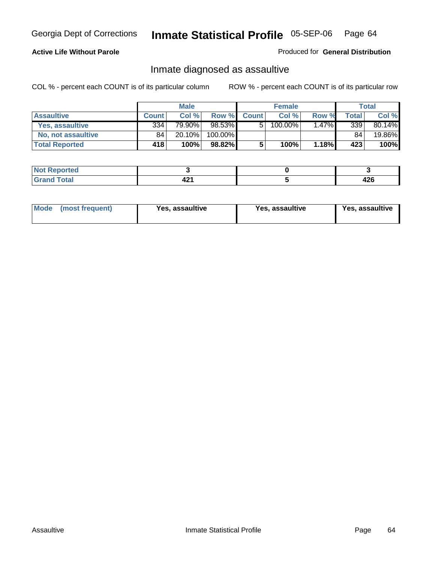### **Active Life Without Parole**

Produced for **General Distribution**

### Inmate diagnosed as assaultive

|                       | <b>Male</b>  |        |         | <b>Female</b> |         |          | <b>Total</b> |        |
|-----------------------|--------------|--------|---------|---------------|---------|----------|--------------|--------|
| <b>Assaultive</b>     | <b>Count</b> | Col %  | Row %   | <b>Count</b>  | Col %   | Row %    | Total        | Col %  |
| Yes, assaultive       | 334          | 79.90% | 98.53%  | 5             | 100.00% | $1.47\%$ | 339          | 80.14% |
| No. not assaultive    | 84           | 20.10% | 100.00% |               |         |          | 84           | 19.86% |
| <b>Total Reported</b> | 418'         | 100%   | 98.82%  | 5             | 100%    | 1.18%    | 423          | 100%   |

| rted<br><b>NO</b><br><b>IVGI</b> |    |           |
|----------------------------------|----|-----------|
| Total<br>Grar<br>---             | -6 | .<br>44 Y |

| <b>Mode</b><br>Yes, assaultive<br>(most frequent) | Yes, assaultive | Yes, assaultive |
|---------------------------------------------------|-----------------|-----------------|
|---------------------------------------------------|-----------------|-----------------|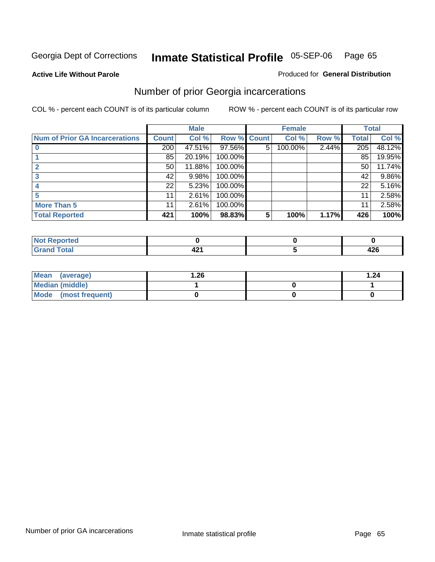**Active Life Without Parole** 

#### Produced for **General Distribution**

### Number of prior Georgia incarcerations

|                                |              | <b>Male</b> |         |              | <b>Female</b> |       |       | <b>Total</b> |
|--------------------------------|--------------|-------------|---------|--------------|---------------|-------|-------|--------------|
| Num of Prior GA Incarcerations | <b>Count</b> | Col %       | Row %   | <b>Count</b> | Col %         | Row % | Total | Col %        |
|                                | 200          | 47.51%      | 97.56%  | 5            | 100.00%       | 2.44% | 205   | 48.12%       |
|                                | 85           | 20.19%      | 100.00% |              |               |       | 85    | 19.95%       |
|                                | 50           | 11.88%      | 100.00% |              |               |       | 50    | 11.74%       |
|                                | 42           | 9.98%       | 100.00% |              |               |       | 42    | 9.86%        |
|                                | 22           | 5.23%       | 100.00% |              |               |       | 22    | 5.16%        |
|                                | 11           | 2.61%       | 100.00% |              |               |       | 11    | 2.58%        |
| <b>More Than 5</b>             | 11           | 2.61%       | 100.00% |              |               |       | 11    | 2.58%        |
| <b>Total Reported</b>          | 421          | 100%        | 98.83%  | 5            | 100%          | 1.17% | 426   | 100%         |

| Reported<br>NG<br>. |     |           |
|---------------------|-----|-----------|
| ______              | - 7 | ,<br>44 U |

| Mean (average)         | . 26 | . .24 |
|------------------------|------|-------|
| <b>Median (middle)</b> |      |       |
| Mode (most frequent)   |      |       |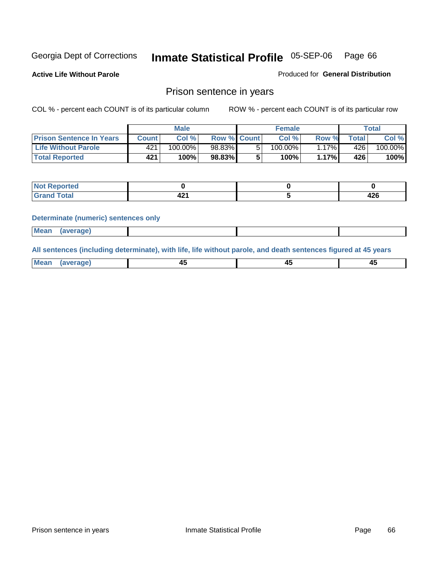**Active Life Without Parole** 

Produced for **General Distribution**

### Prison sentence in years

COL % - percent each COUNT is of its particular column ROW % - percent each COUNT is of its particular row

|                                 | <b>Male</b> |         |                    | <b>Female</b> |         |       | Total       |         |
|---------------------------------|-------------|---------|--------------------|---------------|---------|-------|-------------|---------|
| <b>Prison Sentence In Years</b> | Count l     | Col%    | <b>Row % Count</b> |               | Col%    | Row % | $\tau$ otal | Col %   |
| Life Without Parole             | 421         | 100.00% | 98.83%             |               | 100.00% | 17%   | 426         | 100.00% |
| <b>Total Reported</b>           | 421         | 100%    | 98.83%             |               | 100%    | 1.17% | <b>426</b>  | 100%    |

| Reported               |                            |             |
|------------------------|----------------------------|-------------|
| <b>Total</b><br>$\sim$ | $\sim$<br>-<br>- -<br>$ -$ | 10C<br>44 U |

#### **Determinate (numeric) sentences only**

| <br>l Mear | <b><i><u>IPranes</u></i></b> |  |  |
|------------|------------------------------|--|--|

**All sentences (including determinate), with life, life without parole, and death sentences figured at 45 years**

| Me:<br>anei<br>.<br>᠇<br>$\sim$ | -- | т.<br>$\sim$ |
|---------------------------------|----|--------------|
|---------------------------------|----|--------------|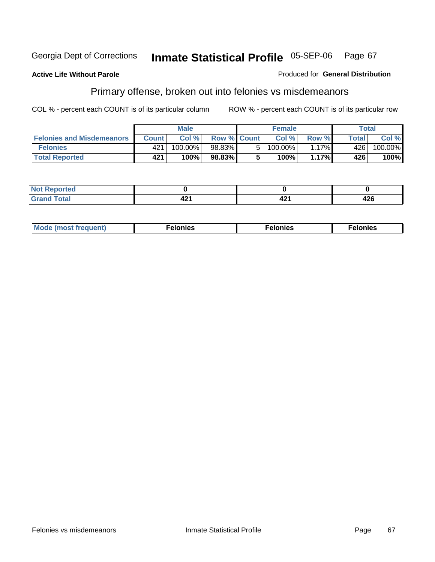#### **Active Life Without Parole**

#### Produced for **General Distribution**

# Primary offense, broken out into felonies vs misdemeanors

|                                  | <b>Male</b> |            |                    | <b>Female</b> |         |         | Total |         |
|----------------------------------|-------------|------------|--------------------|---------------|---------|---------|-------|---------|
| <b>Felonies and Misdemeanors</b> | Count l     | Col %      | <b>Row % Count</b> |               | Col%    | Row %   | Total | Col %   |
| <b>Felonies</b>                  | 421         | $100.00\%$ | 98.83%             | 51            | 100.00% | $.17\%$ | 426   | 100.00% |
| <b>Total Reported</b>            | 421         | 100%       | 98.83%             |               | 100%    | 1.17%   | 426   | 100%    |

| <b>Not</b><br>Reported<br>$\sim$ |        |                |     |
|----------------------------------|--------|----------------|-----|
| <b>otal</b><br>Gra               | .<br>╌ | "<br>◢<br>74 I | 426 |

| M <sub>0</sub><br>. | צאור<br>. | . |
|---------------------|-----------|---|
|---------------------|-----------|---|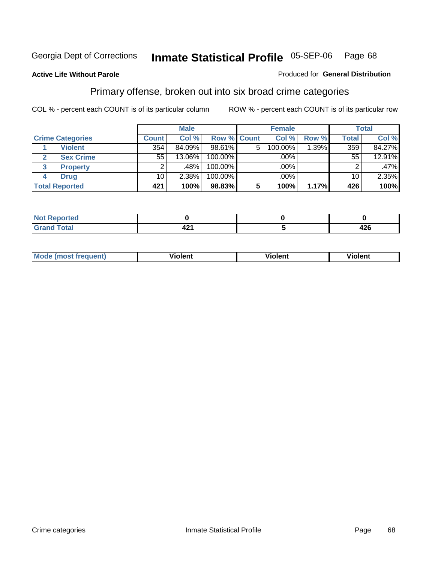#### **Active Life Without Parole**

#### Produced for **General Distribution**

### Primary offense, broken out into six broad crime categories

|                         | <b>Male</b>  |        |             | <b>Female</b>  |         |       | Total        |        |
|-------------------------|--------------|--------|-------------|----------------|---------|-------|--------------|--------|
| <b>Crime Categories</b> | <b>Count</b> | Col %  | Row % Count |                | Col %   | Row % | <b>Total</b> | Col %  |
| <b>Violent</b>          | 354          | 84.09% | 98.61%      | 5 <sup>1</sup> | 100.00% | 1.39% | 359          | 84.27% |
| <b>Sex Crime</b><br>2   | 55           | 13.06% | 100.00%     |                | $.00\%$ |       | 55           | 12.91% |
| <b>Property</b>         | ົ            | .48%   | 100.00%     |                | $.00\%$ |       |              | .47%   |
| <b>Drug</b>             | 10           | 2.38%  | 100.00%     |                | .00%    |       | 10           | 2.35%  |
| <b>Total Reported</b>   | 421          | 100%   | 98.83%      | 5              | 100%    | 1.17% | 426          | 100%   |

| orted<br>. <b>.</b> . |      |       |
|-----------------------|------|-------|
| <b>otal</b>           | גרי  | 1 J G |
| $\sim$                | TÆ 1 | 44 Y  |

| <b>Mode</b><br>frequent)<br>ns<br>$\cdots$ | - --<br><b>Tolent</b> | <br>Violent | --<br>Violent |
|--------------------------------------------|-----------------------|-------------|---------------|
|                                            |                       |             |               |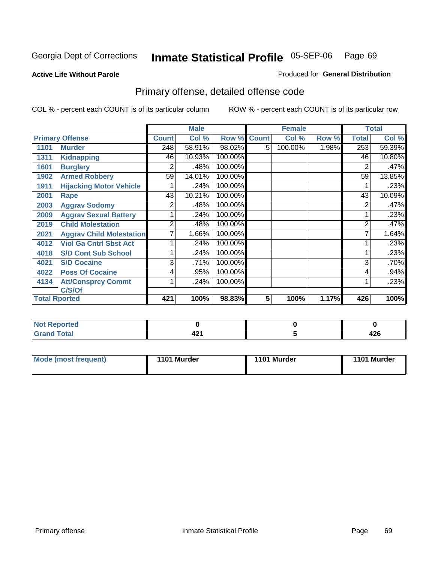#### **Active Life Without Parole**

### Produced for **General Distribution**

# Primary offense, detailed offense code

|                      |                                 |              | <b>Male</b> |         |              | <b>Female</b> |       |              | <b>Total</b> |
|----------------------|---------------------------------|--------------|-------------|---------|--------------|---------------|-------|--------------|--------------|
|                      | <b>Primary Offense</b>          | <b>Count</b> | Col %       | Row %   | <b>Count</b> | Col %         | Row % | <b>Total</b> | Col %        |
| 1101                 | <b>Murder</b>                   | 248          | 58.91%      | 98.02%  | 5            | 100.00%       | 1.98% | 253          | 59.39%       |
| 1311                 | <b>Kidnapping</b>               | 46           | 10.93%      | 100.00% |              |               |       | 46           | 10.80%       |
| 1601                 | <b>Burglary</b>                 | 2            | .48%        | 100.00% |              |               |       | 2            | .47%         |
| 1902                 | <b>Armed Robbery</b>            | 59           | 14.01%      | 100.00% |              |               |       | 59           | 13.85%       |
| 1911                 | <b>Hijacking Motor Vehicle</b>  |              | .24%        | 100.00% |              |               |       |              | .23%         |
| 2001                 | Rape                            | 43           | 10.21%      | 100.00% |              |               |       | 43           | 10.09%       |
| 2003                 | <b>Aggrav Sodomy</b>            | 2            | .48%        | 100.00% |              |               |       | 2            | .47%         |
| 2009                 | <b>Aggrav Sexual Battery</b>    |              | .24%        | 100.00% |              |               |       |              | .23%         |
| 2019                 | <b>Child Molestation</b>        | 2            | .48%        | 100.00% |              |               |       | 2            | .47%         |
| 2021                 | <b>Aggrav Child Molestation</b> |              | 1.66%       | 100.00% |              |               |       | 7            | 1.64%        |
| 4012                 | <b>Viol Ga Cntrl Sbst Act</b>   |              | .24%        | 100.00% |              |               |       |              | .23%         |
| 4018                 | <b>S/D Cont Sub School</b>      |              | .24%        | 100.00% |              |               |       |              | .23%         |
| 4021                 | <b>S/D Cocaine</b>              | 3            | .71%        | 100.00% |              |               |       | 3            | .70%         |
| 4022                 | <b>Poss Of Cocaine</b>          | 4            | .95%        | 100.00% |              |               |       | 4            | .94%         |
| 4134                 | <b>Att/Consprcy Commt</b>       |              | .24%        | 100.00% |              |               |       |              | .23%         |
|                      | C/S/Of                          |              |             |         |              |               |       |              |              |
| <b>Total Rported</b> |                                 | 421          | 100%        | 98.83%  | 5            | 100%          | 1.17% | 426          | 100%         |

| <b>Not Reported</b>  |                                               |          |
|----------------------|-----------------------------------------------|----------|
| <b>otal</b><br>_____ | $\overline{\phantom{a}}$<br>۰.<br><u>т∠ .</u> | .<br>44O |

| Mode (most frequent) | 1101 Murder | 1101 Murder | 1101 Murder |
|----------------------|-------------|-------------|-------------|
|                      |             |             |             |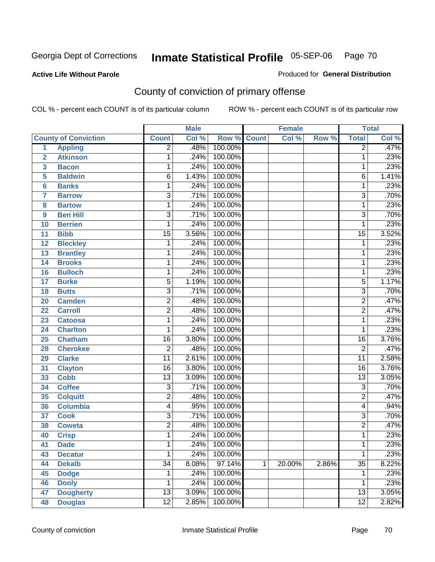#### **Active Life Without Parole**

### Produced for **General Distribution**

# County of conviction of primary offense

|                         |                             |                 | <b>Male</b> |             |   | <b>Female</b> |       |                 | <b>Total</b> |
|-------------------------|-----------------------------|-----------------|-------------|-------------|---|---------------|-------|-----------------|--------------|
|                         | <b>County of Conviction</b> | <b>Count</b>    | Col %       | Row % Count |   | Col %         | Row % | <b>Total</b>    | Col %        |
| 1                       | <b>Appling</b>              | $\overline{2}$  | .48%        | 100.00%     |   |               |       | $\overline{2}$  | .47%         |
| $\overline{2}$          | <b>Atkinson</b>             | 1               | .24%        | 100.00%     |   |               |       | 1               | .23%         |
| $\overline{\mathbf{3}}$ | <b>Bacon</b>                | 1               | .24%        | 100.00%     |   |               |       | 1               | .23%         |
| 5                       | <b>Baldwin</b>              | $\overline{6}$  | 1.43%       | 100.00%     |   |               |       | 6               | 1.41%        |
| 6                       | <b>Banks</b>                | 1               | .24%        | 100.00%     |   |               |       | 1               | .23%         |
| $\overline{7}$          | <b>Barrow</b>               | $\overline{3}$  | .71%        | 100.00%     |   |               |       | $\overline{3}$  | .70%         |
| 8                       | <b>Bartow</b>               | $\mathbf{1}$    | .24%        | 100.00%     |   |               |       | $\mathbf{1}$    | .23%         |
| 9                       | <b>Ben Hill</b>             | $\overline{3}$  | .71%        | 100.00%     |   |               |       | $\overline{3}$  | .70%         |
| 10                      | <b>Berrien</b>              | 1               | .24%        | 100.00%     |   |               |       | 1               | .23%         |
| 11                      | <b>Bibb</b>                 | $\overline{15}$ | 3.56%       | 100.00%     |   |               |       | $\overline{15}$ | 3.52%        |
| 12                      | <b>Bleckley</b>             | 1               | .24%        | 100.00%     |   |               |       | 1               | .23%         |
| 13                      | <b>Brantley</b>             | 1               | .24%        | 100.00%     |   |               |       | 1               | .23%         |
| 14                      | <b>Brooks</b>               | 1               | .24%        | 100.00%     |   |               |       | 1               | .23%         |
| 16                      | <b>Bulloch</b>              | 1               | .24%        | 100.00%     |   |               |       | 1               | .23%         |
| 17                      | <b>Burke</b>                | $\overline{5}$  | 1.19%       | 100.00%     |   |               |       | $\overline{5}$  | 1.17%        |
| 18                      | <b>Butts</b>                | $\overline{3}$  | .71%        | 100.00%     |   |               |       | $\overline{3}$  | .70%         |
| 20                      | <b>Camden</b>               | $\overline{2}$  | .48%        | 100.00%     |   |               |       | $\overline{2}$  | .47%         |
| 22                      | <b>Carroll</b>              | $\overline{2}$  | .48%        | 100.00%     |   |               |       | $\overline{2}$  | .47%         |
| 23                      | <b>Catoosa</b>              | 1               | .24%        | 100.00%     |   |               |       | 1               | .23%         |
| 24                      | <b>Charlton</b>             | 1               | .24%        | 100.00%     |   |               |       | 1               | .23%         |
| 25                      | <b>Chatham</b>              | $\overline{16}$ | 3.80%       | 100.00%     |   |               |       | 16              | 3.76%        |
| 28                      | <b>Cherokee</b>             | $\overline{2}$  | .48%        | 100.00%     |   |               |       | $\overline{2}$  | .47%         |
| 29                      | <b>Clarke</b>               | $\overline{11}$ | 2.61%       | 100.00%     |   |               |       | $\overline{11}$ | 2.58%        |
| 31                      | <b>Clayton</b>              | $\overline{16}$ | 3.80%       | 100.00%     |   |               |       | $\overline{16}$ | 3.76%        |
| 33                      | <b>Cobb</b>                 | $\overline{13}$ | 3.09%       | 100.00%     |   |               |       | $\overline{13}$ | 3.05%        |
| 34                      | <b>Coffee</b>               | $\overline{3}$  | .71%        | 100.00%     |   |               |       | $\overline{3}$  | .70%         |
| 35                      | <b>Colquitt</b>             | $\overline{2}$  | .48%        | 100.00%     |   |               |       | $\overline{2}$  | .47%         |
| 36                      | <b>Columbia</b>             | 4               | .95%        | 100.00%     |   |               |       | 4               | .94%         |
| 37                      | <b>Cook</b>                 | 3               | .71%        | 100.00%     |   |               |       | $\overline{3}$  | .70%         |
| 38                      | <b>Coweta</b>               | $\overline{2}$  | .48%        | 100.00%     |   |               |       | $\overline{2}$  | .47%         |
| 40                      | <b>Crisp</b>                | 1               | .24%        | 100.00%     |   |               |       | 1               | .23%         |
| 41                      | <b>Dade</b>                 | 1               | .24%        | 100.00%     |   |               |       | 1               | .23%         |
| 43                      | <b>Decatur</b>              | 1               | .24%        | 100.00%     |   |               |       | 1               | .23%         |
| 44                      | <b>Dekalb</b>               | $\overline{34}$ | 8.08%       | 97.14%      | 1 | 20.00%        | 2.86% | $\overline{35}$ | 8.22%        |
| 45                      | <b>Dodge</b>                | 1               | .24%        | 100.00%     |   |               |       | 1               | .23%         |
| 46                      | <b>Dooly</b>                | 1               | .24%        | 100.00%     |   |               |       | 1               | .23%         |
| 47                      | <b>Dougherty</b>            | $\overline{13}$ | 3.09%       | 100.00%     |   |               |       | $\overline{13}$ | 3.05%        |
| 48                      | <b>Douglas</b>              | $\overline{12}$ | 2.85%       | 100.00%     |   |               |       | $\overline{12}$ | 2.82%        |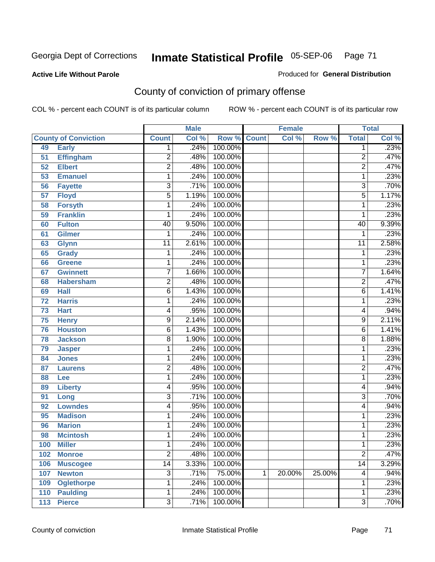#### **Active Life Without Parole**

#### Produced for **General Distribution**

# County of conviction of primary offense

|                 |                             |                 | <b>Male</b> |                    |   | <b>Female</b> |        |                 | <b>Total</b>               |
|-----------------|-----------------------------|-----------------|-------------|--------------------|---|---------------|--------|-----------------|----------------------------|
|                 | <b>County of Conviction</b> | <b>Count</b>    | Col %       | <b>Row % Count</b> |   | Col %         | Row %  | <b>Total</b>    | $\overline{\text{Col }\%}$ |
| 49              | <b>Early</b>                | 1               | .24%        | 100.00%            |   |               |        | 1               | .23%                       |
| 51              | <b>Effingham</b>            | 2               | .48%        | 100.00%            |   |               |        | $\overline{2}$  | .47%                       |
| 52              | <b>Elbert</b>               | $\overline{2}$  | .48%        | 100.00%            |   |               |        | $\overline{2}$  | .47%                       |
| 53              | <b>Emanuel</b>              | 1               | .24%        | 100.00%            |   |               |        | 1               | .23%                       |
| 56              | <b>Fayette</b>              | 3               | .71%        | 100.00%            |   |               |        | $\overline{3}$  | .70%                       |
| $\overline{57}$ | <b>Floyd</b>                | 5               | 1.19%       | 100.00%            |   |               |        | $\overline{5}$  | 1.17%                      |
| 58              | <b>Forsyth</b>              | 1               | .24%        | 100.00%            |   |               |        | 1               | .23%                       |
| 59              | <b>Franklin</b>             | 1               | .24%        | 100.00%            |   |               |        | 1               | .23%                       |
| 60              | <b>Fulton</b>               | 40              | 9.50%       | 100.00%            |   |               |        | 40              | 9.39%                      |
| 61              | Gilmer                      | 1               | .24%        | 100.00%            |   |               |        | 1               | .23%                       |
| 63              | <b>Glynn</b>                | $\overline{11}$ | 2.61%       | 100.00%            |   |               |        | $\overline{11}$ | 2.58%                      |
| 65              | <b>Grady</b>                | 1               | .24%        | 100.00%            |   |               |        | 1               | .23%                       |
| 66              | <b>Greene</b>               | 1               | .24%        | 100.00%            |   |               |        | 1               | .23%                       |
| 67              | <b>Gwinnett</b>             | 7               | 1.66%       | 100.00%            |   |               |        | $\overline{7}$  | 1.64%                      |
| 68              | <b>Habersham</b>            | 2               | .48%        | 100.00%            |   |               |        | $\overline{c}$  | .47%                       |
| 69              | <b>Hall</b>                 | 6               | 1.43%       | 100.00%            |   |               |        | 6               | 1.41%                      |
| 72              | <b>Harris</b>               | 1               | .24%        | 100.00%            |   |               |        | 1               | .23%                       |
| 73              | <b>Hart</b>                 | 4               | .95%        | 100.00%            |   |               |        | 4               | .94%                       |
| 75              | <b>Henry</b>                | 9               | 2.14%       | 100.00%            |   |               |        | 9               | 2.11%                      |
| 76              | <b>Houston</b>              | 6               | 1.43%       | 100.00%            |   |               |        | 6               | 1.41%                      |
| 78              | <b>Jackson</b>              | 8               | 1.90%       | 100.00%            |   |               |        | 8               | 1.88%                      |
| 79              | <b>Jasper</b>               | 1               | .24%        | 100.00%            |   |               |        | 1               | .23%                       |
| 84              | <b>Jones</b>                | 1               | .24%        | 100.00%            |   |               |        | 1               | .23%                       |
| 87              | <b>Laurens</b>              | $\overline{2}$  | .48%        | 100.00%            |   |               |        | $\overline{2}$  | .47%                       |
| 88              | Lee                         | 1               | .24%        | 100.00%            |   |               |        | 1               | .23%                       |
| 89              | <b>Liberty</b>              | 4               | .95%        | 100.00%            |   |               |        | 4               | .94%                       |
| 91              | Long                        | 3               | .71%        | 100.00%            |   |               |        | 3               | .70%                       |
| 92              | <b>Lowndes</b>              | 4               | .95%        | 100.00%            |   |               |        | 4               | .94%                       |
| 95              | <b>Madison</b>              | 1               | .24%        | 100.00%            |   |               |        | 1               | .23%                       |
| 96              | <b>Marion</b>               | 1               | .24%        | 100.00%            |   |               |        | 1               | .23%                       |
| 98              | <b>Mcintosh</b>             | 1               | .24%        | 100.00%            |   |               |        | 1               | .23%                       |
| 100             | <b>Miller</b>               | 1               | .24%        | 100.00%            |   |               |        | 1               | .23%                       |
| 102             | <b>Monroe</b>               | $\overline{2}$  | .48%        | 100.00%            |   |               |        | $\overline{2}$  | .47%                       |
| 106             | <b>Muscogee</b>             | $\overline{14}$ | 3.33%       | 100.00%            |   |               |        | $\overline{14}$ | 3.29%                      |
| 107             | <b>Newton</b>               | 3               | .71%        | 75.00%             | 1 | 20.00%        | 25.00% | 4               | .94%                       |
| 109             | <b>Oglethorpe</b>           | 1               | .24%        | 100.00%            |   |               |        | 1               | .23%                       |
| 110             | <b>Paulding</b>             | 1               | .24%        | 100.00%            |   |               |        | 1               | .23%                       |
| 113             | <b>Pierce</b>               | $\overline{3}$  | .71%        | 100.00%            |   |               |        | $\overline{3}$  | .70%                       |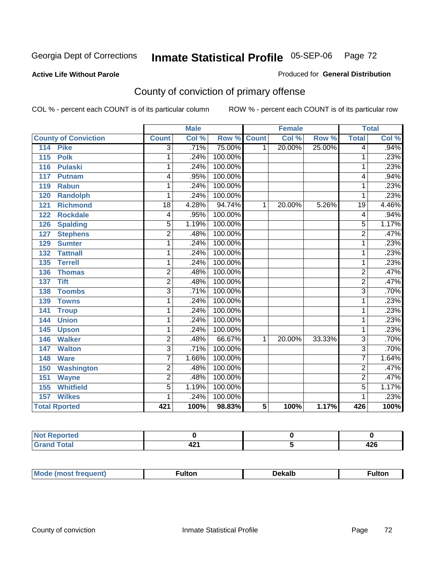#### **Active Life Without Parole**

#### Produced for **General Distribution**

# County of conviction of primary offense

|                                 |                 | <b>Male</b> |         |              | <b>Female</b> |        |                | <b>Total</b>               |
|---------------------------------|-----------------|-------------|---------|--------------|---------------|--------|----------------|----------------------------|
| <b>County of Conviction</b>     | <b>Count</b>    | Col %       | Row %   | <b>Count</b> | Col %         | Row %  | <b>Total</b>   | $\overline{\text{Col }^9}$ |
| <b>Pike</b><br>$\overline{114}$ | 3               | .71%        | 75.00%  | 1            | 20.00%        | 25.00% | 4              | .94%                       |
| 115<br><b>Polk</b>              | 1               | .24%        | 100.00% |              |               |        | 1              | .23%                       |
| <b>Pulaski</b><br>116           | 1               | .24%        | 100.00% |              |               |        | 1              | .23%                       |
| 117<br><b>Putnam</b>            | 4               | .95%        | 100.00% |              |               |        | 4              | .94%                       |
| <b>Rabun</b><br>119             | 1               | .24%        | 100.00% |              |               |        | 1              | .23%                       |
| <b>Randolph</b><br>120          | 1               | .24%        | 100.00% |              |               |        | 1              | .23%                       |
| <b>Richmond</b><br>121          | $\overline{18}$ | 4.28%       | 94.74%  | 1            | 20.00%        | 5.26%  | 19             | 4.46%                      |
| <b>Rockdale</b><br>122          | 4               | .95%        | 100.00% |              |               |        | 4              | .94%                       |
| <b>Spalding</b><br>126          | $\overline{5}$  | 1.19%       | 100.00% |              |               |        | $\overline{5}$ | 1.17%                      |
| <b>Stephens</b><br>127          | $\overline{2}$  | .48%        | 100.00% |              |               |        | $\overline{2}$ | .47%                       |
| 129<br><b>Sumter</b>            | 1               | .24%        | 100.00% |              |               |        | 1              | .23%                       |
| <b>Tattnall</b><br>132          | 1               | .24%        | 100.00% |              |               |        | 1              | .23%                       |
| 135<br><b>Terrell</b>           | 1               | .24%        | 100.00% |              |               |        | 1              | .23%                       |
| 136<br><b>Thomas</b>            | $\overline{2}$  | .48%        | 100.00% |              |               |        | $\overline{2}$ | .47%                       |
| <b>Tift</b><br>137              | $\overline{2}$  | .48%        | 100.00% |              |               |        | $\overline{2}$ | .47%                       |
| <b>Toombs</b><br>138            | $\overline{3}$  | .71%        | 100.00% |              |               |        | $\overline{3}$ | .70%                       |
| <b>Towns</b><br>139             | 1               | .24%        | 100.00% |              |               |        | 1              | .23%                       |
| 141<br><b>Troup</b>             | 1               | .24%        | 100.00% |              |               |        | 1              | .23%                       |
| <b>Union</b><br>144             | 1               | .24%        | 100.00% |              |               |        | 1              | .23%                       |
| 145<br><b>Upson</b>             | 1               | .24%        | 100.00% |              |               |        | 1              | .23%                       |
| <b>Walker</b><br>146            | $\overline{2}$  | .48%        | 66.67%  | 1            | 20.00%        | 33.33% | $\overline{3}$ | .70%                       |
| <b>Walton</b><br>147            | $\overline{3}$  | .71%        | 100.00% |              |               |        | $\overline{3}$ | .70%                       |
| 148<br><b>Ware</b>              | $\overline{7}$  | 1.66%       | 100.00% |              |               |        | $\overline{7}$ | 1.64%                      |
| <b>Washington</b><br>150        | $\overline{2}$  | .48%        | 100.00% |              |               |        | $\overline{2}$ | .47%                       |
| 151<br><b>Wayne</b>             | $\overline{2}$  | .48%        | 100.00% |              |               |        | $\overline{2}$ | .47%                       |
| <b>Whitfield</b><br>155         | $\overline{5}$  | 1.19%       | 100.00% |              |               |        | $\overline{5}$ | 1.17%                      |
| <b>Wilkes</b><br>157            | 1               | .24%        | 100.00% |              |               |        | 1              | .23%                       |
| <b>Total Rported</b>            | 421             | 100%        | 98.83%  | 5            | 100%          | 1.17%  | 426            | 100%                       |

| eported      |        |          |
|--------------|--------|----------|
| <b>Total</b> | <br>74 | <br>44 Y |

| Mo<br>"ANJIAN <sup>"</sup><br>nre<br>.tor<br>ROST IT | )ekall | ultoı |
|------------------------------------------------------|--------|-------|
|------------------------------------------------------|--------|-------|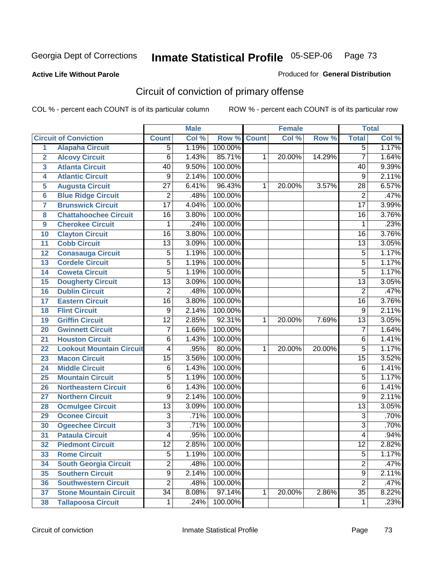#### **Active Life Without Parole**

# Produced for **General Distribution**

## Circuit of conviction of primary offense

|                         |                                 |                 | <b>Male</b> |         |              | <b>Female</b> |        |                 | <b>Total</b> |
|-------------------------|---------------------------------|-----------------|-------------|---------|--------------|---------------|--------|-----------------|--------------|
|                         | <b>Circuit of Conviction</b>    | <b>Count</b>    | Col %       | Row %   | <b>Count</b> | Col %         | Row %  | <b>Total</b>    | Col %        |
| 1                       | <b>Alapaha Circuit</b>          | $\overline{5}$  | 1.19%       | 100.00% |              |               |        | $\overline{5}$  | 1.17%        |
| $\overline{2}$          | <b>Alcovy Circuit</b>           | $\overline{6}$  | 1.43%       | 85.71%  | 1            | 20.00%        | 14.29% | $\overline{7}$  | 1.64%        |
| $\overline{\mathbf{3}}$ | <b>Atlanta Circuit</b>          | 40              | 9.50%       | 100.00% |              |               |        | 40              | 9.39%        |
| 4                       | <b>Atlantic Circuit</b>         | 9               | 2.14%       | 100.00% |              |               |        | 9               | 2.11%        |
| 5                       | <b>Augusta Circuit</b>          | $\overline{27}$ | 6.41%       | 96.43%  | 1            | 20.00%        | 3.57%  | 28              | 6.57%        |
| $6\phantom{a}$          | <b>Blue Ridge Circuit</b>       | $\overline{2}$  | .48%        | 100.00% |              |               |        | $\overline{2}$  | .47%         |
| $\overline{7}$          | <b>Brunswick Circuit</b>        | $\overline{17}$ | 4.04%       | 100.00% |              |               |        | $\overline{17}$ | 3.99%        |
| 8                       | <b>Chattahoochee Circuit</b>    | $\overline{16}$ | 3.80%       | 100.00% |              |               |        | 16              | 3.76%        |
| 9                       | <b>Cherokee Circuit</b>         | 1               | .24%        | 100.00% |              |               |        | $\mathbf{1}$    | .23%         |
| 10                      | <b>Clayton Circuit</b>          | $\overline{16}$ | 3.80%       | 100.00% |              |               |        | $\overline{16}$ | 3.76%        |
| 11                      | <b>Cobb Circuit</b>             | 13              | 3.09%       | 100.00% |              |               |        | $\overline{13}$ | 3.05%        |
| 12                      | <b>Conasauga Circuit</b>        | $\overline{5}$  | 1.19%       | 100.00% |              |               |        | 5               | 1.17%        |
| 13                      | <b>Cordele Circuit</b>          | $\overline{5}$  | 1.19%       | 100.00% |              |               |        | $\overline{5}$  | 1.17%        |
| 14                      | <b>Coweta Circuit</b>           | $\overline{5}$  | 1.19%       | 100.00% |              |               |        | $\overline{5}$  | 1.17%        |
| 15                      | <b>Dougherty Circuit</b>        | $\overline{13}$ | 3.09%       | 100.00% |              |               |        | $\overline{13}$ | 3.05%        |
| 16                      | <b>Dublin Circuit</b>           | $\overline{2}$  | .48%        | 100.00% |              |               |        | $\overline{2}$  | .47%         |
| 17                      | <b>Eastern Circuit</b>          | $\overline{16}$ | 3.80%       | 100.00% |              |               |        | 16              | 3.76%        |
| 18                      | <b>Flint Circuit</b>            | $\overline{9}$  | 2.14%       | 100.00% |              |               |        | $\overline{9}$  | 2.11%        |
| 19                      | <b>Griffin Circuit</b>          | $\overline{12}$ | 2.85%       | 92.31%  | $\mathbf{1}$ | 20.00%        | 7.69%  | $\overline{13}$ | 3.05%        |
| 20                      | <b>Gwinnett Circuit</b>         | $\overline{7}$  | 1.66%       | 100.00% |              |               |        | $\overline{7}$  | 1.64%        |
| 21                      | <b>Houston Circuit</b>          | 6               | 1.43%       | 100.00% |              |               |        | $\overline{6}$  | 1.41%        |
| 22                      | <b>Lookout Mountain Circuit</b> | 4               | .95%        | 80.00%  | 1            | 20.00%        | 20.00% | $\overline{5}$  | 1.17%        |
| 23                      | <b>Macon Circuit</b>            | $\overline{15}$ | 3.56%       | 100.00% |              |               |        | $\overline{15}$ | 3.52%        |
| 24                      | <b>Middle Circuit</b>           | $\overline{6}$  | 1.43%       | 100.00% |              |               |        | 6               | 1.41%        |
| 25                      | <b>Mountain Circuit</b>         | $\overline{5}$  | 1.19%       | 100.00% |              |               |        | 5               | 1.17%        |
| 26                      | <b>Northeastern Circuit</b>     | 6               | 1.43%       | 100.00% |              |               |        | 6               | 1.41%        |
| 27                      | <b>Northern Circuit</b>         | 9               | 2.14%       | 100.00% |              |               |        | 9               | 2.11%        |
| 28                      | <b>Ocmulgee Circuit</b>         | $\overline{13}$ | 3.09%       | 100.00% |              |               |        | $\overline{13}$ | 3.05%        |
| 29                      | <b>Oconee Circuit</b>           | $\overline{3}$  | .71%        | 100.00% |              |               |        | $\overline{3}$  | .70%         |
| 30                      | <b>Ogeechee Circuit</b>         | $\overline{3}$  | .71%        | 100.00% |              |               |        | $\overline{3}$  | .70%         |
| $\overline{31}$         | <b>Pataula Circuit</b>          | 4               | .95%        | 100.00% |              |               |        | 4               | .94%         |
| 32                      | <b>Piedmont Circuit</b>         | 12              | 2.85%       | 100.00% |              |               |        | 12              | 2.82%        |
| 33                      | <b>Rome Circuit</b>             | $\overline{5}$  | 1.19%       | 100.00% |              |               |        | $\overline{5}$  | 1.17%        |
| 34                      | <b>South Georgia Circuit</b>    | $\overline{2}$  | .48%        | 100.00% |              |               |        | $\overline{2}$  | .47%         |
| 35                      | <b>Southern Circuit</b>         | $\overline{9}$  | 2.14%       | 100.00% |              |               |        | $\overline{9}$  | 2.11%        |
| 36                      | <b>Southwestern Circuit</b>     | $\overline{2}$  | .48%        | 100.00% |              |               |        | $\overline{2}$  | .47%         |
| 37                      | <b>Stone Mountain Circuit</b>   | $\overline{34}$ | 8.08%       | 97.14%  | 1            | 20.00%        | 2.86%  | $\overline{35}$ | 8.22%        |
| 38                      | <b>Tallapoosa Circuit</b>       | $\mathbf 1$     | .24%        | 100.00% |              |               |        | 1               | .23%         |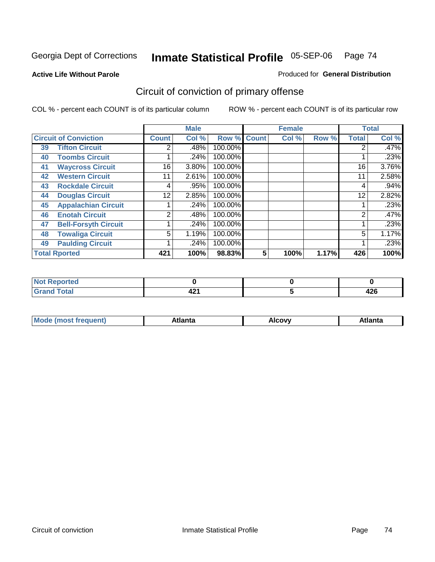#### **Active Life Without Parole**

#### Produced for **General Distribution**

## Circuit of conviction of primary offense

|                      |                              |                 | <b>Male</b> |         |              | <b>Female</b> |       |              | <b>Total</b> |
|----------------------|------------------------------|-----------------|-------------|---------|--------------|---------------|-------|--------------|--------------|
|                      | <b>Circuit of Conviction</b> | <b>Count</b>    | Col %       | Row %   | <b>Count</b> | Col %         | Row % | <b>Total</b> | Col %        |
| 39                   | <b>Tifton Circuit</b>        | 2               | .48%        | 100.00% |              |               |       | 2            | $.47\%$      |
| 40                   | <b>Toombs Circuit</b>        |                 | .24%        | 100.00% |              |               |       |              | .23%         |
| 41                   | <b>Waycross Circuit</b>      | 16 <sub>1</sub> | 3.80%       | 100.00% |              |               |       | 16           | 3.76%        |
| 42                   | <b>Western Circuit</b>       | 11              | 2.61%       | 100.00% |              |               |       | 11           | 2.58%        |
| 43                   | <b>Rockdale Circuit</b>      | 4               | .95%        | 100.00% |              |               |       | 4            | .94%         |
| 44                   | <b>Douglas Circuit</b>       | 12              | 2.85%       | 100.00% |              |               |       | 12           | 2.82%        |
| 45                   | <b>Appalachian Circuit</b>   |                 | .24%        | 100.00% |              |               |       |              | .23%         |
| 46                   | <b>Enotah Circuit</b>        | $\overline{2}$  | .48%        | 100.00% |              |               |       | 2            | .47%         |
| 47                   | <b>Bell-Forsyth Circuit</b>  |                 | .24%        | 100.00% |              |               |       |              | .23%         |
| 48                   | <b>Towaliga Circuit</b>      | 5               | 1.19%       | 100.00% |              |               |       | 5            | 1.17%        |
| 49                   | <b>Paulding Circuit</b>      |                 | .24%        | 100.00% |              |               |       | ◢            | .23%         |
| <b>Total Rported</b> |                              | 421             | 100%        | 98.83%  | 5            | 100%          | 1.17% | 426          | 100%         |

| Reported<br>NO          |                        |             |
|-------------------------|------------------------|-------------|
| <b>otal</b><br>$\sim$ . | $\sim$<br>44 L<br>$ -$ | "^^<br>44 U |

| Mc<br>.+Inn+,<br>.<br>ำ∨∿<br>''Ilta<br>idlik<br><b>ALIE</b><br>$ -$ |  |  |
|---------------------------------------------------------------------|--|--|
|                                                                     |  |  |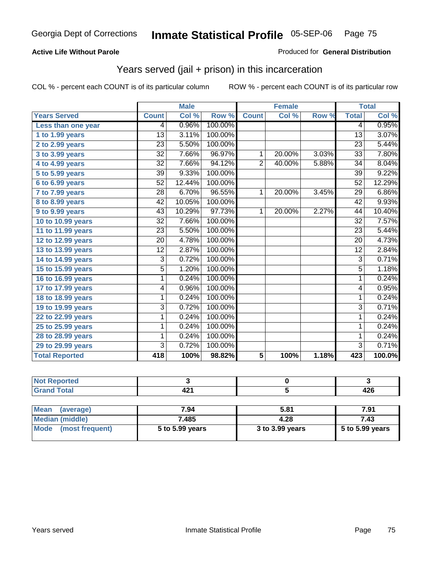#### **Active Life Without Parole**

#### Produced for **General Distribution**

### Years served (jail + prison) in this incarceration

|                       |                 | <b>Male</b> |         |                | <b>Female</b> |       |                 | <b>Total</b> |
|-----------------------|-----------------|-------------|---------|----------------|---------------|-------|-----------------|--------------|
| <b>Years Served</b>   | <b>Count</b>    | Col %       | Row %   | <b>Count</b>   | Col %         | Row % | <b>Total</b>    | Col %        |
| Less than one year    | 4               | 0.96%       | 100.00% |                |               |       | 4               | 0.95%        |
| 1 to 1.99 years       | $\overline{13}$ | 3.11%       | 100.00% |                |               |       | $\overline{13}$ | 3.07%        |
| 2 to 2.99 years       | $\overline{23}$ | 5.50%       | 100.00% |                |               |       | $\overline{23}$ | 5.44%        |
| 3 to 3.99 years       | $\overline{32}$ | 7.66%       | 96.97%  | 1              | 20.00%        | 3.03% | 33              | 7.80%        |
| $4$ to $4.99$ years   | $\overline{32}$ | 7.66%       | 94.12%  | $\overline{2}$ | 40.00%        | 5.88% | $\overline{34}$ | 8.04%        |
| 5 to 5.99 years       | 39              | 9.33%       | 100.00% |                |               |       | $\overline{39}$ | 9.22%        |
| 6 to 6.99 years       | 52              | 12.44%      | 100.00% |                |               |       | 52              | 12.29%       |
| 7 to 7.99 years       | 28              | 6.70%       | 96.55%  | 1              | 20.00%        | 3.45% | 29              | 6.86%        |
| 8 to 8.99 years       | $\overline{42}$ | 10.05%      | 100.00% |                |               |       | $\overline{42}$ | 9.93%        |
| 9 to 9.99 years       | $\overline{43}$ | 10.29%      | 97.73%  | $\mathbf{1}$   | 20.00%        | 2.27% | 44              | 10.40%       |
| 10 to 10.99 years     | $\overline{32}$ | 7.66%       | 100.00% |                |               |       | $\overline{32}$ | 7.57%        |
| 11 to 11.99 years     | $\overline{23}$ | 5.50%       | 100.00% |                |               |       | 23              | 5.44%        |
| 12 to 12.99 years     | 20              | 4.78%       | 100.00% |                |               |       | 20              | 4.73%        |
| 13 to 13.99 years     | $\overline{12}$ | 2.87%       | 100.00% |                |               |       | $\overline{12}$ | 2.84%        |
| 14 to 14.99 years     | 3               | 0.72%       | 100.00% |                |               |       | $\overline{3}$  | 0.71%        |
| 15 to 15.99 years     | $\overline{5}$  | 1.20%       | 100.00% |                |               |       | $\overline{5}$  | 1.18%        |
| 16 to 16.99 years     | 1               | 0.24%       | 100.00% |                |               |       | 1               | 0.24%        |
| 17 to 17.99 years     | 4               | 0.96%       | 100.00% |                |               |       | 4               | 0.95%        |
| 18 to 18.99 years     | 1               | 0.24%       | 100.00% |                |               |       | 1               | 0.24%        |
| 19 to 19.99 years     | $\overline{3}$  | 0.72%       | 100.00% |                |               |       | $\overline{3}$  | 0.71%        |
| 22 to 22.99 years     | 1               | 0.24%       | 100.00% |                |               |       | 1               | 0.24%        |
| 25 to 25.99 years     | 1               | 0.24%       | 100.00% |                |               |       | 1               | 0.24%        |
| 28 to 28.99 years     | 1               | 0.24%       | 100.00% |                |               |       | 1               | 0.24%        |
| 29 to 29.99 years     | $\overline{3}$  | 0.72%       | 100.00% |                |               |       | $\overline{3}$  | 0.71%        |
| <b>Total Reported</b> | 418             | 100%        | 98.82%  | $\overline{5}$ | 100%          | 1.18% | 423             | 100.0%       |

| المراجع المنعور<br>nneu -<br>. |                  |        |
|--------------------------------|------------------|--------|
| ----                           | "<br>. .<br>- 74 | <br>−⊷ |

| Mean<br>(average)    | 7.94            | 5.81            | 7.91            |
|----------------------|-----------------|-----------------|-----------------|
| Median (middle)      | 7.485           | 4.28            | 7.43            |
| Mode (most frequent) | 5 to 5.99 years | 3 to 3.99 years | 5 to 5.99 years |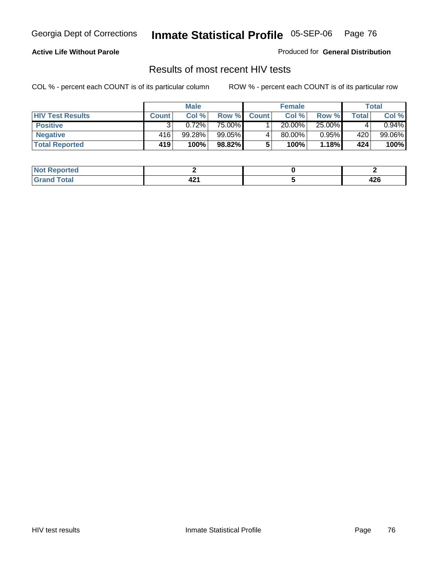#### **Active Life Without Parole**

Produced for **General Distribution**

### Results of most recent HIV tests

|                         | <b>Male</b>  |        | <b>Female</b> |              |        | Total  |       |          |
|-------------------------|--------------|--------|---------------|--------------|--------|--------|-------|----------|
| <b>HIV Test Results</b> | <b>Count</b> | Col %  | Row %         | <b>Count</b> | Col %  | Row %  | Total | Col %    |
| <b>Positive</b>         |              | 0.72%  | 75.00%        |              | 20.00% | 25.00% |       | $0.94\%$ |
| <b>Negative</b>         | 416          | 99.28% | 99.05%        |              | 80.00% | 0.95%  | 420   | 99.06%   |
| <b>Total Reported</b>   | 419          | 100%   | 98.82%        |              | 100%   | 1.18%  | 424   | 100%     |

| <b>Not</b><br><b>Reported</b> |     |          |
|-------------------------------|-----|----------|
| <b>Total</b>                  | - 2 | <br>44 U |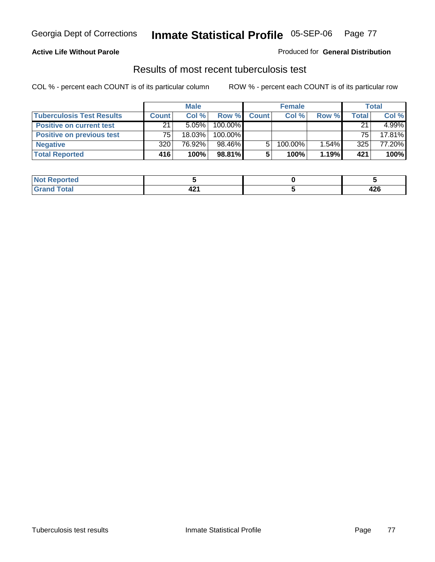#### **Active Life Without Parole**

#### Produced for **General Distribution**

### Results of most recent tuberculosis test

|                                  | <b>Male</b>  |           | <b>Female</b> |              |         | <b>Total</b> |       |        |
|----------------------------------|--------------|-----------|---------------|--------------|---------|--------------|-------|--------|
| <b>Tuberculosis Test Results</b> | <b>Count</b> | Col %     | Row %         | <b>Count</b> | Col %   | Row %        | Total | Col %  |
| <b>Positive on current test</b>  | 21           | $5.05\%$  | 100.00%       |              |         |              | 21    | 4.99%  |
| <b>Positive on previous test</b> | 75           | $18.03\%$ | 100.00%       |              |         |              | 75    | 17.81% |
| <b>Negative</b>                  | 320          | 76.92%    | 98.46%        | 5.           | 100.00% | 1.54%        | 325   | 77.20% |
| <b>Total Reported</b>            | 416'         | 100%      | 98.81%        |              | 100%    | 1.19%        | 421   | 100%   |

| <b>Reported</b><br>NOT<br> |               |             |
|----------------------------|---------------|-------------|
| <b>otal</b>                | <u>т сана</u> | 12c<br>44 U |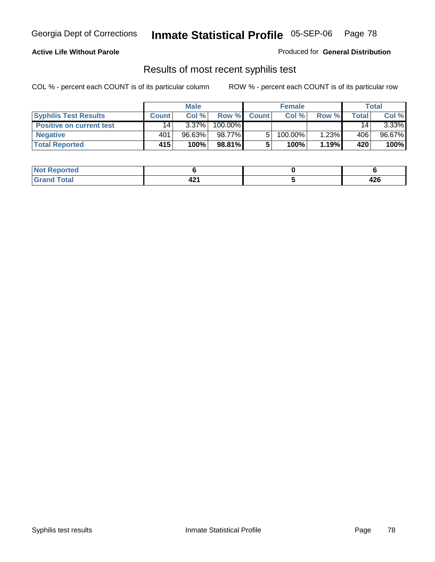#### **Active Life Without Parole**

Produced for **General Distribution**

### Results of most recent syphilis test

|                                 | <b>Male</b>     |          | <b>Female</b> |              |            | <b>Total</b> |       |          |
|---------------------------------|-----------------|----------|---------------|--------------|------------|--------------|-------|----------|
| <b>Syphilis Test Results</b>    | <b>Count</b>    | Col%     | Row %         | <b>Count</b> | Col%       | Row %        | Total | Col %    |
| <b>Positive on current test</b> | 14 <sub>1</sub> | $3.37\%$ | 100.00%       |              |            |              | 14    | $3.33\%$ |
| <b>Negative</b>                 | 401             | 96.63%   | 98.77%        |              | $100.00\%$ | 1.23%        | 406   | 96.67%   |
| <b>Total Reported</b>           | 415'            | 100%     | 98.81%        |              | 100%       | 1.19%        | 420   | 100%     |

| <b>Not Reported</b> |     |             |
|---------------------|-----|-------------|
| <b>Total</b>        | - - | 100<br>44 U |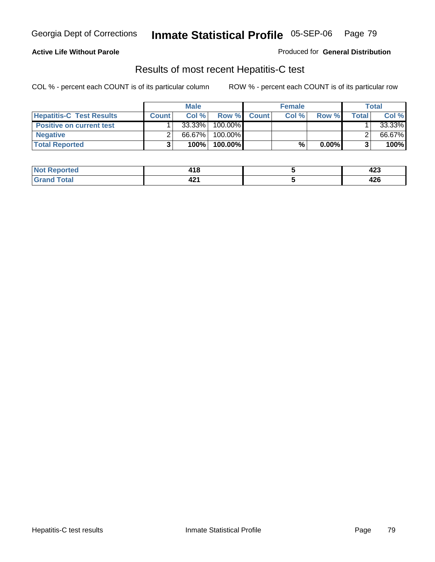#### **Active Life Without Parole**

Produced for **General Distribution**

### Results of most recent Hepatitis-C test

|                                 |              | <b>Male</b> |         |             | <b>Female</b> |          |              | Total  |
|---------------------------------|--------------|-------------|---------|-------------|---------------|----------|--------------|--------|
| <b>Hepatitis-C Test Results</b> | <b>Count</b> | Col%        |         | Row % Count | Col%          | Row %    | <b>Total</b> | Col %  |
| <b>Positive on current test</b> |              | 33.33%      | 100.00% |             |               |          |              | 33.33% |
| <b>Negative</b>                 |              | 66.67%      | 100.00% |             |               |          |              | 66.67% |
| <b>Total Reported</b>           |              | 100%        | 100.00% |             | %             | $0.00\%$ |              | 100%   |

| <b>Not</b>      | 14 C  | ,             |
|-----------------|-------|---------------|
| <b>Reported</b> | - 10. | 443           |
| <b>Total</b>    | 74 L  | $\sim$<br>44O |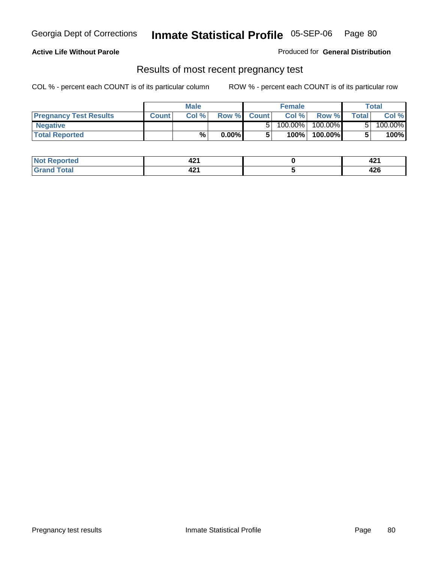**Active Life Without Parole** 

Produced for **General Distribution**

### Results of most recent pregnancy test

|                               | <b>Male</b>  |      |          | <b>Female</b> |         |         | <b>Total</b> |         |
|-------------------------------|--------------|------|----------|---------------|---------|---------|--------------|---------|
| <b>Pregnancy Test Results</b> | <b>Count</b> | Col% | Row %    | <b>Count</b>  | Col %   | Row %   | <b>Total</b> | Col %   |
| <b>Negative</b>               |              |      |          |               | 100.00% | 100.00% |              | 100.00% |
| <b>Total Reported</b>         |              | %    | $0.00\%$ |               | 100%    | 100.00% |              | 100%    |

| <u>rted</u>    | in.<br>74 L           | <b>TAI</b> |
|----------------|-----------------------|------------|
| $\sim$<br>---- | - -<br>$\sim$<br>74 L | <br>44 U   |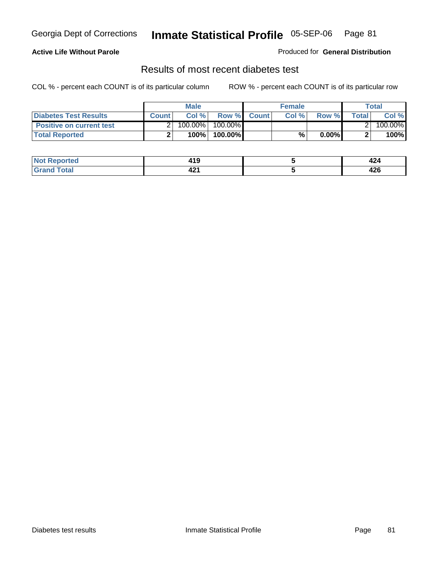#### **Active Life Without Parole**

Produced for **General Distribution**

### Results of most recent diabetes test

|                                 |              | Male    |            |              | <b>Female</b> |          |              | Total   |
|---------------------------------|--------------|---------|------------|--------------|---------------|----------|--------------|---------|
| Diabetes Test Results           | <b>Count</b> | Col %   | Row %      | <b>Count</b> | Col %         | Row %I   | <b>Total</b> | Col %   |
| <b>Positive on current test</b> |              | 100.00% | $100.00\%$ |              |               |          |              | 100.00% |
| <b>Total Reported</b>           |              | 100%    | 100.00%    |              | %             | $0.00\%$ |              | 100%    |

| <b>orted</b> | 44 C<br>7 I J    | <b>TAT</b> |
|--------------|------------------|------------|
| <b>ota</b>   | - -<br>.<br>74 L | <br>44 U   |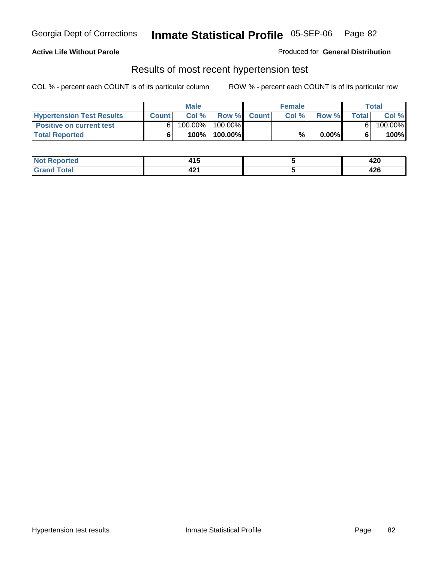#### **Active Life Without Parole**

#### Produced for **General Distribution**

### Results of most recent hypertension test

|                                  |              | <b>Male</b> |            |             | <b>Female</b> |          |       | <b>Total</b> |
|----------------------------------|--------------|-------------|------------|-------------|---------------|----------|-------|--------------|
| <b>Hypertension Test Results</b> | <b>Count</b> | Col %       |            | Row % Count | Col%          | Row %    | Total | Col %        |
| <b>Positive on current test</b>  |              | 100.00%     | $100.00\%$ |             |               |          |       | 100.00%      |
| <b>Total Reported</b>            |              | 100%        | 100.00%    |             | %             | $0.00\%$ |       | 100%         |

| orted       | 4 A C<br>413 | חרו<br>42V |
|-------------|--------------|------------|
| <b>otal</b> | 10.          | $\sim$     |
| _____       | 44 L         | 44 U       |